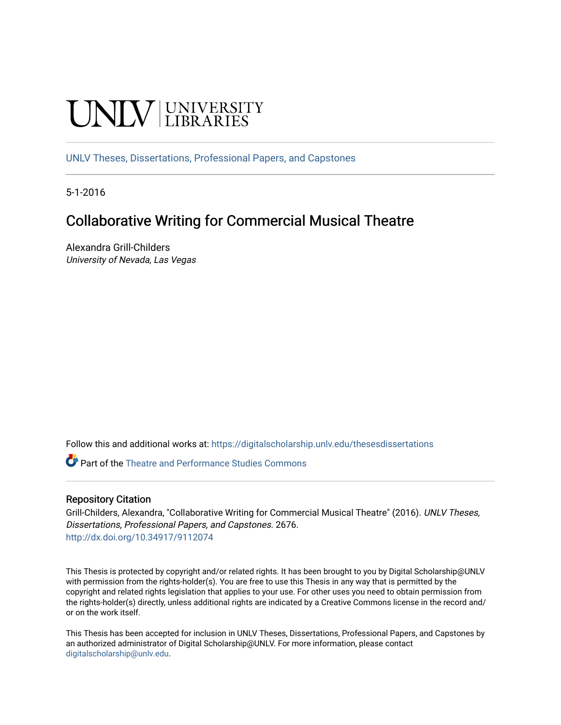# UNIV UNIVERSITY

[UNLV Theses, Dissertations, Professional Papers, and Capstones](https://digitalscholarship.unlv.edu/thesesdissertations)

5-1-2016

# Collaborative Writing for Commercial Musical Theatre

Alexandra Grill-Childers University of Nevada, Las Vegas

Follow this and additional works at: [https://digitalscholarship.unlv.edu/thesesdissertations](https://digitalscholarship.unlv.edu/thesesdissertations?utm_source=digitalscholarship.unlv.edu%2Fthesesdissertations%2F2676&utm_medium=PDF&utm_campaign=PDFCoverPages)

**Part of the Theatre and Performance Studies Commons** 

#### Repository Citation

Grill-Childers, Alexandra, "Collaborative Writing for Commercial Musical Theatre" (2016). UNLV Theses, Dissertations, Professional Papers, and Capstones. 2676. <http://dx.doi.org/10.34917/9112074>

This Thesis is protected by copyright and/or related rights. It has been brought to you by Digital Scholarship@UNLV with permission from the rights-holder(s). You are free to use this Thesis in any way that is permitted by the copyright and related rights legislation that applies to your use. For other uses you need to obtain permission from the rights-holder(s) directly, unless additional rights are indicated by a Creative Commons license in the record and/ or on the work itself.

This Thesis has been accepted for inclusion in UNLV Theses, Dissertations, Professional Papers, and Capstones by an authorized administrator of Digital Scholarship@UNLV. For more information, please contact [digitalscholarship@unlv.edu](mailto:digitalscholarship@unlv.edu).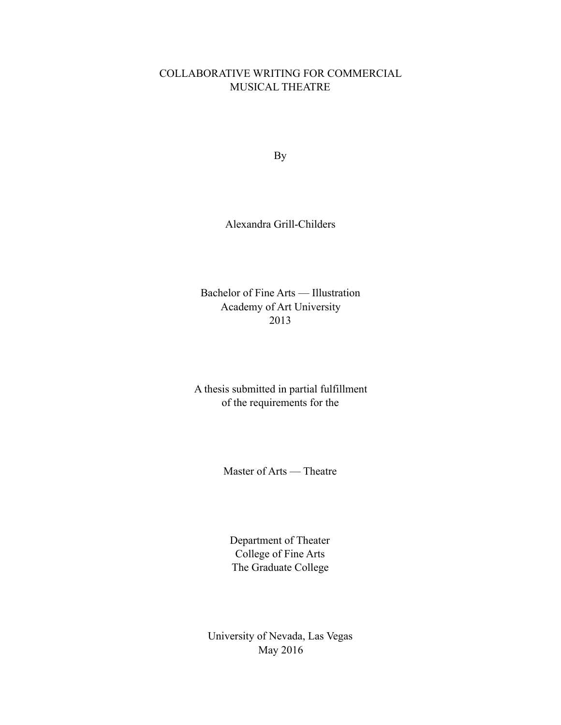## COLLABORATIVE WRITING FOR COMMERCIAL MUSICAL THEATRE

By

Alexandra Grill-Childers

Bachelor of Fine Arts — Illustration Academy of Art University 2013

A thesis submitted in partial fulfillment of the requirements for the

Master of Arts — Theatre

Department of Theater College of Fine Arts The Graduate College

University of Nevada, Las Vegas May 2016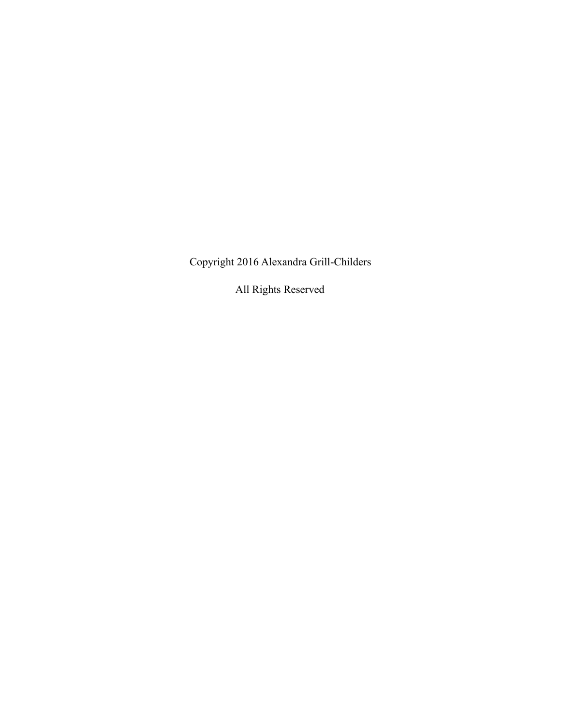Copyright 2016 Alexandra Grill-Childers

All Rights Reserved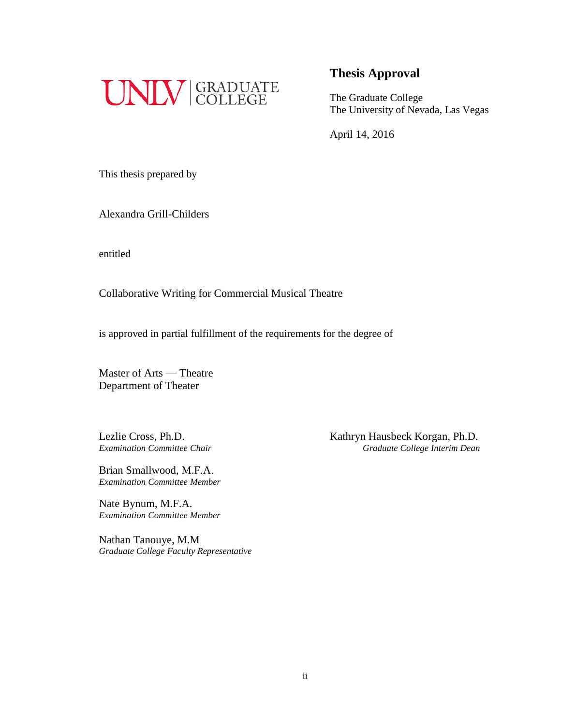

The Graduate College The University of Nevada, Las Vegas

April 14, 2016

This thesis prepared by

Alexandra Grill-Childers

entitled

Collaborative Writing for Commercial Musical Theatre

is approved in partial fulfillment of the requirements for the degree of

Master of Arts — Theatre Department of Theater

Brian Smallwood, M.F.A. *Examination Committee Member*

Nate Bynum, M.F.A. *Examination Committee Member*

Nathan Tanouye, M.M *Graduate College Faculty Representative*

Lezlie Cross, Ph.D.<br>
Examination Committee Chair<br>
Graduate College Interim Dean *Examination Committee Chair Graduate College Interim Dean*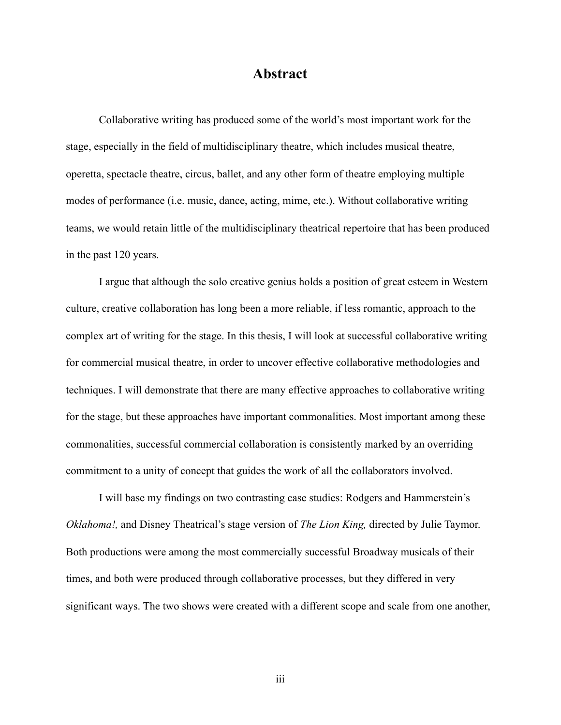# **Abstract**

 Collaborative writing has produced some of the world's most important work for the stage, especially in the field of multidisciplinary theatre, which includes musical theatre, operetta, spectacle theatre, circus, ballet, and any other form of theatre employing multiple modes of performance (i.e. music, dance, acting, mime, etc.). Without collaborative writing teams, we would retain little of the multidisciplinary theatrical repertoire that has been produced in the past 120 years.

 I argue that although the solo creative genius holds a position of great esteem in Western culture, creative collaboration has long been a more reliable, if less romantic, approach to the complex art of writing for the stage. In this thesis, I will look at successful collaborative writing for commercial musical theatre, in order to uncover effective collaborative methodologies and techniques. I will demonstrate that there are many effective approaches to collaborative writing for the stage, but these approaches have important commonalities. Most important among these commonalities, successful commercial collaboration is consistently marked by an overriding commitment to a unity of concept that guides the work of all the collaborators involved.

 I will base my findings on two contrasting case studies: Rodgers and Hammerstein's *Oklahoma!,* and Disney Theatrical's stage version of *The Lion King,* directed by Julie Taymor. Both productions were among the most commercially successful Broadway musicals of their times, and both were produced through collaborative processes, but they differed in very significant ways. The two shows were created with a different scope and scale from one another,

iii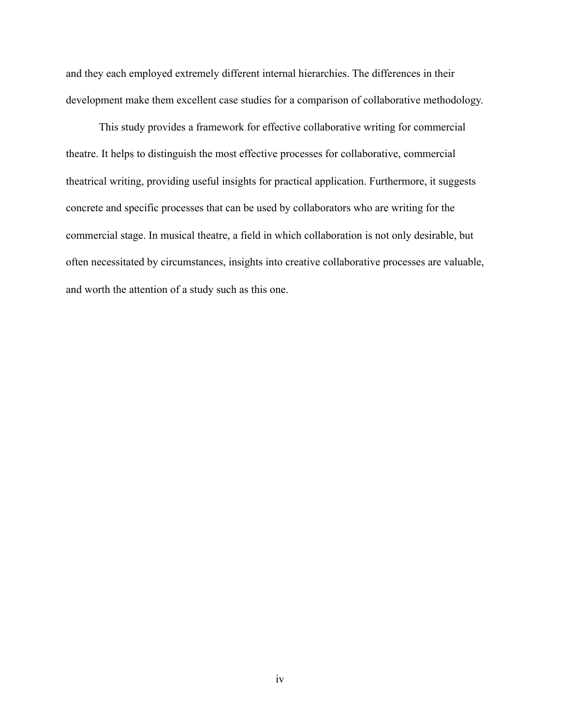and they each employed extremely different internal hierarchies. The differences in their development make them excellent case studies for a comparison of collaborative methodology.

 This study provides a framework for effective collaborative writing for commercial theatre. It helps to distinguish the most effective processes for collaborative, commercial theatrical writing, providing useful insights for practical application. Furthermore, it suggests concrete and specific processes that can be used by collaborators who are writing for the commercial stage. In musical theatre, a field in which collaboration is not only desirable, but often necessitated by circumstances, insights into creative collaborative processes are valuable, and worth the attention of a study such as this one.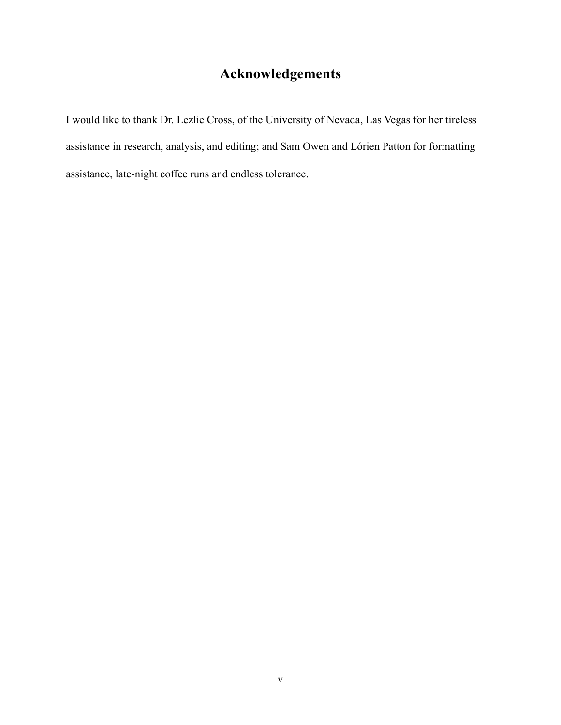# **Acknowledgements**

I would like to thank Dr. Lezlie Cross, of the University of Nevada, Las Vegas for her tireless assistance in research, analysis, and editing; and Sam Owen and Lórien Patton for formatting assistance, late-night coffee runs and endless tolerance.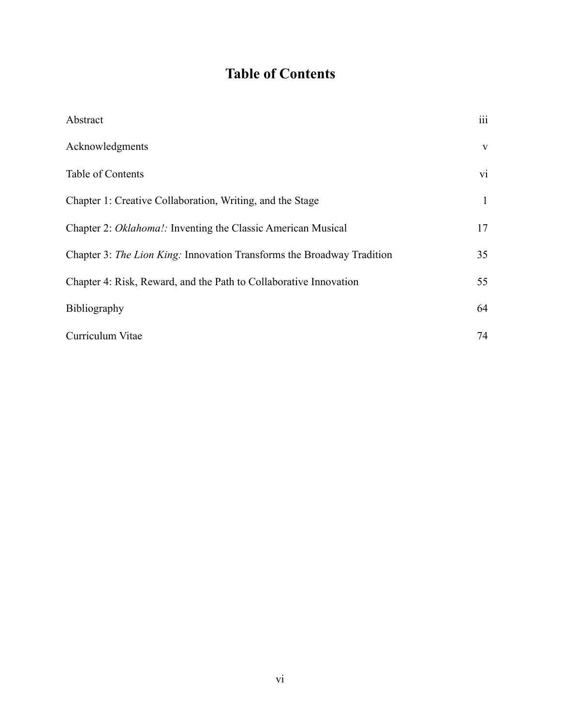# **Table of Contents**

| Abstract                                                               | $\overline{\text{iii}}$ |
|------------------------------------------------------------------------|-------------------------|
| Acknowledgments                                                        | $\mathbf{V}$            |
| Table of Contents                                                      | vi                      |
| Chapter 1: Creative Collaboration, Writing, and the Stage              | 1                       |
| Chapter 2: Oklahoma!: Inventing the Classic American Musical           | 17                      |
| Chapter 3: The Lion King: Innovation Transforms the Broadway Tradition | 35                      |
| Chapter 4: Risk, Reward, and the Path to Collaborative Innovation      | 55                      |
| Bibliography                                                           | 64                      |
| Curriculum Vitae                                                       | 74                      |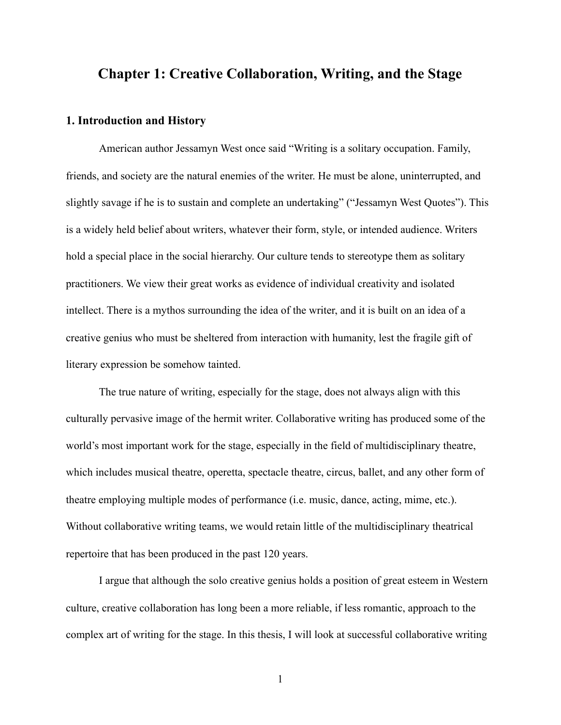# **Chapter 1: Creative Collaboration, Writing, and the Stage**

### **1. Introduction and History**

 American author Jessamyn West once said "Writing is a solitary occupation. Family, friends, and society are the natural enemies of the writer. He must be alone, uninterrupted, and slightly savage if he is to sustain and complete an undertaking" ("Jessamyn West Quotes"). This is a widely held belief about writers, whatever their form, style, or intended audience. Writers hold a special place in the social hierarchy. Our culture tends to stereotype them as solitary practitioners. We view their great works as evidence of individual creativity and isolated intellect. There is a mythos surrounding the idea of the writer, and it is built on an idea of a creative genius who must be sheltered from interaction with humanity, lest the fragile gift of literary expression be somehow tainted.

 The true nature of writing, especially for the stage, does not always align with this culturally pervasive image of the hermit writer. Collaborative writing has produced some of the world's most important work for the stage, especially in the field of multidisciplinary theatre, which includes musical theatre, operetta, spectacle theatre, circus, ballet, and any other form of theatre employing multiple modes of performance (i.e. music, dance, acting, mime, etc.). Without collaborative writing teams, we would retain little of the multidisciplinary theatrical repertoire that has been produced in the past 120 years.

 I argue that although the solo creative genius holds a position of great esteem in Western culture, creative collaboration has long been a more reliable, if less romantic, approach to the complex art of writing for the stage. In this thesis, I will look at successful collaborative writing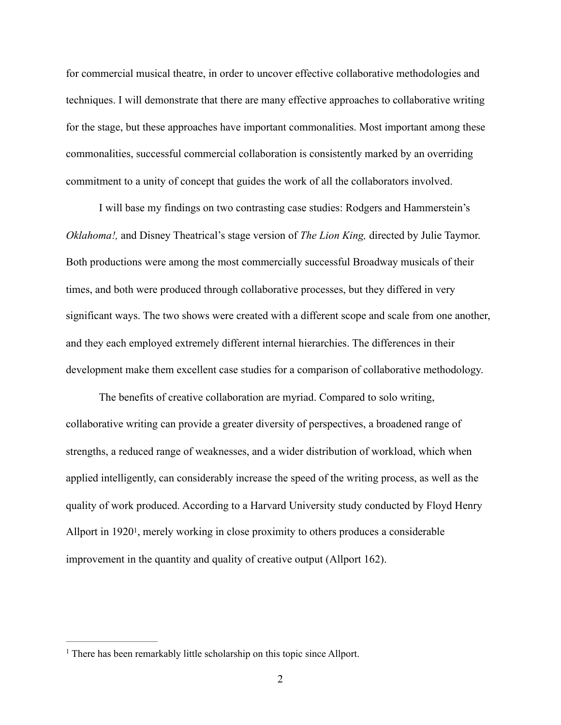for commercial musical theatre, in order to uncover effective collaborative methodologies and techniques. I will demonstrate that there are many effective approaches to collaborative writing for the stage, but these approaches have important commonalities. Most important among these commonalities, successful commercial collaboration is consistently marked by an overriding commitment to a unity of concept that guides the work of all the collaborators involved.

 I will base my findings on two contrasting case studies: Rodgers and Hammerstein's *Oklahoma!,* and Disney Theatrical's stage version of *The Lion King,* directed by Julie Taymor. Both productions were among the most commercially successful Broadway musicals of their times, and both were produced through collaborative processes, but they differed in very significant ways. The two shows were created with a different scope and scale from one another, and they each employed extremely different internal hierarchies. The differences in their development make them excellent case studies for a comparison of collaborative methodology.

 The benefits of creative collaboration are myriad. Compared to solo writing, collaborative writing can provide a greater diversity of perspectives, a broadened range of strengths, a reduced range of weaknesses, and a wider distribution of workload, which when applied intelligently, can considerably increase the speed of the writing process, as well as the quality of work produced. According to a Harvard University study conducted by Floyd Henry Allport in 1920<sup>1</sup>[,](#page-9-0) merely working in close proximity to others produces a considerable improvement in the quantity and quality of creative output (Allport 162).

<span id="page-9-1"></span><span id="page-9-0"></span> $<sup>1</sup>$  $<sup>1</sup>$  $<sup>1</sup>$  There has been remarkably little scholarship on this topic since Allport.</sup>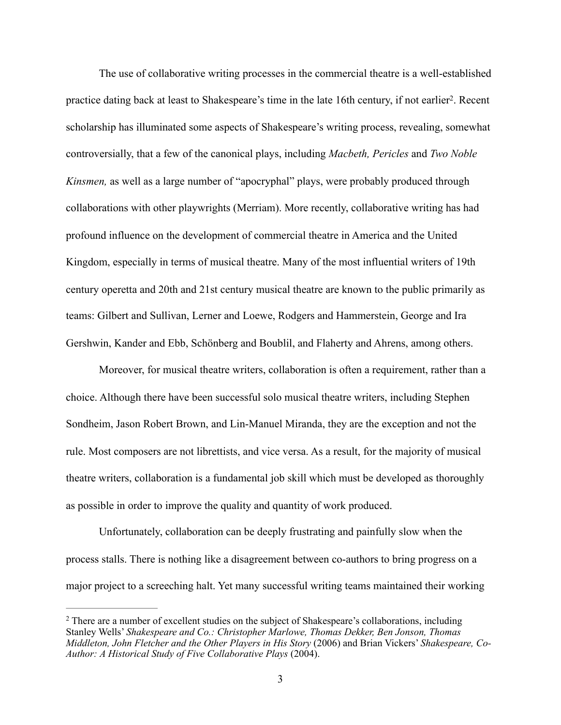<span id="page-10-1"></span> The use of collaborative writing processes in the commercial theatre is a well-established practice dating back at least to Shakespeare's time in the late 16th century, if not earlier<sup>[2](#page-10-0)</sup>. Recent scholarship has illuminated some aspects of Shakespeare's writing process, revealing, somewhat controversially, that a few of the canonical plays, including *Macbeth, Pericles* and *Two Noble Kinsmen,* as well as a large number of "apocryphal" plays, were probably produced through collaborations with other playwrights (Merriam). More recently, collaborative writing has had profound influence on the development of commercial theatre in America and the United Kingdom, especially in terms of musical theatre. Many of the most influential writers of 19th century operetta and 20th and 21st century musical theatre are known to the public primarily as teams: Gilbert and Sullivan, Lerner and Loewe, Rodgers and Hammerstein, George and Ira Gershwin, Kander and Ebb, Schönberg and Boublil, and Flaherty and Ahrens, among others.

 Moreover, for musical theatre writers, collaboration is often a requirement, rather than a choice. Although there have been successful solo musical theatre writers, including Stephen Sondheim, Jason Robert Brown, and Lin-Manuel Miranda, they are the exception and not the rule. Most composers are not librettists, and vice versa. As a result, for the majority of musical theatre writers, collaboration is a fundamental job skill which must be developed as thoroughly as possible in order to improve the quality and quantity of work produced.

 Unfortunately, collaboration can be deeply frustrating and painfully slow when the process stalls. There is nothing like a disagreement between co-authors to bring progress on a major project to a screeching halt. Yet many successful writing teams maintained their working

<span id="page-10-0"></span><sup>&</sup>lt;sup>2</sup>There are a number of excellent studies on the subject of Shakespeare's collaborations, including Stanley Wells' *Shakespeare and Co.: Christopher Marlowe, Thomas Dekker, Ben Jonson, Thomas Middleton, John Fletcher and the Other Players in His Story* (2006) and Brian Vickers' *Shakespeare, Co-Author: A Historical Study of Five Collaborative Plays* (2004).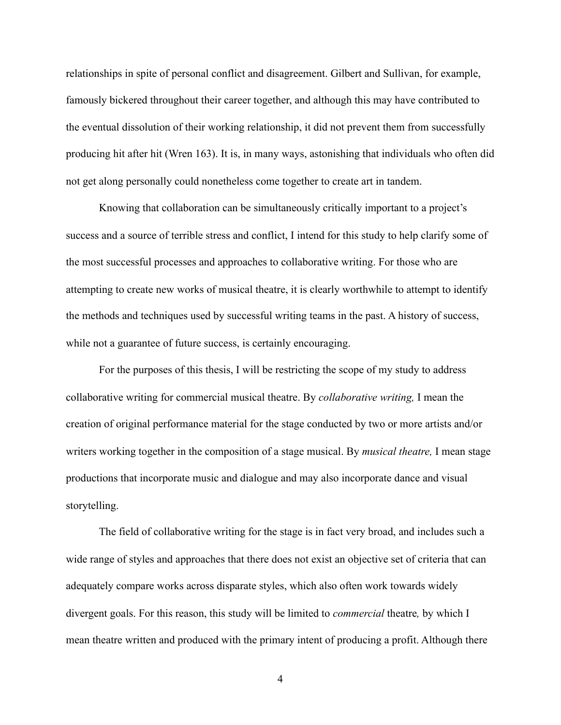relationships in spite of personal conflict and disagreement. Gilbert and Sullivan, for example, famously bickered throughout their career together, and although this may have contributed to the eventual dissolution of their working relationship, it did not prevent them from successfully producing hit after hit (Wren 163). It is, in many ways, astonishing that individuals who often did not get along personally could nonetheless come together to create art in tandem.

 Knowing that collaboration can be simultaneously critically important to a project's success and a source of terrible stress and conflict, I intend for this study to help clarify some of the most successful processes and approaches to collaborative writing. For those who are attempting to create new works of musical theatre, it is clearly worthwhile to attempt to identify the methods and techniques used by successful writing teams in the past. A history of success, while not a guarantee of future success, is certainly encouraging.

 For the purposes of this thesis, I will be restricting the scope of my study to address collaborative writing for commercial musical theatre. By *collaborative writing,* I mean the creation of original performance material for the stage conducted by two or more artists and/or writers working together in the composition of a stage musical. By *musical theatre,* I mean stage productions that incorporate music and dialogue and may also incorporate dance and visual storytelling.

 The field of collaborative writing for the stage is in fact very broad, and includes such a wide range of styles and approaches that there does not exist an objective set of criteria that can adequately compare works across disparate styles, which also often work towards widely divergent goals. For this reason, this study will be limited to *commercial* theatre*,* by which I mean theatre written and produced with the primary intent of producing a profit. Although there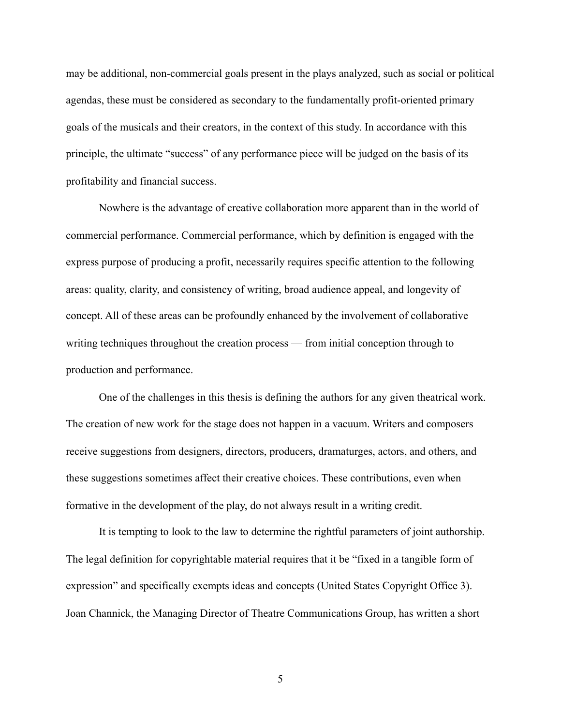may be additional, non-commercial goals present in the plays analyzed, such as social or political agendas, these must be considered as secondary to the fundamentally profit-oriented primary goals of the musicals and their creators, in the context of this study. In accordance with this principle, the ultimate "success" of any performance piece will be judged on the basis of its profitability and financial success.

 Nowhere is the advantage of creative collaboration more apparent than in the world of commercial performance. Commercial performance, which by definition is engaged with the express purpose of producing a profit, necessarily requires specific attention to the following areas: quality, clarity, and consistency of writing, broad audience appeal, and longevity of concept. All of these areas can be profoundly enhanced by the involvement of collaborative writing techniques throughout the creation process — from initial conception through to production and performance.

 One of the challenges in this thesis is defining the authors for any given theatrical work. The creation of new work for the stage does not happen in a vacuum. Writers and composers receive suggestions from designers, directors, producers, dramaturges, actors, and others, and these suggestions sometimes affect their creative choices. These contributions, even when formative in the development of the play, do not always result in a writing credit.

 It is tempting to look to the law to determine the rightful parameters of joint authorship. The legal definition for copyrightable material requires that it be "fixed in a tangible form of expression" and specifically exempts ideas and concepts (United States Copyright Office 3). Joan Channick, the Managing Director of Theatre Communications Group, has written a short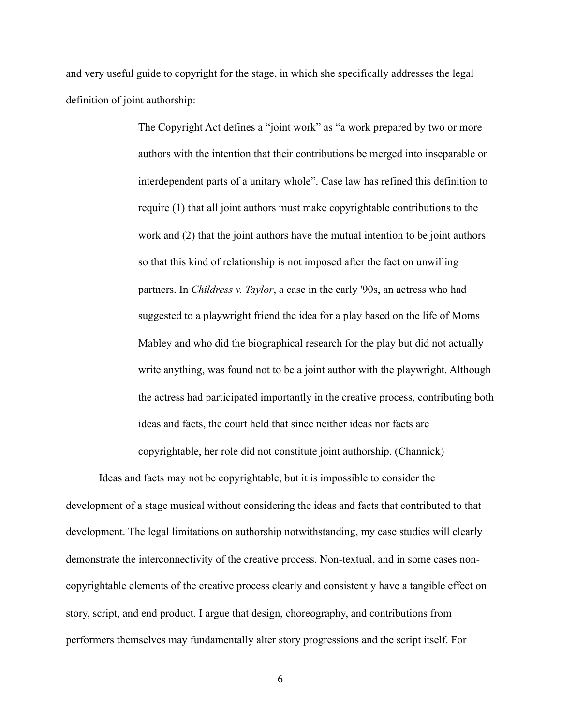and very useful guide to copyright for the stage, in which she specifically addresses the legal definition of joint authorship:

> The Copyright Act defines a "joint work" as "a work prepared by two or more authors with the intention that their contributions be merged into inseparable or interdependent parts of a unitary whole". Case law has refined this definition to require (1) that all joint authors must make copyrightable contributions to the work and (2) that the joint authors have the mutual intention to be joint authors so that this kind of relationship is not imposed after the fact on unwilling partners. In *[Childress v. Taylor](http://cyber.law.harvard.edu/metaschool/fisher/joint/links/cases/childress.html)*, a case in the early '90s, an actress who had suggested to a playwright friend the idea for a play based on the life of Moms Mabley and who did the biographical research for the play but did not actually write anything, was found not to be a joint author with the playwright. Although the actress had participated importantly in the creative process, contributing both ideas and facts, the court held that since neither ideas nor facts are

copyrightable, her role did not constitute joint authorship. (Channick)

 Ideas and facts may not be copyrightable, but it is impossible to consider the development of a stage musical without considering the ideas and facts that contributed to that development. The legal limitations on authorship notwithstanding, my case studies will clearly demonstrate the interconnectivity of the creative process. Non-textual, and in some cases noncopyrightable elements of the creative process clearly and consistently have a tangible effect on story, script, and end product. I argue that design, choreography, and contributions from performers themselves may fundamentally alter story progressions and the script itself. For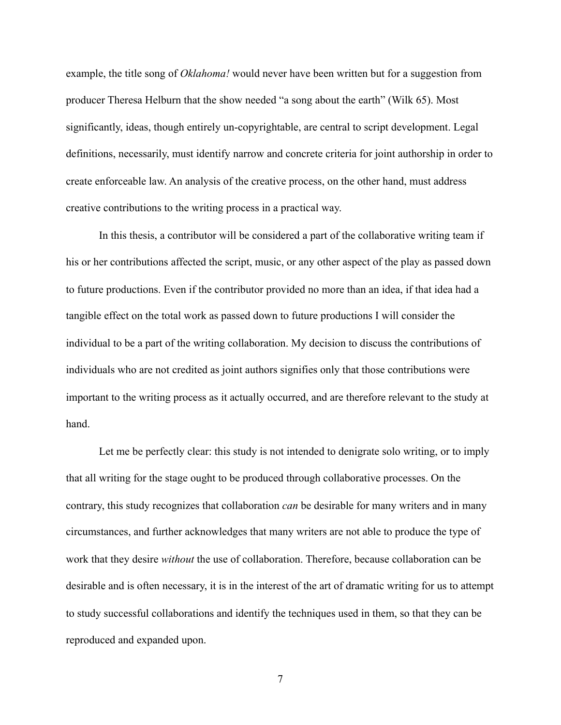example, the title song of *Oklahoma!* would never have been written but for a suggestion from producer Theresa Helburn that the show needed "a song about the earth" (Wilk 65). Most significantly, ideas, though entirely un-copyrightable, are central to script development. Legal definitions, necessarily, must identify narrow and concrete criteria for joint authorship in order to create enforceable law. An analysis of the creative process, on the other hand, must address creative contributions to the writing process in a practical way.

 In this thesis, a contributor will be considered a part of the collaborative writing team if his or her contributions affected the script, music, or any other aspect of the play as passed down to future productions. Even if the contributor provided no more than an idea, if that idea had a tangible effect on the total work as passed down to future productions I will consider the individual to be a part of the writing collaboration. My decision to discuss the contributions of individuals who are not credited as joint authors signifies only that those contributions were important to the writing process as it actually occurred, and are therefore relevant to the study at hand.

 Let me be perfectly clear: this study is not intended to denigrate solo writing, or to imply that all writing for the stage ought to be produced through collaborative processes. On the contrary, this study recognizes that collaboration *can* be desirable for many writers and in many circumstances, and further acknowledges that many writers are not able to produce the type of work that they desire *without* the use of collaboration. Therefore, because collaboration can be desirable and is often necessary, it is in the interest of the art of dramatic writing for us to attempt to study successful collaborations and identify the techniques used in them, so that they can be reproduced and expanded upon.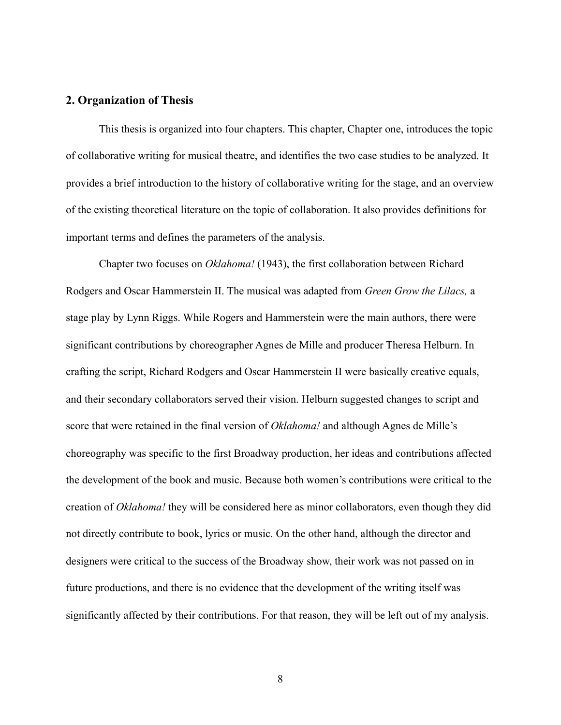#### **2. Organization of Thesis**

 This thesis is organized into four chapters. This chapter, Chapter one, introduces the topic of collaborative writing for musical theatre, and identifies the two case studies to be analyzed. It provides a brief introduction to the history of collaborative writing for the stage, and an overview of the existing theoretical literature on the topic of collaboration. It also provides definitions for important terms and defines the parameters of the analysis.

 Chapter two focuses on *Oklahoma!* (1943), the first collaboration between Richard Rodgers and Oscar Hammerstein II. The musical was adapted from *Green Grow the Lilacs,* a stage play by Lynn Riggs. While Rogers and Hammerstein were the main authors, there were significant contributions by choreographer Agnes de Mille and producer Theresa Helburn. In crafting the script, Richard Rodgers and Oscar Hammerstein II were basically creative equals, and their secondary collaborators served their vision. Helburn suggested changes to script and score that were retained in the final version of *Oklahoma!* and although Agnes de Mille's choreography was specific to the first Broadway production, her ideas and contributions affected the development of the book and music. Because both women's contributions were critical to the creation of *Oklahoma!* they will be considered here as minor collaborators, even though they did not directly contribute to book, lyrics or music. On the other hand, although the director and designers were critical to the success of the Broadway show, their work was not passed on in future productions, and there is no evidence that the development of the writing itself was significantly affected by their contributions. For that reason, they will be left out of my analysis.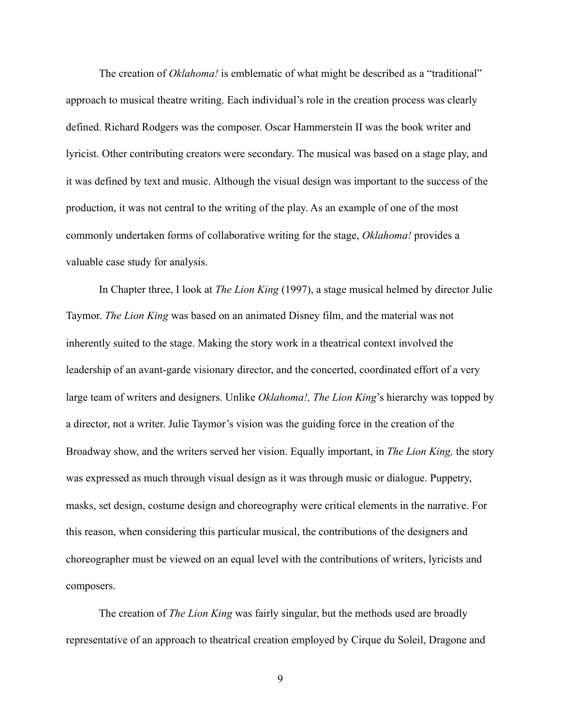The creation of *Oklahoma!* is emblematic of what might be described as a "traditional" approach to musical theatre writing. Each individual's role in the creation process was clearly defined. Richard Rodgers was the composer. Oscar Hammerstein II was the book writer and lyricist. Other contributing creators were secondary. The musical was based on a stage play, and it was defined by text and music. Although the visual design was important to the success of the production, it was not central to the writing of the play. As an example of one of the most commonly undertaken forms of collaborative writing for the stage, *Oklahoma!* provides a valuable case study for analysis.

 In Chapter three, I look at *The Lion King* (1997), a stage musical helmed by director Julie Taymor. *The Lion King* was based on an animated Disney film, and the material was not inherently suited to the stage. Making the story work in a theatrical context involved the leadership of an avant-garde visionary director, and the concerted, coordinated effort of a very large team of writers and designers. Unlike *Oklahoma!, The Lion King*'s hierarchy was topped by a director, not a writer. Julie Taymor's vision was the guiding force in the creation of the Broadway show, and the writers served her vision. Equally important, in *The Lion King,* the story was expressed as much through visual design as it was through music or dialogue. Puppetry, masks, set design, costume design and choreography were critical elements in the narrative. For this reason, when considering this particular musical, the contributions of the designers and choreographer must be viewed on an equal level with the contributions of writers, lyricists and composers.

 The creation of *The Lion King* was fairly singular, but the methods used are broadly representative of an approach to theatrical creation employed by Cirque du Soleil, Dragone and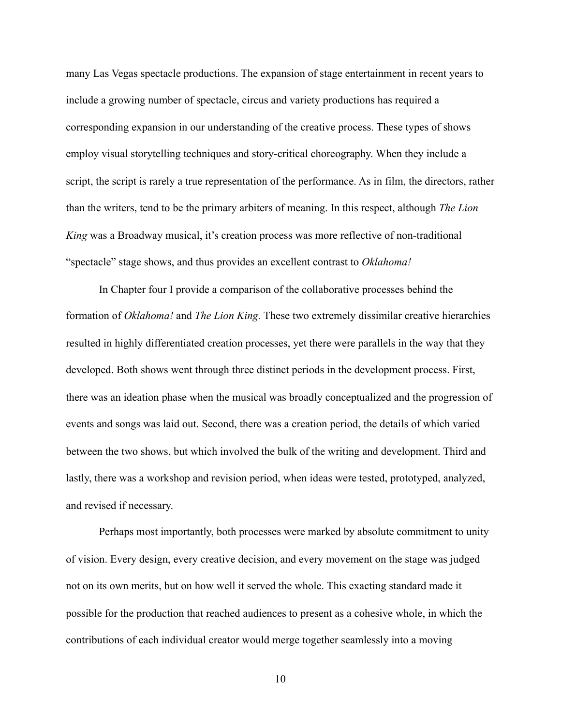many Las Vegas spectacle productions. The expansion of stage entertainment in recent years to include a growing number of spectacle, circus and variety productions has required a corresponding expansion in our understanding of the creative process. These types of shows employ visual storytelling techniques and story-critical choreography. When they include a script, the script is rarely a true representation of the performance. As in film, the directors, rather than the writers, tend to be the primary arbiters of meaning. In this respect, although *The Lion King* was a Broadway musical, it's creation process was more reflective of non-traditional "spectacle" stage shows, and thus provides an excellent contrast to *Oklahoma!*

 In Chapter four I provide a comparison of the collaborative processes behind the formation of *Oklahoma!* and *The Lion King.* These two extremely dissimilar creative hierarchies resulted in highly differentiated creation processes, yet there were parallels in the way that they developed. Both shows went through three distinct periods in the development process. First, there was an ideation phase when the musical was broadly conceptualized and the progression of events and songs was laid out. Second, there was a creation period, the details of which varied between the two shows, but which involved the bulk of the writing and development. Third and lastly, there was a workshop and revision period, when ideas were tested, prototyped, analyzed, and revised if necessary.

 Perhaps most importantly, both processes were marked by absolute commitment to unity of vision. Every design, every creative decision, and every movement on the stage was judged not on its own merits, but on how well it served the whole. This exacting standard made it possible for the production that reached audiences to present as a cohesive whole, in which the contributions of each individual creator would merge together seamlessly into a moving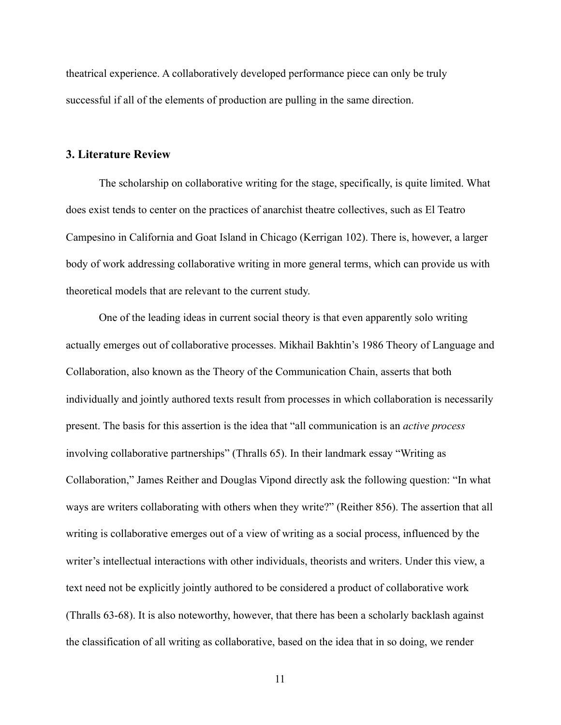theatrical experience. A collaboratively developed performance piece can only be truly successful if all of the elements of production are pulling in the same direction.

#### **3. Literature Review**

 The scholarship on collaborative writing for the stage, specifically, is quite limited. What does exist tends to center on the practices of anarchist theatre collectives, such as El Teatro Campesino in California and Goat Island in Chicago (Kerrigan 102). There is, however, a larger body of work addressing collaborative writing in more general terms, which can provide us with theoretical models that are relevant to the current study.

 One of the leading ideas in current social theory is that even apparently solo writing actually emerges out of collaborative processes. Mikhail Bakhtin's 1986 Theory of Language and Collaboration, also known as the Theory of the Communication Chain, asserts that both individually and jointly authored texts result from processes in which collaboration is necessarily present. The basis for this assertion is the idea that "all communication is an *active process*  involving collaborative partnerships" (Thralls 65). In their landmark essay "Writing as Collaboration," James Reither and Douglas Vipond directly ask the following question: "In what ways are writers collaborating with others when they write?" (Reither 856). The assertion that all writing is collaborative emerges out of a view of writing as a social process, influenced by the writer's intellectual interactions with other individuals, theorists and writers. Under this view, a text need not be explicitly jointly authored to be considered a product of collaborative work (Thralls 63-68). It is also noteworthy, however, that there has been a scholarly backlash against the classification of all writing as collaborative, based on the idea that in so doing, we render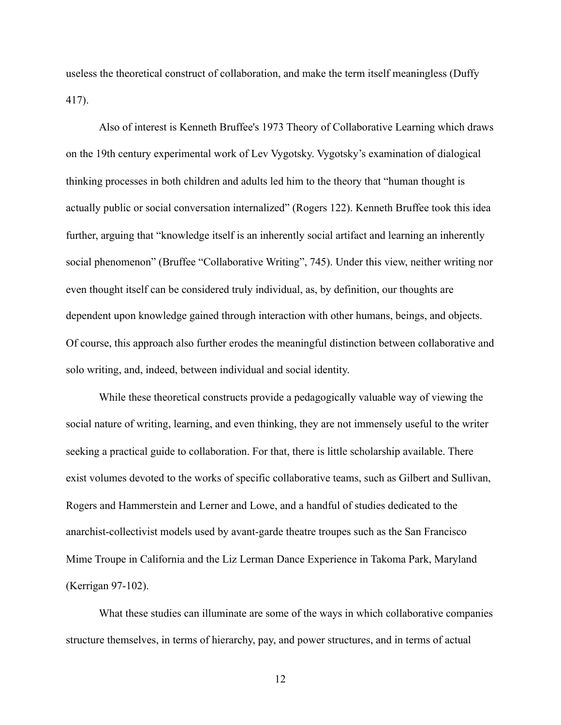useless the theoretical construct of collaboration, and make the term itself meaningless (Duffy 417).

 Also of interest is Kenneth Bruffee's 1973 Theory of Collaborative Learning which draws on the 19th century experimental work of Lev Vygotsky. Vygotsky's examination of dialogical thinking processes in both children and adults led him to the theory that "human thought is actually public or social conversation internalized" (Rogers 122). Kenneth Bruffee took this idea further, arguing that "knowledge itself is an inherently social artifact and learning an inherently social phenomenon" (Bruffee "Collaborative Writing", 745). Under this view, neither writing nor even thought itself can be considered truly individual, as, by definition, our thoughts are dependent upon knowledge gained through interaction with other humans, beings, and objects. Of course, this approach also further erodes the meaningful distinction between collaborative and solo writing, and, indeed, between individual and social identity.

 While these theoretical constructs provide a pedagogically valuable way of viewing the social nature of writing, learning, and even thinking, they are not immensely useful to the writer seeking a practical guide to collaboration. For that, there is little scholarship available. There exist volumes devoted to the works of specific collaborative teams, such as Gilbert and Sullivan, Rogers and Hammerstein and Lerner and Lowe, and a handful of studies dedicated to the anarchist-collectivist models used by avant-garde theatre troupes such as the San Francisco Mime Troupe in California and the Liz Lerman Dance Experience in Takoma Park, Maryland (Kerrigan 97-102).

 What these studies can illuminate are some of the ways in which collaborative companies structure themselves, in terms of hierarchy, pay, and power structures, and in terms of actual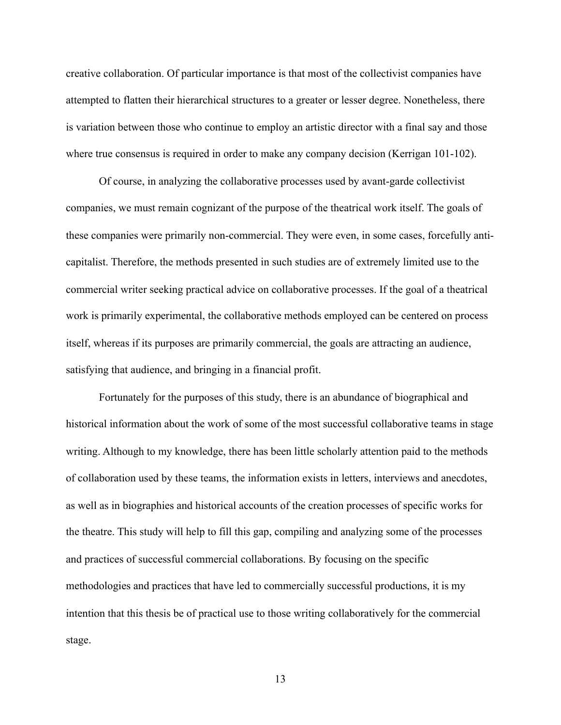creative collaboration. Of particular importance is that most of the collectivist companies have attempted to flatten their hierarchical structures to a greater or lesser degree. Nonetheless, there is variation between those who continue to employ an artistic director with a final say and those where true consensus is required in order to make any company decision (Kerrigan 101-102).

 Of course, in analyzing the collaborative processes used by avant-garde collectivist companies, we must remain cognizant of the purpose of the theatrical work itself. The goals of these companies were primarily non-commercial. They were even, in some cases, forcefully anticapitalist. Therefore, the methods presented in such studies are of extremely limited use to the commercial writer seeking practical advice on collaborative processes. If the goal of a theatrical work is primarily experimental, the collaborative methods employed can be centered on process itself, whereas if its purposes are primarily commercial, the goals are attracting an audience, satisfying that audience, and bringing in a financial profit.

 Fortunately for the purposes of this study, there is an abundance of biographical and historical information about the work of some of the most successful collaborative teams in stage writing. Although to my knowledge, there has been little scholarly attention paid to the methods of collaboration used by these teams, the information exists in letters, interviews and anecdotes, as well as in biographies and historical accounts of the creation processes of specific works for the theatre. This study will help to fill this gap, compiling and analyzing some of the processes and practices of successful commercial collaborations. By focusing on the specific methodologies and practices that have led to commercially successful productions, it is my intention that this thesis be of practical use to those writing collaboratively for the commercial stage.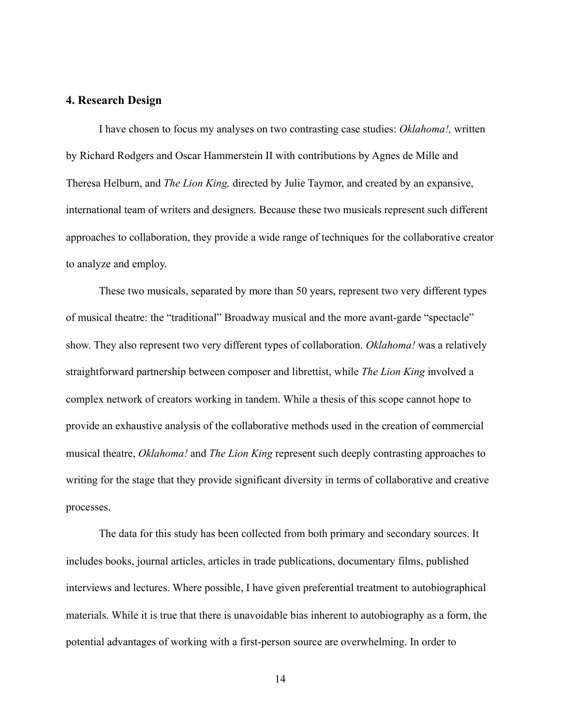### **4. Research Design**

 I have chosen to focus my analyses on two contrasting case studies: *Oklahoma!,* written by Richard Rodgers and Oscar Hammerstein II with contributions by Agnes de Mille and Theresa Helburn, and *The Lion King,* directed by Julie Taymor, and created by an expansive, international team of writers and designers. Because these two musicals represent such different approaches to collaboration, they provide a wide range of techniques for the collaborative creator to analyze and employ.

 These two musicals, separated by more than 50 years, represent two very different types of musical theatre: the "traditional" Broadway musical and the more avant-garde "spectacle" show. They also represent two very different types of collaboration. *Oklahoma!* was a relatively straightforward partnership between composer and librettist, while *The Lion King* involved a complex network of creators working in tandem. While a thesis of this scope cannot hope to provide an exhaustive analysis of the collaborative methods used in the creation of commercial musical theatre, *Oklahoma!* and *The Lion King* represent such deeply contrasting approaches to writing for the stage that they provide significant diversity in terms of collaborative and creative processes.

The data for this study has been collected from both primary and secondary sources. It includes books, journal articles, articles in trade publications, documentary films, published interviews and lectures. Where possible, I have given preferential treatment to autobiographical materials. While it is true that there is unavoidable bias inherent to autobiography as a form, the potential advantages of working with a first-person source are overwhelming. In order to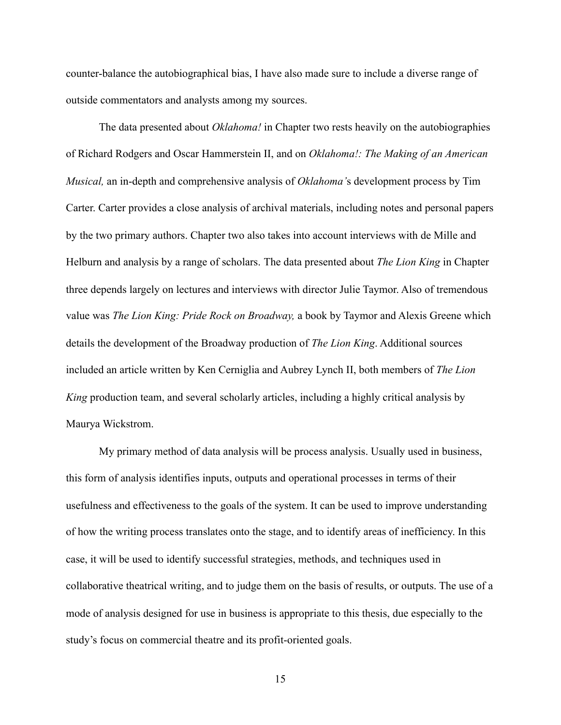counter-balance the autobiographical bias, I have also made sure to include a diverse range of outside commentators and analysts among my sources.

 The data presented about *Oklahoma!* in Chapter two rests heavily on the autobiographies of Richard Rodgers and Oscar Hammerstein II, and on *Oklahoma!: The Making of an American Musical,* an in-depth and comprehensive analysis of *Oklahoma'*s development process by Tim Carter. Carter provides a close analysis of archival materials, including notes and personal papers by the two primary authors. Chapter two also takes into account interviews with de Mille and Helburn and analysis by a range of scholars. The data presented about *The Lion King* in Chapter three depends largely on lectures and interviews with director Julie Taymor. Also of tremendous value was *The Lion King: Pride Rock on Broadway,* a book by Taymor and Alexis Greene which details the development of the Broadway production of *The Lion King*. Additional sources included an article written by Ken Cerniglia and Aubrey Lynch II, both members of *The Lion King* production team, and several scholarly articles, including a highly critical analysis by Maurya Wickstrom.

 My primary method of data analysis will be process analysis. Usually used in business, this form of analysis identifies inputs, outputs and operational processes in terms of their usefulness and effectiveness to the goals of the system. It can be used to improve understanding of how the writing process translates onto the stage, and to identify areas of inefficiency. In this case, it will be used to identify successful strategies, methods, and techniques used in collaborative theatrical writing, and to judge them on the basis of results, or outputs. The use of a mode of analysis designed for use in business is appropriate to this thesis, due especially to the study's focus on commercial theatre and its profit-oriented goals.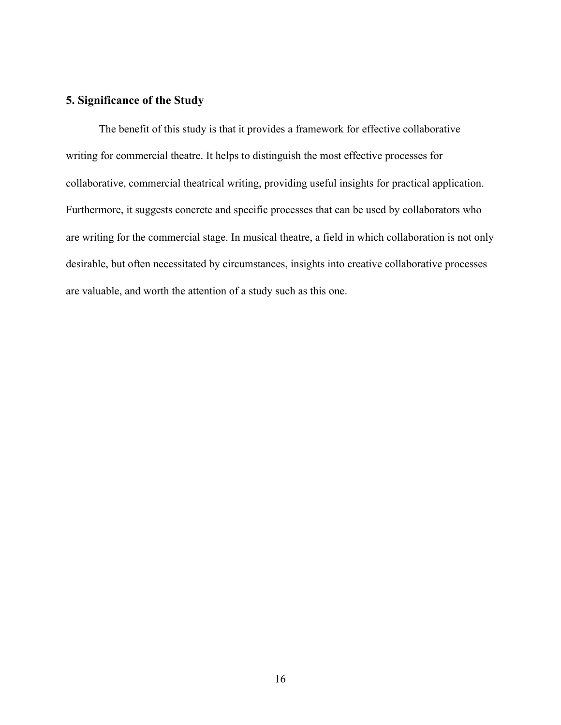# **5. Significance of the Study**

The benefit of this study is that it provides a framework for effective collaborative writing for commercial theatre. It helps to distinguish the most effective processes for collaborative, commercial theatrical writing, providing useful insights for practical application. Furthermore, it suggests concrete and specific processes that can be used by collaborators who are writing for the commercial stage. In musical theatre, a field in which collaboration is not only desirable, but often necessitated by circumstances, insights into creative collaborative processes are valuable, and worth the attention of a study such as this one.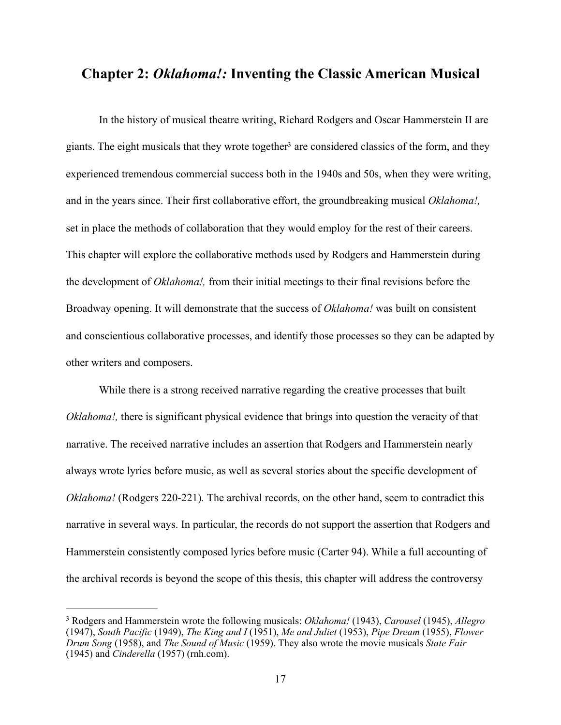# <span id="page-24-1"></span>**Chapter 2:** *Oklahoma!:* **Inventing the Classic American Musical**

 In the history of musical theatre writing, Richard Rodgers and Oscar Hammerstein II are giants. The eight musicals that they w[r](#page-24-0)ote together<sup>[3](#page-24-0)</sup> are considered classics of the form, and they experienced tremendous commercial success both in the 1940s and 50s, when they were writing, and in the years since. Their first collaborative effort, the groundbreaking musical *Oklahoma!,*  set in place the methods of collaboration that they would employ for the rest of their careers. This chapter will explore the collaborative methods used by Rodgers and Hammerstein during the development of *Oklahoma!,* from their initial meetings to their final revisions before the Broadway opening. It will demonstrate that the success of *Oklahoma!* was built on consistent and conscientious collaborative processes, and identify those processes so they can be adapted by other writers and composers.

 While there is a strong received narrative regarding the creative processes that built *Oklahoma!*, there is significant physical evidence that brings into question the veracity of that narrative. The received narrative includes an assertion that Rodgers and Hammerstein nearly always wrote lyrics before music, as well as several stories about the specific development of *Oklahoma!* (Rodgers 220-221). The archival records, on the other hand, seem to contradict this narrative in several ways. In particular, the records do not support the assertion that Rodgers and Hammerstein consistently composed lyrics before music (Carter 94). While a full accounting of the archival records is beyond the scope of this thesis, this chapter will address the controversy

<span id="page-24-0"></span>Rodgers and Hammerstein wrote the following musicals: *Oklahoma!* (1943), *Carousel* (1945), *Allegro* [3](#page-24-1) (1947), *South Pacific* (1949), *The King and I* (1951), *Me and Juliet* (1953), *Pipe Dream* (1955), *Flower Drum Song* (1958), and *The Sound of Music* (1959). They also wrote the movie musicals *State Fair*  (1945) and *Cinderella* (1957) ([rnh.com](http://rnh.com)).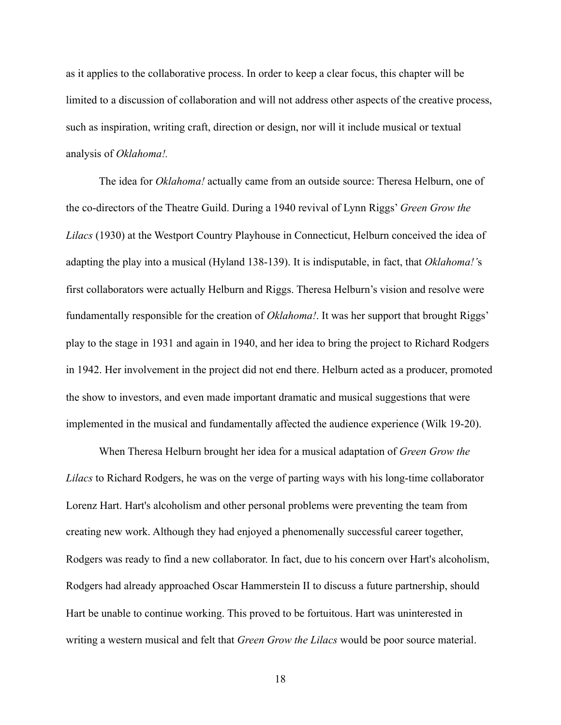as it applies to the collaborative process. In order to keep a clear focus, this chapter will be limited to a discussion of collaboration and will not address other aspects of the creative process, such as inspiration, writing craft, direction or design, nor will it include musical or textual analysis of *Oklahoma!.*

 The idea for *Oklahoma!* actually came from an outside source: Theresa Helburn, one of the co-directors of the Theatre Guild. During a 1940 revival of Lynn Riggs' *Green Grow the Lilacs* (1930) at the Westport Country Playhouse in Connecticut, Helburn conceived the idea of adapting the play into a musical (Hyland 138-139). It is indisputable, in fact, that *Oklahoma!'*s first collaborators were actually Helburn and Riggs. Theresa Helburn's vision and resolve were fundamentally responsible for the creation of *Oklahoma!*. It was her support that brought Riggs' play to the stage in 1931 and again in 1940, and her idea to bring the project to Richard Rodgers in 1942. Her involvement in the project did not end there. Helburn acted as a producer, promoted the show to investors, and even made important dramatic and musical suggestions that were implemented in the musical and fundamentally affected the audience experience (Wilk 19-20).

 When Theresa Helburn brought her idea for a musical adaptation of *Green Grow the Lilacs* to Richard Rodgers, he was on the verge of parting ways with his long-time collaborator Lorenz Hart. Hart's alcoholism and other personal problems were preventing the team from creating new work. Although they had enjoyed a phenomenally successful career together, Rodgers was ready to find a new collaborator. In fact, due to his concern over Hart's alcoholism, Rodgers had already approached Oscar Hammerstein II to discuss a future partnership, should Hart be unable to continue working. This proved to be fortuitous. Hart was uninterested in writing a western musical and felt that *Green Grow the Lilacs* would be poor source material.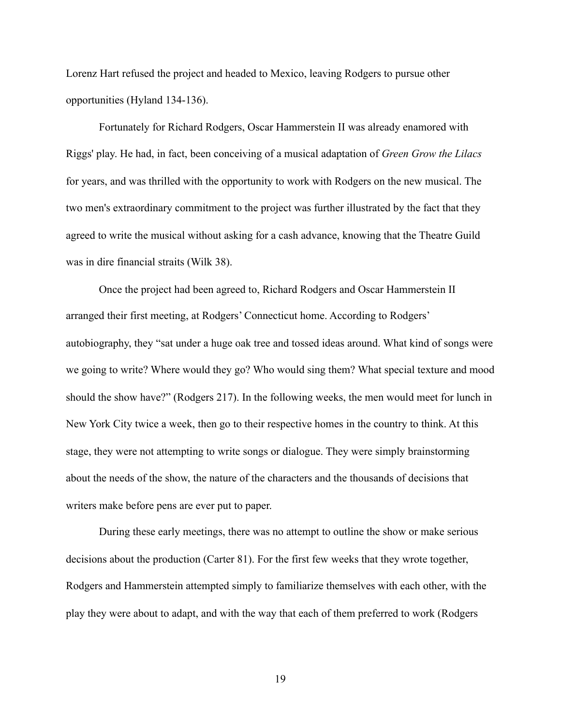Lorenz Hart refused the project and headed to Mexico, leaving Rodgers to pursue other opportunities (Hyland 134-136).

 Fortunately for Richard Rodgers, Oscar Hammerstein II was already enamored with Riggs' play. He had, in fact, been conceiving of a musical adaptation of *Green Grow the Lilacs* for years, and was thrilled with the opportunity to work with Rodgers on the new musical. The two men's extraordinary commitment to the project was further illustrated by the fact that they agreed to write the musical without asking for a cash advance, knowing that the Theatre Guild was in dire financial straits (Wilk 38).

 Once the project had been agreed to, Richard Rodgers and Oscar Hammerstein II arranged their first meeting, at Rodgers' Connecticut home. According to Rodgers' autobiography, they "sat under a huge oak tree and tossed ideas around. What kind of songs were we going to write? Where would they go? Who would sing them? What special texture and mood should the show have?" (Rodgers 217). In the following weeks, the men would meet for lunch in New York City twice a week, then go to their respective homes in the country to think. At this stage, they were not attempting to write songs or dialogue. They were simply brainstorming about the needs of the show, the nature of the characters and the thousands of decisions that writers make before pens are ever put to paper.

 During these early meetings, there was no attempt to outline the show or make serious decisions about the production (Carter 81). For the first few weeks that they wrote together, Rodgers and Hammerstein attempted simply to familiarize themselves with each other, with the play they were about to adapt, and with the way that each of them preferred to work (Rodgers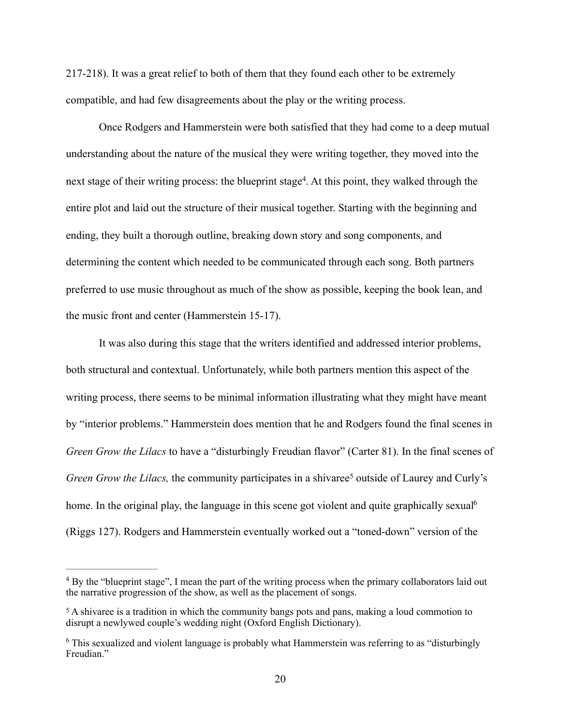217-218). It was a great relief to both of them that they found each other to be extremely compatible, and had few disagreements about the play or the writing process.

<span id="page-27-3"></span> Once Rodgers and Hammerstein were both satisfied that they had come to a deep mutual understanding about the nature of the musical they were writing together, they moved into the next stage of their writing process: the blueprint stage<sup>4</sup>[.](#page-27-0) At this point, they walked through the entire plot and laid out the structure of their musical together. Starting with the beginning and ending, they built a thorough outline, breaking down story and song components, and determining the content which needed to be communicated through each song. Both partners preferred to use music throughout as much of the show as possible, keeping the book lean, and the music front and center (Hammerstein 15-17).

 It was also during this stage that the writers identified and addressed interior problems, both structural and contextual. Unfortunately, while both partners mention this aspect of the writing process, there seems to be minimal information illustrating what they might have meant by "interior problems." Hammerstein does mention that he and Rodgers found the final scenes in *Green Grow the Lilacs* to have a "disturbingly Freudian flavor" (Carter 81). In the final scenes of *GreenGrow the Lilacs,* the community participates in a shivaree<sup>[5](#page-27-1)</sup> outside of Laurey and Curly's home. In the original play, the language in this scene got violent and quite graphically sexual<sup>6</sup> (Riggs 127). Rodgers and Hammerstein eventually worked out a "toned-down" version of the

<span id="page-27-5"></span><span id="page-27-4"></span><span id="page-27-0"></span><sup>&</sup>lt;sup>[4](#page-27-3)</sup> By the "blueprint stage", I mean the part of the writing process when the primary collaborators laid out the narrative progression of the show, as well as the placement of songs.

<span id="page-27-1"></span> $5$ A shivaree is a tradition in which the community bangs pots and pans, making a loud commotion to disrupt a newlywed couple's wedding night (Oxford English Dictionary).

<span id="page-27-2"></span><sup>&</sup>lt;sup>[6](#page-27-5)</sup> This sexualized and violent language is probably what Hammerstein was referring to as "disturbingly" Freudian<sup>"</sup>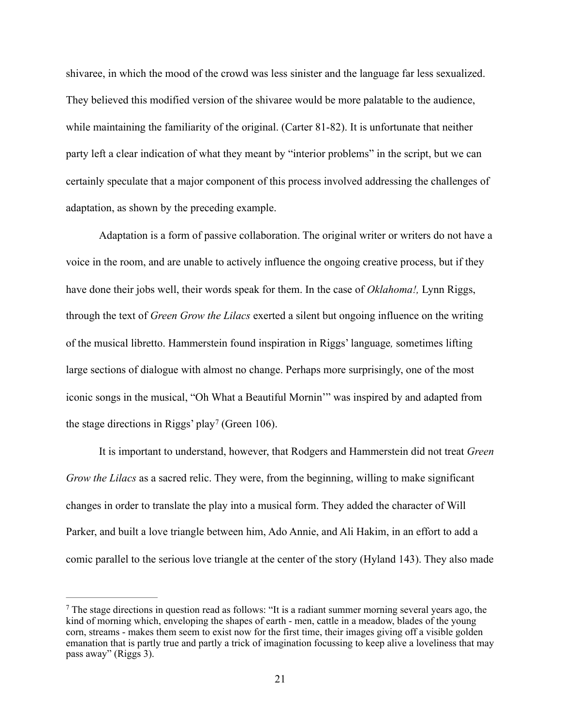shivaree, in which the mood of the crowd was less sinister and the language far less sexualized. They believed this modified version of the shivaree would be more palatable to the audience, while maintaining the familiarity of the original. (Carter 81-82). It is unfortunate that neither party left a clear indication of what they meant by "interior problems" in the script, but we can certainly speculate that a major component of this process involved addressing the challenges of adaptation, as shown by the preceding example.

 Adaptation is a form of passive collaboration. The original writer or writers do not have a voice in the room, and are unable to actively influence the ongoing creative process, but if they have done their jobs well, their words speak for them. In the case of *Oklahoma!,* Lynn Riggs, through the text of *Green Grow the Lilacs* exerted a silent but ongoing influence on the writing of the musical libretto. Hammerstein found inspiration in Riggs' language*,* sometimes lifting large sections of dialogue with almost no change. Perhaps more surprisingly, one of the most iconic songs in the musical, "Oh What a Beautiful Mornin'" was inspired by and adapted from thestage directions in Riggs' play<sup>[7](#page-28-0)</sup> (Green 106).

<span id="page-28-1"></span> It is important to understand, however, that Rodgers and Hammerstein did not treat *Green Grow the Lilacs* as a sacred relic. They were, from the beginning, willing to make significant changes in order to translate the play into a musical form. They added the character of Will Parker, and built a love triangle between him, Ado Annie, and Ali Hakim, in an effort to add a comic parallel to the serious love triangle at the center of the story (Hyland 143). They also made

<span id="page-28-0"></span>The stage directions in question read as follows: "It is a radiant summer morning several years ago, the kind of morning which, enveloping the shapes of earth - men, cattle in a meadow, blades of the young corn, streams - makes them seem to exist now for the first time, their images giving off a visible golden emanation that is partly true and partly a trick of imagination focussing to keep alive a loveliness that may pass away" (Riggs 3).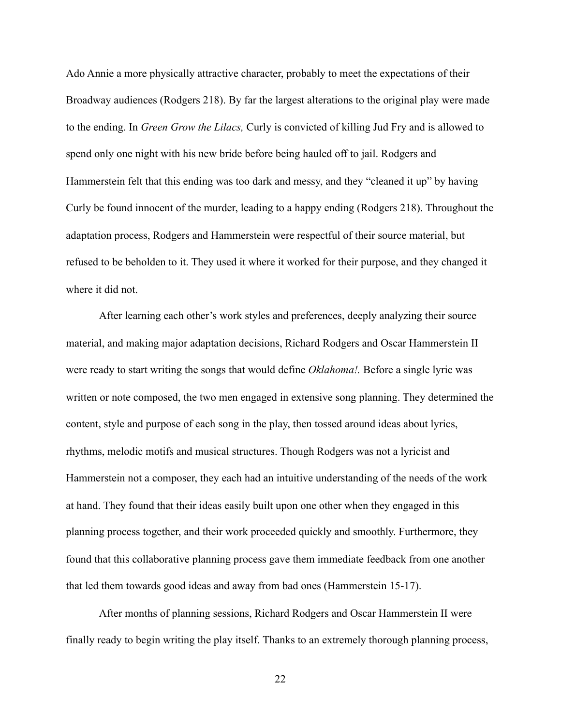Ado Annie a more physically attractive character, probably to meet the expectations of their Broadway audiences (Rodgers 218). By far the largest alterations to the original play were made to the ending. In *Green Grow the Lilacs,* Curly is convicted of killing Jud Fry and is allowed to spend only one night with his new bride before being hauled off to jail. Rodgers and Hammerstein felt that this ending was too dark and messy, and they "cleaned it up" by having Curly be found innocent of the murder, leading to a happy ending (Rodgers 218). Throughout the adaptation process, Rodgers and Hammerstein were respectful of their source material, but refused to be beholden to it. They used it where it worked for their purpose, and they changed it where it did not.

 After learning each other's work styles and preferences, deeply analyzing their source material, and making major adaptation decisions, Richard Rodgers and Oscar Hammerstein II were ready to start writing the songs that would define *Oklahoma!.* Before a single lyric was written or note composed, the two men engaged in extensive song planning. They determined the content, style and purpose of each song in the play, then tossed around ideas about lyrics, rhythms, melodic motifs and musical structures. Though Rodgers was not a lyricist and Hammerstein not a composer, they each had an intuitive understanding of the needs of the work at hand. They found that their ideas easily built upon one other when they engaged in this planning process together, and their work proceeded quickly and smoothly. Furthermore, they found that this collaborative planning process gave them immediate feedback from one another that led them towards good ideas and away from bad ones (Hammerstein 15-17).

 After months of planning sessions, Richard Rodgers and Oscar Hammerstein II were finally ready to begin writing the play itself. Thanks to an extremely thorough planning process,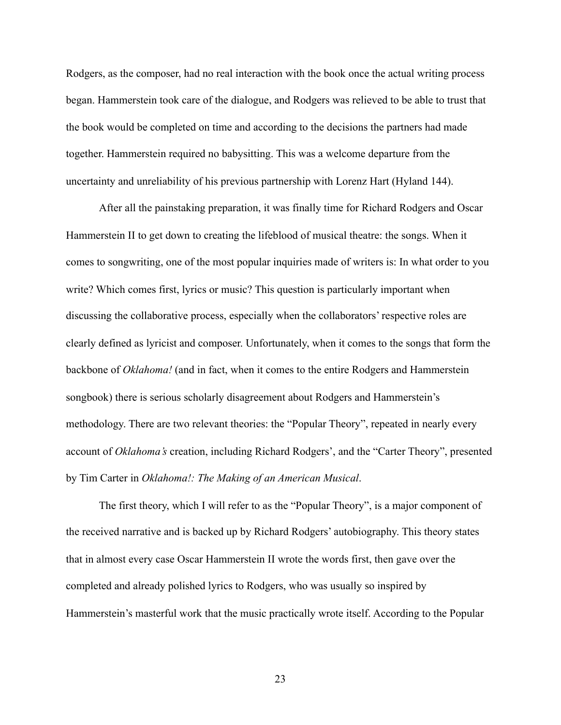Rodgers, as the composer, had no real interaction with the book once the actual writing process began. Hammerstein took care of the dialogue, and Rodgers was relieved to be able to trust that the book would be completed on time and according to the decisions the partners had made together. Hammerstein required no babysitting. This was a welcome departure from the uncertainty and unreliability of his previous partnership with Lorenz Hart (Hyland 144).

 After all the painstaking preparation, it was finally time for Richard Rodgers and Oscar Hammerstein II to get down to creating the lifeblood of musical theatre: the songs. When it comes to songwriting, one of the most popular inquiries made of writers is: In what order to you write? Which comes first, lyrics or music? This question is particularly important when discussing the collaborative process, especially when the collaborators' respective roles are clearly defined as lyricist and composer. Unfortunately, when it comes to the songs that form the backbone of *Oklahoma!* (and in fact, when it comes to the entire Rodgers and Hammerstein songbook) there is serious scholarly disagreement about Rodgers and Hammerstein's methodology. There are two relevant theories: the "Popular Theory", repeated in nearly every account of *Oklahoma's* creation, including Richard Rodgers', and the "Carter Theory", presented by Tim Carter in *Oklahoma!: The Making of an American Musical*.

 The first theory, which I will refer to as the "Popular Theory", is a major component of the received narrative and is backed up by Richard Rodgers' autobiography. This theory states that in almost every case Oscar Hammerstein II wrote the words first, then gave over the completed and already polished lyrics to Rodgers, who was usually so inspired by Hammerstein's masterful work that the music practically wrote itself. According to the Popular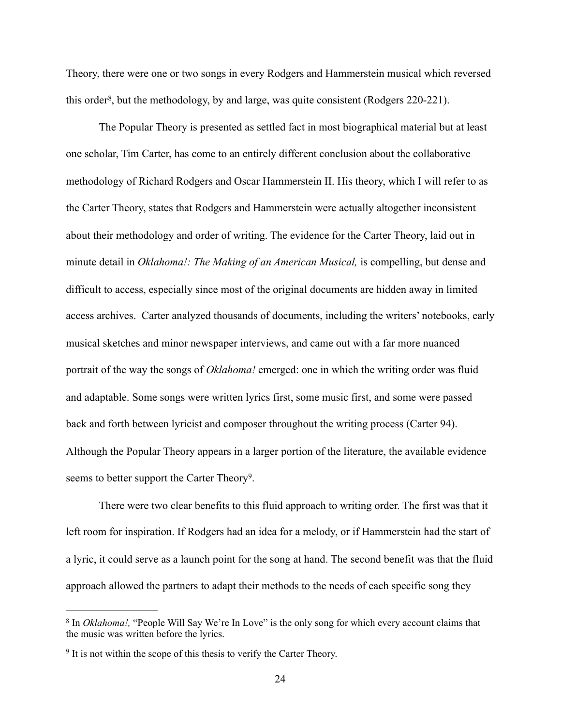Theory, there were one or two songs in every Rodgers and Hammerstein musical which reversed this order<sup>8</sup>[,](#page-31-0) but the methodology, by and large, was quite consistent (Rodgers 220-221).

<span id="page-31-2"></span> The Popular Theory is presented as settled fact in most biographical material but at least one scholar, Tim Carter, has come to an entirely different conclusion about the collaborative methodology of Richard Rodgers and Oscar Hammerstein II. His theory, which I will refer to as the Carter Theory, states that Rodgers and Hammerstein were actually altogether inconsistent about their methodology and order of writing. The evidence for the Carter Theory, laid out in minute detail in *Oklahoma!: The Making of an American Musical,* is compelling, but dense and difficult to access, especially since most of the original documents are hidden away in limited access archives. Carter analyzed thousands of documents, including the writers' notebooks, early musical sketches and minor newspaper interviews, and came out with a far more nuanced portrait of the way the songs of *Oklahoma!* emerged: one in which the writing order was fluid and adaptable. Some songs were written lyrics first, some music first, and some were passed back and forth between lyricist and composer throughout the writing process (Carter 94). Although the Popular Theory appears in a larger portion of the literature, the available evidence seems to better support the Carter Theory<sup>[9](#page-31-1)</sup>.

<span id="page-31-3"></span> There were two clear benefits to this fluid approach to writing order. The first was that it left room for inspiration. If Rodgers had an idea for a melody, or if Hammerstein had the start of a lyric, it could serve as a launch point for the song at hand. The second benefit was that the fluid approach allowed the partners to adapt their methods to the needs of each specific song they

<span id="page-31-0"></span><sup>&</sup>lt;sup>[8](#page-31-2)</sup> In *Oklahoma!*, "People Will Say We're In Love" is the only song for which every account claims that the music was written before the lyrics.

<span id="page-31-1"></span> $\frac{9}{9}$  $\frac{9}{9}$  $\frac{9}{9}$  It is not within the scope of this thesis to verify the Carter Theory.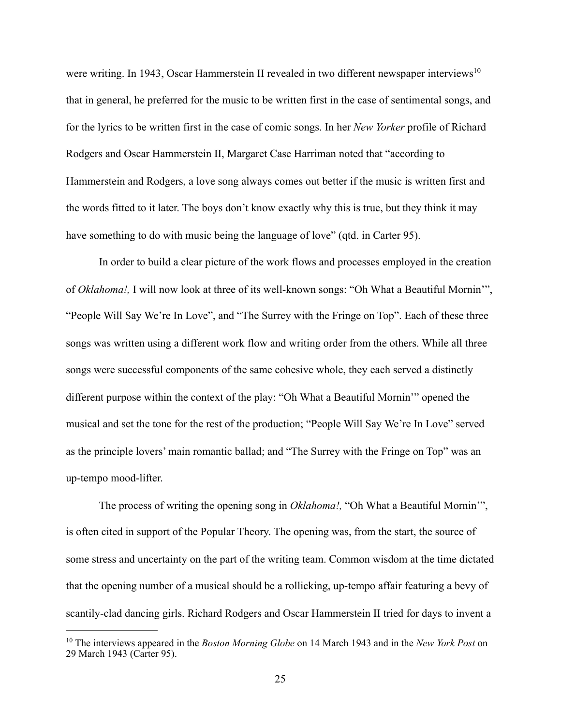<span id="page-32-1"></span>were writing. In 1943, Oscar Hammerstein II revealed in two different newspaper interviews<sup>[10](#page-32-0)</sup> that in general, he preferred for the music to be written first in the case of sentimental songs, and for the lyrics to be written first in the case of comic songs. In her *New Yorker* profile of Richard Rodgers and Oscar Hammerstein II, Margaret Case Harriman noted that "according to Hammerstein and Rodgers, a love song always comes out better if the music is written first and the words fitted to it later. The boys don't know exactly why this is true, but they think it may have something to do with music being the language of love" (qtd. in Carter 95).

 In order to build a clear picture of the work flows and processes employed in the creation of *Oklahoma!,* I will now look at three of its well-known songs: "Oh What a Beautiful Mornin'", "People Will Say We're In Love", and "The Surrey with the Fringe on Top". Each of these three songs was written using a different work flow and writing order from the others. While all three songs were successful components of the same cohesive whole, they each served a distinctly different purpose within the context of the play: "Oh What a Beautiful Mornin'" opened the musical and set the tone for the rest of the production; "People Will Say We're In Love" served as the principle lovers' main romantic ballad; and "The Surrey with the Fringe on Top" was an up-tempo mood-lifter.

 The process of writing the opening song in *Oklahoma!,* "Oh What a Beautiful Mornin'", is often cited in support of the Popular Theory. The opening was, from the start, the source of some stress and uncertainty on the part of the writing team. Common wisdom at the time dictated that the opening number of a musical should be a rollicking, up-tempo affair featuring a bevy of scantily-clad dancing girls. Richard Rodgers and Oscar Hammerstein II tried for days to invent a

<span id="page-32-0"></span><sup>&</sup>lt;sup>[10](#page-32-1)</sup> The interviews appeared in the *Boston Morning Globe* on 14 March 1943 and in the *New York Post* on 29 March 1943 (Carter 95).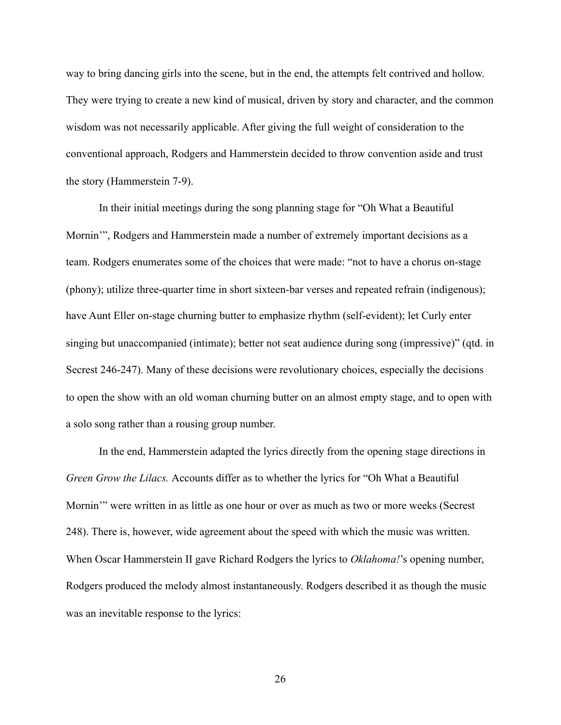way to bring dancing girls into the scene, but in the end, the attempts felt contrived and hollow. They were trying to create a new kind of musical, driven by story and character, and the common wisdom was not necessarily applicable. After giving the full weight of consideration to the conventional approach, Rodgers and Hammerstein decided to throw convention aside and trust the story (Hammerstein 7-9).

 In their initial meetings during the song planning stage for "Oh What a Beautiful Mornin'", Rodgers and Hammerstein made a number of extremely important decisions as a team. Rodgers enumerates some of the choices that were made: "not to have a chorus on-stage (phony); utilize three-quarter time in short sixteen-bar verses and repeated refrain (indigenous); have Aunt Eller on-stage churning butter to emphasize rhythm (self-evident); let Curly enter singing but unaccompanied (intimate); better not seat audience during song (impressive)" (qtd. in Secrest 246-247). Many of these decisions were revolutionary choices, especially the decisions to open the show with an old woman churning butter on an almost empty stage, and to open with a solo song rather than a rousing group number.

 In the end, Hammerstein adapted the lyrics directly from the opening stage directions in *Green Grow the Lilacs.* Accounts differ as to whether the lyrics for "Oh What a Beautiful Mornin'" were written in as little as one hour or over as much as two or more weeks (Secrest 248). There is, however, wide agreement about the speed with which the music was written. When Oscar Hammerstein II gave Richard Rodgers the lyrics to *Oklahoma!*'s opening number, Rodgers produced the melody almost instantaneously. Rodgers described it as though the music was an inevitable response to the lyrics: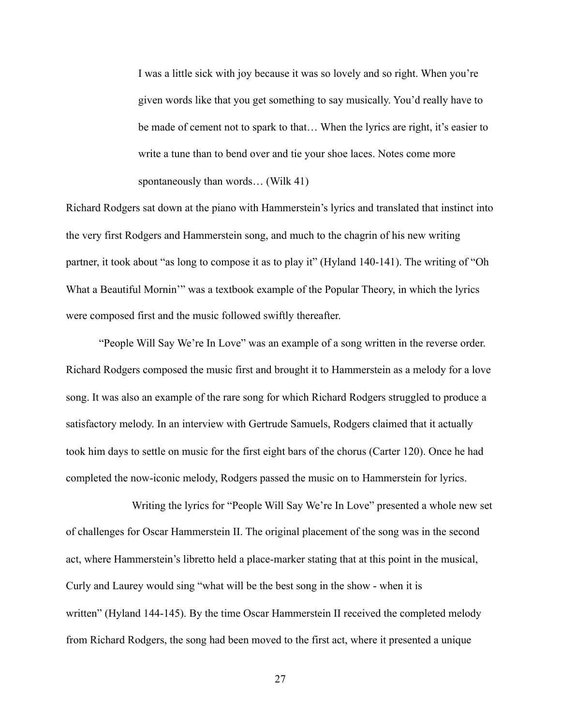I was a little sick with joy because it was so lovely and so right. When you're given words like that you get something to say musically. You'd really have to be made of cement not to spark to that… When the lyrics are right, it's easier to write a tune than to bend over and tie your shoe laces. Notes come more spontaneously than words… (Wilk 41)

Richard Rodgers sat down at the piano with Hammerstein's lyrics and translated that instinct into the very first Rodgers and Hammerstein song, and much to the chagrin of his new writing partner, it took about "as long to compose it as to play it" (Hyland 140-141). The writing of "Oh What a Beautiful Mornin'" was a textbook example of the Popular Theory, in which the lyrics were composed first and the music followed swiftly thereafter.

 "People Will Say We're In Love" was an example of a song written in the reverse order. Richard Rodgers composed the music first and brought it to Hammerstein as a melody for a love song. It was also an example of the rare song for which Richard Rodgers struggled to produce a satisfactory melody. In an interview with Gertrude Samuels, Rodgers claimed that it actually took him days to settle on music for the first eight bars of the chorus (Carter 120). Once he had completed the now-iconic melody, Rodgers passed the music on to Hammerstein for lyrics.

 Writing the lyrics for "People Will Say We're In Love" presented a whole new set of challenges for Oscar Hammerstein II. The original placement of the song was in the second act, where Hammerstein's libretto held a place-marker stating that at this point in the musical, Curly and Laurey would sing "what will be the best song in the show - when it is written" (Hyland 144-145). By the time Oscar Hammerstein II received the completed melody from Richard Rodgers, the song had been moved to the first act, where it presented a unique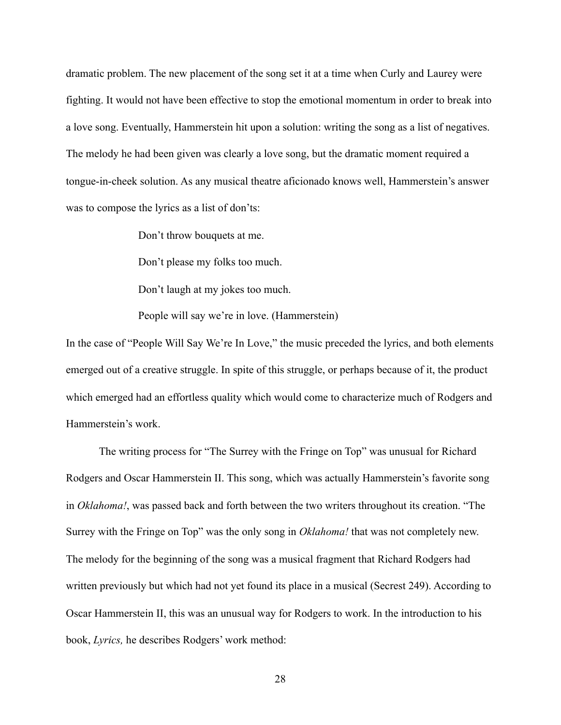dramatic problem. The new placement of the song set it at a time when Curly and Laurey were fighting. It would not have been effective to stop the emotional momentum in order to break into a love song. Eventually, Hammerstein hit upon a solution: writing the song as a list of negatives. The melody he had been given was clearly a love song, but the dramatic moment required a tongue-in-cheek solution. As any musical theatre aficionado knows well, Hammerstein's answer was to compose the lyrics as a list of don'ts:

Don't throw bouquets at me.

Don't please my folks too much.

Don't laugh at my jokes too much.

People will say we're in love. (Hammerstein)

In the case of "People Will Say We're In Love," the music preceded the lyrics, and both elements emerged out of a creative struggle. In spite of this struggle, or perhaps because of it, the product which emerged had an effortless quality which would come to characterize much of Rodgers and Hammerstein's work.

 The writing process for "The Surrey with the Fringe on Top" was unusual for Richard Rodgers and Oscar Hammerstein II. This song, which was actually Hammerstein's favorite song in *Oklahoma!*, was passed back and forth between the two writers throughout its creation. "The Surrey with the Fringe on Top" was the only song in *Oklahoma!* that was not completely new. The melody for the beginning of the song was a musical fragment that Richard Rodgers had written previously but which had not yet found its place in a musical (Secrest 249). According to Oscar Hammerstein II, this was an unusual way for Rodgers to work. In the introduction to his book, *Lyrics,* he describes Rodgers' work method: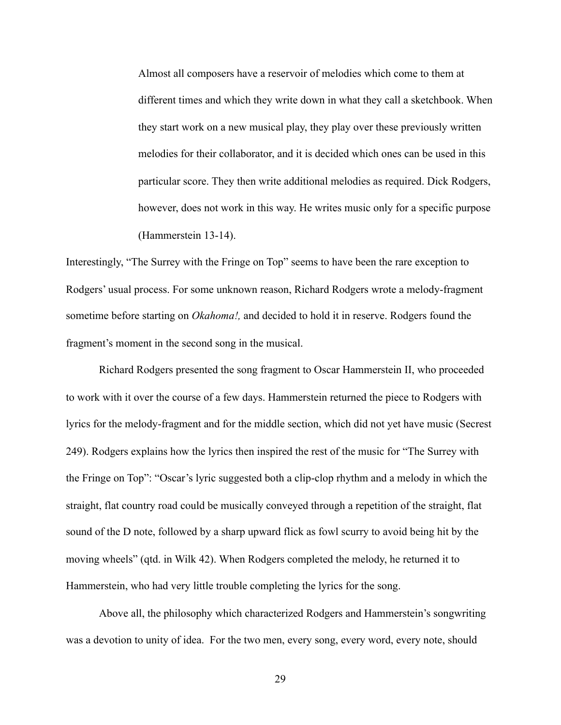Almost all composers have a reservoir of melodies which come to them at different times and which they write down in what they call a sketchbook. When they start work on a new musical play, they play over these previously written melodies for their collaborator, and it is decided which ones can be used in this particular score. They then write additional melodies as required. Dick Rodgers, however, does not work in this way. He writes music only for a specific purpose (Hammerstein 13-14).

Interestingly, "The Surrey with the Fringe on Top" seems to have been the rare exception to Rodgers' usual process. For some unknown reason, Richard Rodgers wrote a melody-fragment sometime before starting on *Okahoma!,* and decided to hold it in reserve. Rodgers found the fragment's moment in the second song in the musical.

Richard Rodgers presented the song fragment to Oscar Hammerstein II, who proceeded to work with it over the course of a few days. Hammerstein returned the piece to Rodgers with lyrics for the melody-fragment and for the middle section, which did not yet have music (Secrest 249). Rodgers explains how the lyrics then inspired the rest of the music for "The Surrey with the Fringe on Top": "Oscar's lyric suggested both a clip-clop rhythm and a melody in which the straight, flat country road could be musically conveyed through a repetition of the straight, flat sound of the D note, followed by a sharp upward flick as fowl scurry to avoid being hit by the moving wheels" (qtd. in Wilk 42). When Rodgers completed the melody, he returned it to Hammerstein, who had very little trouble completing the lyrics for the song.

 Above all, the philosophy which characterized Rodgers and Hammerstein's songwriting was a devotion to unity of idea. For the two men, every song, every word, every note, should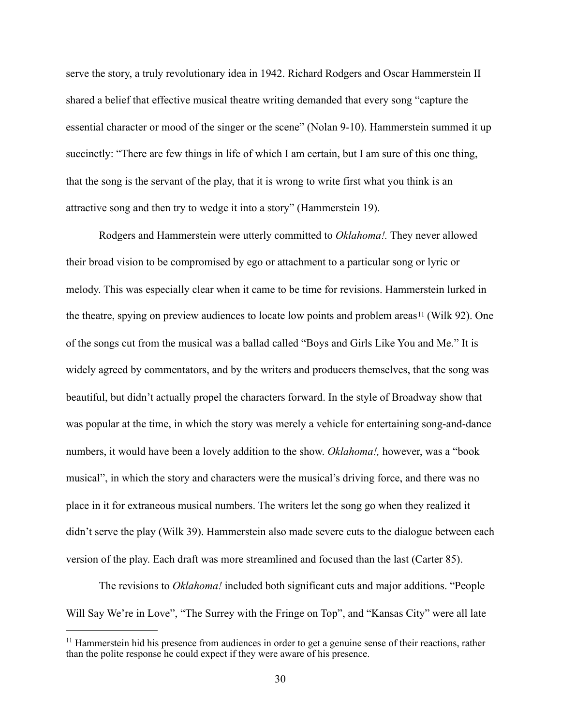serve the story, a truly revolutionary idea in 1942. Richard Rodgers and Oscar Hammerstein II shared a belief that effective musical theatre writing demanded that every song "capture the essential character or mood of the singer or the scene" (Nolan 9-10). Hammerstein summed it up succinctly: "There are few things in life of which I am certain, but I am sure of this one thing, that the song is the servant of the play, that it is wrong to write first what you think is an attractive song and then try to wedge it into a story" (Hammerstein 19).

<span id="page-37-1"></span> Rodgers and Hammerstein were utterly committed to *Oklahoma!.* They never allowed their broad vision to be compromised by ego or attachment to a particular song or lyric or melody. This was especially clear when it came to be time for revisions. Hammerstein lurked in the theatre, spying on preview audiences to locate low points and problem areas<sup>[11](#page-37-0)</sup> (Wilk 92). One of the songs cut from the musical was a ballad called "Boys and Girls Like You and Me." It is widely agreed by commentators, and by the writers and producers themselves, that the song was beautiful, but didn't actually propel the characters forward. In the style of Broadway show that was popular at the time, in which the story was merely a vehicle for entertaining song-and-dance numbers, it would have been a lovely addition to the show. *Oklahoma!,* however, was a "book musical", in which the story and characters were the musical's driving force, and there was no place in it for extraneous musical numbers. The writers let the song go when they realized it didn't serve the play (Wilk 39). Hammerstein also made severe cuts to the dialogue between each version of the play. Each draft was more streamlined and focused than the last (Carter 85).

 The revisions to *Oklahoma!* included both significant cuts and major additions. "People Will Say We're in Love", "The Surrey with the Fringe on Top", and "Kansas City" were all late

<span id="page-37-0"></span> $<sup>11</sup>$  $<sup>11</sup>$  $<sup>11</sup>$  Hammerstein hid his presence from audiences in order to get a genuine sense of their reactions, rather</sup> than the polite response he could expect if they were aware of his presence.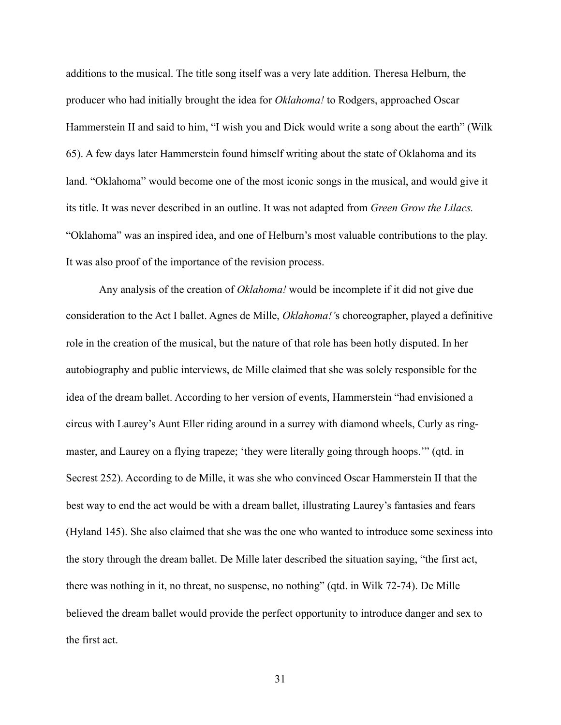additions to the musical. The title song itself was a very late addition. Theresa Helburn, the producer who had initially brought the idea for *Oklahoma!* to Rodgers, approached Oscar Hammerstein II and said to him, "I wish you and Dick would write a song about the earth" (Wilk 65). A few days later Hammerstein found himself writing about the state of Oklahoma and its land. "Oklahoma" would become one of the most iconic songs in the musical, and would give it its title. It was never described in an outline. It was not adapted from *Green Grow the Lilacs.*  "Oklahoma" was an inspired idea, and one of Helburn's most valuable contributions to the play. It was also proof of the importance of the revision process.

 Any analysis of the creation of *Oklahoma!* would be incomplete if it did not give due consideration to the Act I ballet. Agnes de Mille, *Oklahoma!'*s choreographer, played a definitive role in the creation of the musical, but the nature of that role has been hotly disputed. In her autobiography and public interviews, de Mille claimed that she was solely responsible for the idea of the dream ballet. According to her version of events, Hammerstein "had envisioned a circus with Laurey's Aunt Eller riding around in a surrey with diamond wheels, Curly as ringmaster, and Laurey on a flying trapeze; 'they were literally going through hoops.'" (qtd. in Secrest 252). According to de Mille, it was she who convinced Oscar Hammerstein II that the best way to end the act would be with a dream ballet, illustrating Laurey's fantasies and fears (Hyland 145). She also claimed that she was the one who wanted to introduce some sexiness into the story through the dream ballet. De Mille later described the situation saying, "the first act, there was nothing in it, no threat, no suspense, no nothing" (qtd. in Wilk 72-74). De Mille believed the dream ballet would provide the perfect opportunity to introduce danger and sex to the first act.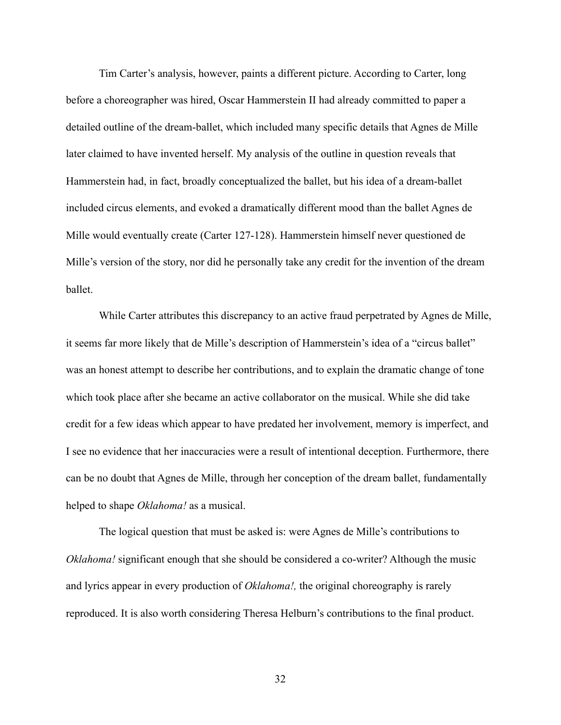Tim Carter's analysis, however, paints a different picture. According to Carter, long before a choreographer was hired, Oscar Hammerstein II had already committed to paper a detailed outline of the dream-ballet, which included many specific details that Agnes de Mille later claimed to have invented herself. My analysis of the outline in question reveals that Hammerstein had, in fact, broadly conceptualized the ballet, but his idea of a dream-ballet included circus elements, and evoked a dramatically different mood than the ballet Agnes de Mille would eventually create (Carter 127-128). Hammerstein himself never questioned de Mille's version of the story, nor did he personally take any credit for the invention of the dream ballet.

 While Carter attributes this discrepancy to an active fraud perpetrated by Agnes de Mille, it seems far more likely that de Mille's description of Hammerstein's idea of a "circus ballet" was an honest attempt to describe her contributions, and to explain the dramatic change of tone which took place after she became an active collaborator on the musical. While she did take credit for a few ideas which appear to have predated her involvement, memory is imperfect, and I see no evidence that her inaccuracies were a result of intentional deception. Furthermore, there can be no doubt that Agnes de Mille, through her conception of the dream ballet, fundamentally helped to shape *Oklahoma!* as a musical.

 The logical question that must be asked is: were Agnes de Mille's contributions to *Oklahoma!* significant enough that she should be considered a co-writer? Although the music and lyrics appear in every production of *Oklahoma!,* the original choreography is rarely reproduced. It is also worth considering Theresa Helburn's contributions to the final product.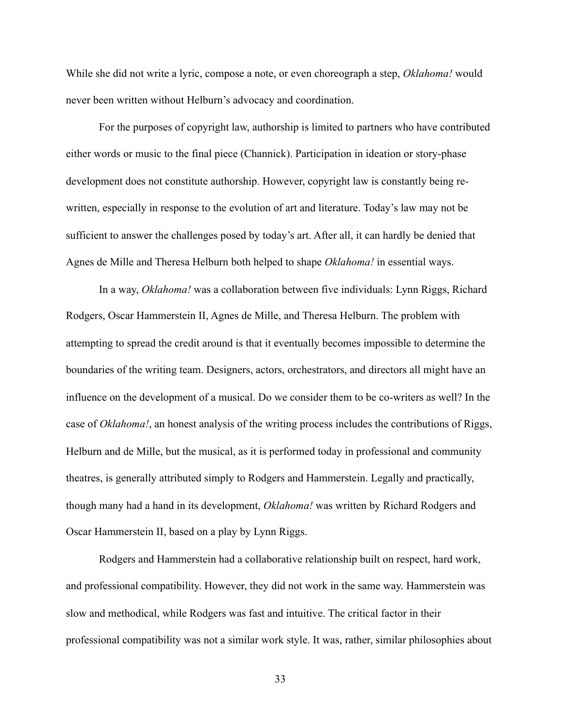While she did not write a lyric, compose a note, or even choreograph a step, *Oklahoma!* would never been written without Helburn's advocacy and coordination.

 For the purposes of copyright law, authorship is limited to partners who have contributed either words or music to the final piece (Channick). Participation in ideation or story-phase development does not constitute authorship. However, copyright law is constantly being rewritten, especially in response to the evolution of art and literature. Today's law may not be sufficient to answer the challenges posed by today's art. After all, it can hardly be denied that Agnes de Mille and Theresa Helburn both helped to shape *Oklahoma!* in essential ways.

 In a way, *Oklahoma!* was a collaboration between five individuals: Lynn Riggs, Richard Rodgers, Oscar Hammerstein II, Agnes de Mille, and Theresa Helburn. The problem with attempting to spread the credit around is that it eventually becomes impossible to determine the boundaries of the writing team. Designers, actors, orchestrators, and directors all might have an influence on the development of a musical. Do we consider them to be co-writers as well? In the case of *Oklahoma!*, an honest analysis of the writing process includes the contributions of Riggs, Helburn and de Mille, but the musical, as it is performed today in professional and community theatres, is generally attributed simply to Rodgers and Hammerstein. Legally and practically, though many had a hand in its development, *Oklahoma!* was written by Richard Rodgers and Oscar Hammerstein II, based on a play by Lynn Riggs.

 Rodgers and Hammerstein had a collaborative relationship built on respect, hard work, and professional compatibility. However, they did not work in the same way. Hammerstein was slow and methodical, while Rodgers was fast and intuitive. The critical factor in their professional compatibility was not a similar work style. It was, rather, similar philosophies about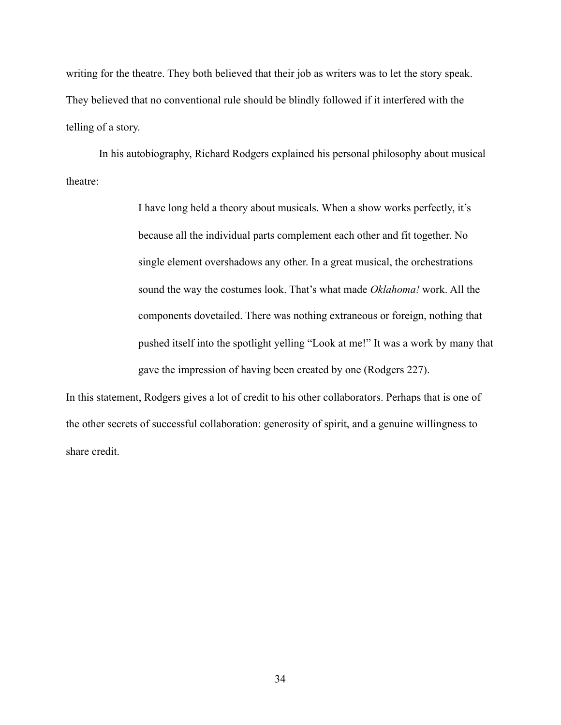writing for the theatre. They both believed that their job as writers was to let the story speak. They believed that no conventional rule should be blindly followed if it interfered with the telling of a story.

 In his autobiography, Richard Rodgers explained his personal philosophy about musical theatre:

> I have long held a theory about musicals. When a show works perfectly, it's because all the individual parts complement each other and fit together. No single element overshadows any other. In a great musical, the orchestrations sound the way the costumes look. That's what made *Oklahoma!* work. All the components dovetailed. There was nothing extraneous or foreign, nothing that pushed itself into the spotlight yelling "Look at me!" It was a work by many that gave the impression of having been created by one (Rodgers 227).

In this statement, Rodgers gives a lot of credit to his other collaborators. Perhaps that is one of the other secrets of successful collaboration: generosity of spirit, and a genuine willingness to share credit.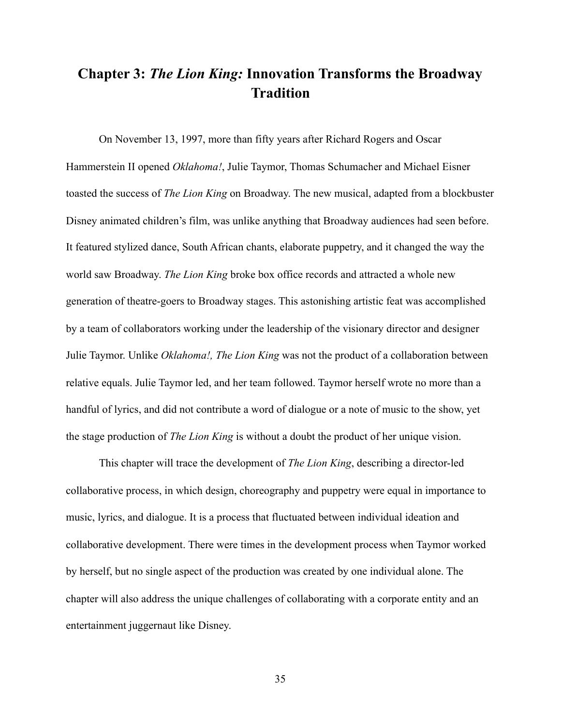## **Chapter 3:** *The Lion King:* **Innovation Transforms the Broadway Tradition**

 On November 13, 1997, more than fifty years after Richard Rogers and Oscar Hammerstein II opened *Oklahoma!*, Julie Taymor, Thomas Schumacher and Michael Eisner toasted the success of *The Lion King* on Broadway. The new musical, adapted from a blockbuster Disney animated children's film, was unlike anything that Broadway audiences had seen before. It featured stylized dance, South African chants, elaborate puppetry, and it changed the way the world saw Broadway. *The Lion King* broke box office records and attracted a whole new generation of theatre-goers to Broadway stages. This astonishing artistic feat was accomplished by a team of collaborators working under the leadership of the visionary director and designer Julie Taymor. Unlike *Oklahoma!, The Lion King* was not the product of a collaboration between relative equals. Julie Taymor led, and her team followed. Taymor herself wrote no more than a handful of lyrics, and did not contribute a word of dialogue or a note of music to the show, yet the stage production of *The Lion King* is without a doubt the product of her unique vision.

 This chapter will trace the development of *The Lion King*, describing a director-led collaborative process, in which design, choreography and puppetry were equal in importance to music, lyrics, and dialogue. It is a process that fluctuated between individual ideation and collaborative development. There were times in the development process when Taymor worked by herself, but no single aspect of the production was created by one individual alone. The chapter will also address the unique challenges of collaborating with a corporate entity and an entertainment juggernaut like Disney.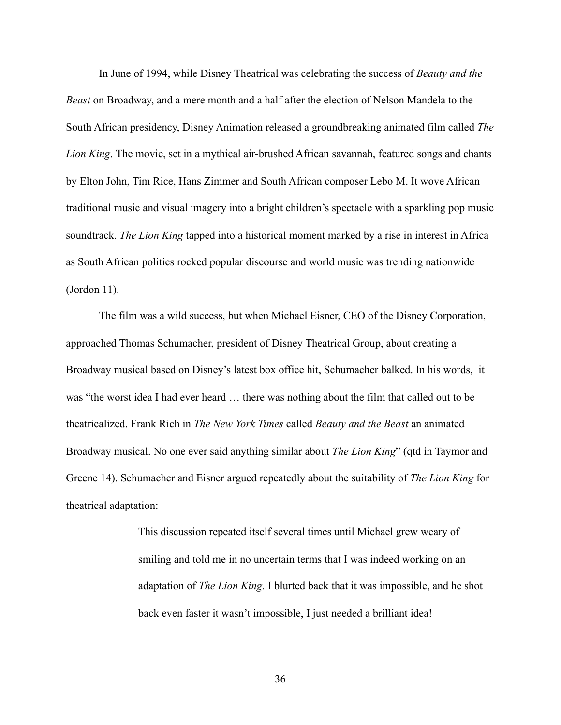In June of 1994, while Disney Theatrical was celebrating the success of *Beauty and the Beast* on Broadway, and a mere month and a half after the election of Nelson Mandela to the South African presidency, Disney Animation released a groundbreaking animated film called *The Lion King*. The movie, set in a mythical air-brushed African savannah, featured songs and chants by Elton John, Tim Rice, Hans Zimmer and South African composer Lebo M. It wove African traditional music and visual imagery into a bright children's spectacle with a sparkling pop music soundtrack. *The Lion King* tapped into a historical moment marked by a rise in interest in Africa as South African politics rocked popular discourse and world music was trending nationwide (Jordon 11).

 The film was a wild success, but when Michael Eisner, CEO of the Disney Corporation, approached Thomas Schumacher, president of Disney Theatrical Group, about creating a Broadway musical based on Disney's latest box office hit, Schumacher balked. In his words, it was "the worst idea I had ever heard … there was nothing about the film that called out to be theatricalized. Frank Rich in *The New York Times* called *Beauty and the Beast* an animated Broadway musical. No one ever said anything similar about *The Lion King*" (qtd in Taymor and Greene 14). Schumacher and Eisner argued repeatedly about the suitability of *The Lion King* for theatrical adaptation:

> This discussion repeated itself several times until Michael grew weary of smiling and told me in no uncertain terms that I was indeed working on an adaptation of *The Lion King.* I blurted back that it was impossible, and he shot back even faster it wasn't impossible, I just needed a brilliant idea!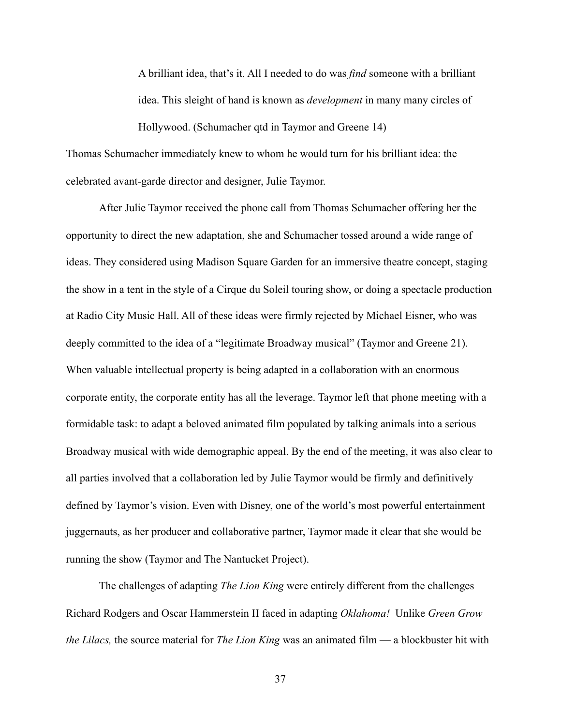A brilliant idea, that's it. All I needed to do was *find* someone with a brilliant idea. This sleight of hand is known as *development* in many many circles of Hollywood. (Schumacher qtd in Taymor and Greene 14)

Thomas Schumacher immediately knew to whom he would turn for his brilliant idea: the celebrated avant-garde director and designer, Julie Taymor.

 After Julie Taymor received the phone call from Thomas Schumacher offering her the opportunity to direct the new adaptation, she and Schumacher tossed around a wide range of ideas. They considered using Madison Square Garden for an immersive theatre concept, staging the show in a tent in the style of a Cirque du Soleil touring show, or doing a spectacle production at Radio City Music Hall. All of these ideas were firmly rejected by Michael Eisner, who was deeply committed to the idea of a "legitimate Broadway musical" (Taymor and Greene 21). When valuable intellectual property is being adapted in a collaboration with an enormous corporate entity, the corporate entity has all the leverage. Taymor left that phone meeting with a formidable task: to adapt a beloved animated film populated by talking animals into a serious Broadway musical with wide demographic appeal. By the end of the meeting, it was also clear to all parties involved that a collaboration led by Julie Taymor would be firmly and definitively defined by Taymor's vision. Even with Disney, one of the world's most powerful entertainment juggernauts, as her producer and collaborative partner, Taymor made it clear that she would be running the show (Taymor and The Nantucket Project).

 The challenges of adapting *The Lion King* were entirely different from the challenges Richard Rodgers and Oscar Hammerstein II faced in adapting *Oklahoma!* Unlike *Green Grow the Lilacs,* the source material for *The Lion King* was an animated film — a blockbuster hit with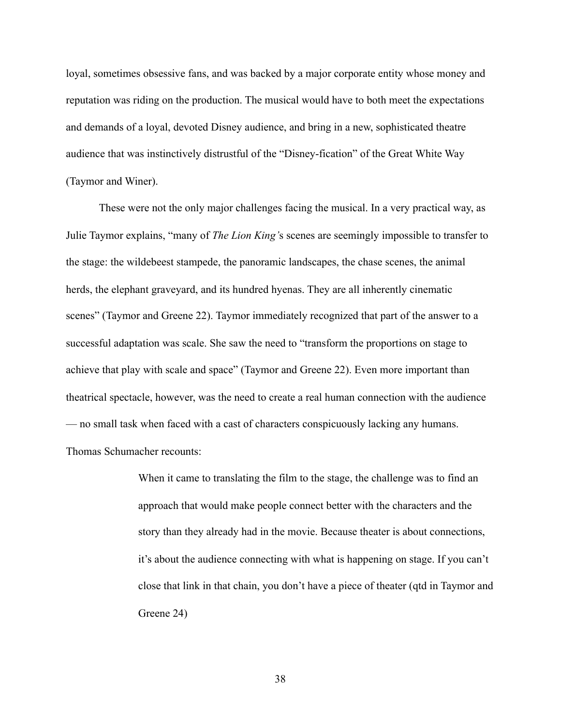loyal, sometimes obsessive fans, and was backed by a major corporate entity whose money and reputation was riding on the production. The musical would have to both meet the expectations and demands of a loyal, devoted Disney audience, and bring in a new, sophisticated theatre audience that was instinctively distrustful of the "Disney-fication" of the Great White Way (Taymor and Winer).

 These were not the only major challenges facing the musical. In a very practical way, as Julie Taymor explains, "many of *The Lion King'*s scenes are seemingly impossible to transfer to the stage: the wildebeest stampede, the panoramic landscapes, the chase scenes, the animal herds, the elephant graveyard, and its hundred hyenas. They are all inherently cinematic scenes" (Taymor and Greene 22). Taymor immediately recognized that part of the answer to a successful adaptation was scale. She saw the need to "transform the proportions on stage to achieve that play with scale and space" (Taymor and Greene 22). Even more important than theatrical spectacle, however, was the need to create a real human connection with the audience — no small task when faced with a cast of characters conspicuously lacking any humans. Thomas Schumacher recounts:

> When it came to translating the film to the stage, the challenge was to find an approach that would make people connect better with the characters and the story than they already had in the movie. Because theater is about connections, it's about the audience connecting with what is happening on stage. If you can't close that link in that chain, you don't have a piece of theater (qtd in Taymor and Greene 24)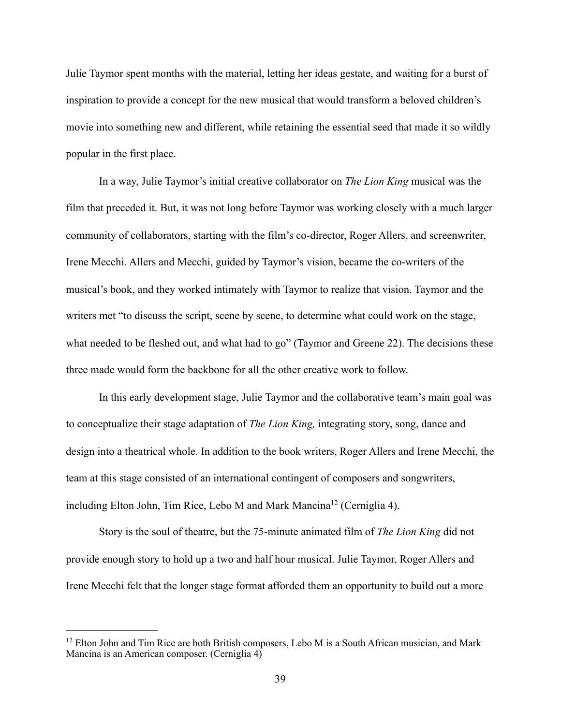Julie Taymor spent months with the material, letting her ideas gestate, and waiting for a burst of inspiration to provide a concept for the new musical that would transform a beloved children's movie into something new and different, while retaining the essential seed that made it so wildly popular in the first place.

 In a way, Julie Taymor's initial creative collaborator on *The Lion King* musical was the film that preceded it. But, it was not long before Taymor was working closely with a much larger community of collaborators, starting with the film's co-director, Roger Allers, and screenwriter, Irene Mecchi. Allers and Mecchi, guided by Taymor's vision, became the co-writers of the musical's book, and they worked intimately with Taymor to realize that vision. Taymor and the writers met "to discuss the script, scene by scene, to determine what could work on the stage, what needed to be fleshed out, and what had to go" (Taymor and Greene 22). The decisions these three made would form the backbone for all the other creative work to follow.

 In this early development stage, Julie Taymor and the collaborative team's main goal was to conceptualize their stage adaptation of *The Lion King,* integrating story, song, dance and design into a theatrical whole. In addition to the book writers, Roger Allers and Irene Mecchi, the team at this stage consisted of an international contingent of composers and songwriters, includingElton John, Tim Rice, Lebo M and Mark Mancina<sup>[12](#page-46-0)</sup> (Cerniglia 4).

<span id="page-46-1"></span> Story is the soul of theatre, but the 75-minute animated film of *The Lion King* did not provide enough story to hold up a two and half hour musical. Julie Taymor, Roger Allers and Irene Mecchi felt that the longer stage format afforded them an opportunity to build out a more

<span id="page-46-0"></span> $12$  Elton John and Tim Rice are both British composers, Lebo M is a South African musician, and Mark Mancina is an American composer. (Cerniglia 4)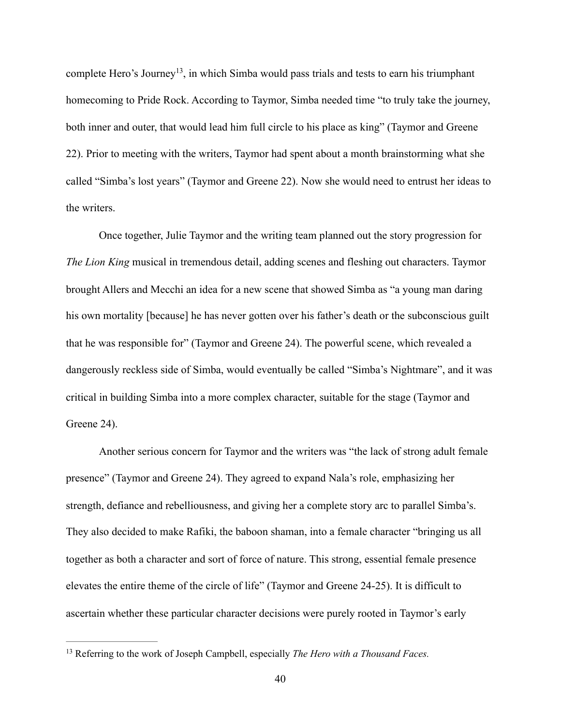<span id="page-47-1"></span>complete Hero's Journey<sup>13</sup>[,](#page-47-0) in which Simba would pass trials and tests to earn his triumphant homecoming to Pride Rock. According to Taymor, Simba needed time "to truly take the journey, both inner and outer, that would lead him full circle to his place as king" (Taymor and Greene 22). Prior to meeting with the writers, Taymor had spent about a month brainstorming what she called "Simba's lost years" (Taymor and Greene 22). Now she would need to entrust her ideas to the writers.

 Once together, Julie Taymor and the writing team planned out the story progression for *The Lion King* musical in tremendous detail, adding scenes and fleshing out characters. Taymor brought Allers and Mecchi an idea for a new scene that showed Simba as "a young man daring his own mortality [because] he has never gotten over his father's death or the subconscious guilt that he was responsible for" (Taymor and Greene 24). The powerful scene, which revealed a dangerously reckless side of Simba, would eventually be called "Simba's Nightmare", and it was critical in building Simba into a more complex character, suitable for the stage (Taymor and Greene 24).

 Another serious concern for Taymor and the writers was "the lack of strong adult female presence" (Taymor and Greene 24). They agreed to expand Nala's role, emphasizing her strength, defiance and rebelliousness, and giving her a complete story arc to parallel Simba's. They also decided to make Rafiki, the baboon shaman, into a female character "bringing us all together as both a character and sort of force of nature. This strong, essential female presence elevates the entire theme of the circle of life" (Taymor and Greene 24-25). It is difficult to ascertain whether these particular character decisions were purely rooted in Taymor's early

<span id="page-47-0"></span><sup>&</sup>lt;sup>[13](#page-47-1)</sup> Referring to the work of Joseph Campbell, especially *The Hero with a Thousand Faces.*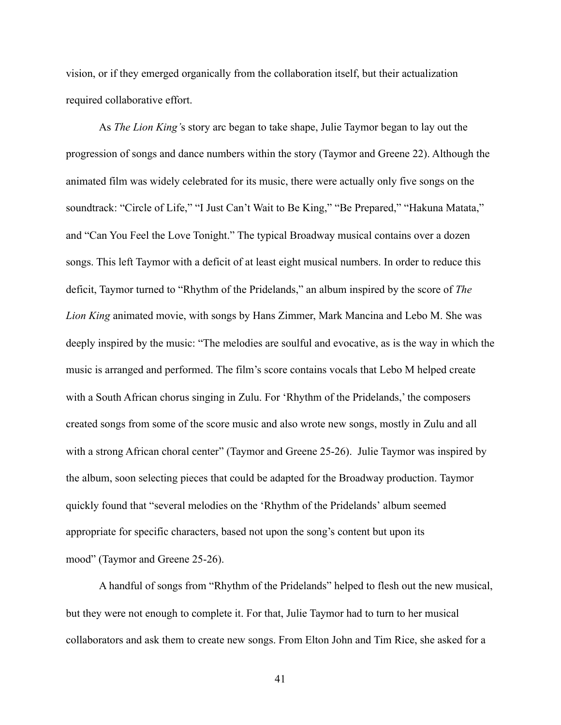vision, or if they emerged organically from the collaboration itself, but their actualization required collaborative effort.

 As *The Lion King'*s story arc began to take shape, Julie Taymor began to lay out the progression of songs and dance numbers within the story (Taymor and Greene 22). Although the animated film was widely celebrated for its music, there were actually only five songs on the soundtrack: "Circle of Life," "I Just Can't Wait to Be King," "Be Prepared," "Hakuna Matata," and "Can You Feel the Love Tonight." The typical Broadway musical contains over a dozen songs. This left Taymor with a deficit of at least eight musical numbers. In order to reduce this deficit, Taymor turned to "Rhythm of the Pridelands," an album inspired by the score of *The Lion King* animated movie, with songs by Hans Zimmer, Mark Mancina and Lebo M. She was deeply inspired by the music: "The melodies are soulful and evocative, as is the way in which the music is arranged and performed. The film's score contains vocals that Lebo M helped create with a South African chorus singing in Zulu. For 'Rhythm of the Pridelands,' the composers created songs from some of the score music and also wrote new songs, mostly in Zulu and all with a strong African choral center" (Taymor and Greene 25-26). Julie Taymor was inspired by the album, soon selecting pieces that could be adapted for the Broadway production. Taymor quickly found that "several melodies on the 'Rhythm of the Pridelands' album seemed appropriate for specific characters, based not upon the song's content but upon its mood" (Taymor and Greene 25-26).

 A handful of songs from "Rhythm of the Pridelands" helped to flesh out the new musical, but they were not enough to complete it. For that, Julie Taymor had to turn to her musical collaborators and ask them to create new songs. From Elton John and Tim Rice, she asked for a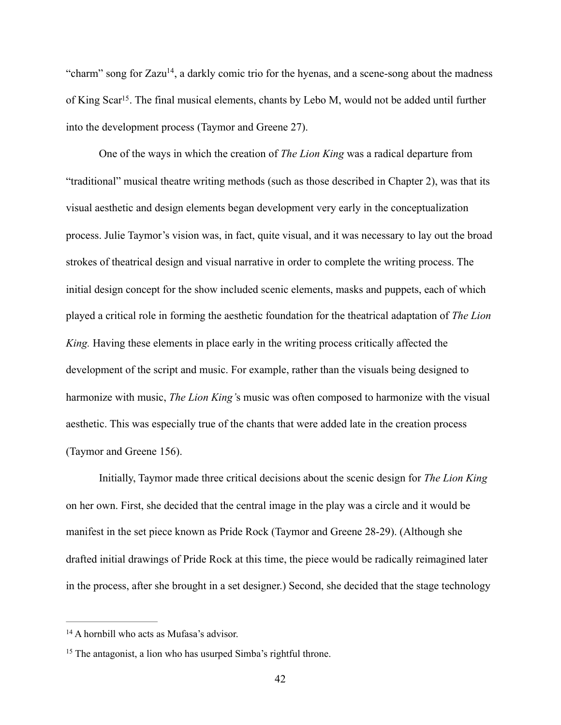<span id="page-49-3"></span><span id="page-49-2"></span>"charm" song for  $Zazu^{14}$  $Zazu^{14}$  $Zazu^{14}$ , a darkly comic trio for the hyenas, and a scene-song about the madness of King Scar<sup>[15](#page-49-1)</sup>. The final musical elements, chants by Lebo M, would not be added until further into the development process (Taymor and Greene 27).

 One of the ways in which the creation of *The Lion King* was a radical departure from "traditional" musical theatre writing methods (such as those described in Chapter 2), was that its visual aesthetic and design elements began development very early in the conceptualization process. Julie Taymor's vision was, in fact, quite visual, and it was necessary to lay out the broad strokes of theatrical design and visual narrative in order to complete the writing process. The initial design concept for the show included scenic elements, masks and puppets, each of which played a critical role in forming the aesthetic foundation for the theatrical adaptation of *The Lion King.* Having these elements in place early in the writing process critically affected the development of the script and music. For example, rather than the visuals being designed to harmonize with music, *The Lion King'*s music was often composed to harmonize with the visual aesthetic. This was especially true of the chants that were added late in the creation process (Taymor and Greene 156).

 Initially, Taymor made three critical decisions about the scenic design for *The Lion King*  on her own. First, she decided that the central image in the play was a circle and it would be manifest in the set piece known as Pride Rock (Taymor and Greene 28-29). (Although she drafted initial drawings of Pride Rock at this time, the piece would be radically reimagined later in the process, after she brought in a set designer.) Second, she decided that the stage technology

<span id="page-49-0"></span><sup>&</sup>lt;sup>[14](#page-49-2)</sup> A hornbill who acts as Mufasa's advisor.

<span id="page-49-1"></span> $15$  The antagonist, a lion who has usurped Simba's rightful throne.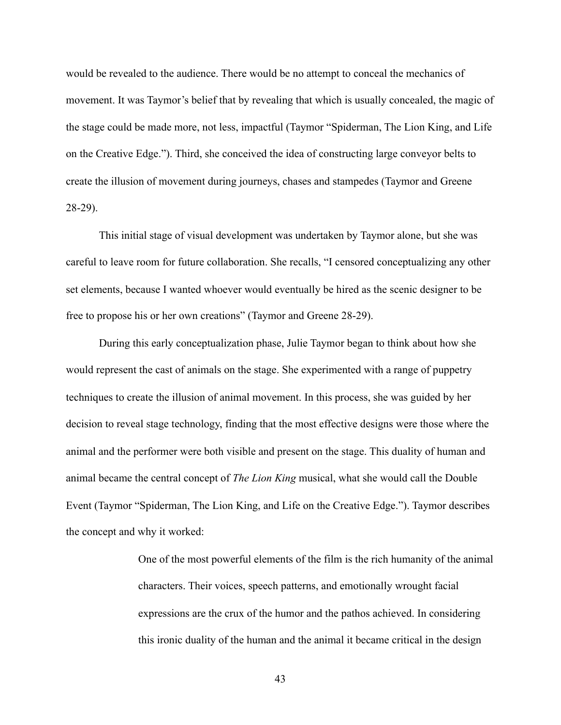would be revealed to the audience. There would be no attempt to conceal the mechanics of movement. It was Taymor's belief that by revealing that which is usually concealed, the magic of the stage could be made more, not less, impactful (Taymor "Spiderman, The Lion King, and Life on the Creative Edge."). Third, she conceived the idea of constructing large conveyor belts to create the illusion of movement during journeys, chases and stampedes (Taymor and Greene 28-29).

 This initial stage of visual development was undertaken by Taymor alone, but she was careful to leave room for future collaboration. She recalls, "I censored conceptualizing any other set elements, because I wanted whoever would eventually be hired as the scenic designer to be free to propose his or her own creations" (Taymor and Greene 28-29).

 During this early conceptualization phase, Julie Taymor began to think about how she would represent the cast of animals on the stage. She experimented with a range of puppetry techniques to create the illusion of animal movement. In this process, she was guided by her decision to reveal stage technology, finding that the most effective designs were those where the animal and the performer were both visible and present on the stage. This duality of human and animal became the central concept of *The Lion King* musical, what she would call the Double Event (Taymor "Spiderman, The Lion King, and Life on the Creative Edge."). Taymor describes the concept and why it worked:

> One of the most powerful elements of the film is the rich humanity of the animal characters. Their voices, speech patterns, and emotionally wrought facial expressions are the crux of the humor and the pathos achieved. In considering this ironic duality of the human and the animal it became critical in the design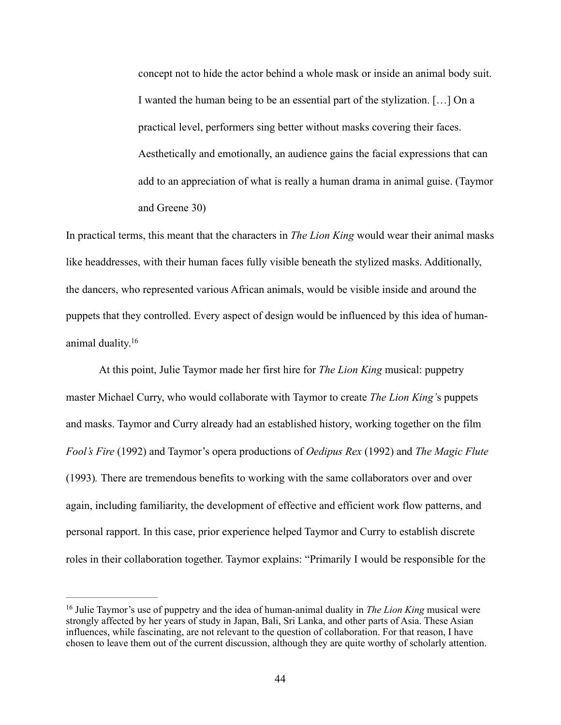concept not to hide the actor behind a whole mask or inside an animal body suit. I wanted the human being to be an essential part of the stylization. […] On a practical level, performers sing better without masks covering their faces. Aesthetically and emotionally, an audience gains the facial expressions that can add to an appreciation of what is really a human drama in animal guise. (Taymor and Greene 30)

In practical terms, this meant that the characters in *The Lion King* would wear their animal masks like headdresses, with their human faces fully visible beneath the stylized masks. Additionally, the dancers, who represented various African animals, would be visible inside and around the puppets that they controlled. Every aspect of design would be influenced by this idea of humananimal duality[.16](#page-51-0)

<span id="page-51-1"></span> At this point, Julie Taymor made her first hire for *The Lion King* musical: puppetry master Michael Curry, who would collaborate with Taymor to create *The Lion King'*s puppets and masks. Taymor and Curry already had an established history, working together on the film *Fool's Fire* (1992) and Taymor's opera productions of *Oedipus Rex* (1992) and *The Magic Flute*  (1993)*.* There are tremendous benefits to working with the same collaborators over and over again, including familiarity, the development of effective and efficient work flow patterns, and personal rapport. In this case, prior experience helped Taymor and Curry to establish discrete roles in their collaboration together. Taymor explains: "Primarily I would be responsible for the

<span id="page-51-0"></span><sup>&</sup>lt;sup>[16](#page-51-1)</sup> Julie Taymor's use of puppetry and the idea of human-animal duality in *The Lion King* musical were strongly affected by her years of study in Japan, Bali, Sri Lanka, and other parts of Asia. These Asian influences, while fascinating, are not relevant to the question of collaboration. For that reason, I have chosen to leave them out of the current discussion, although they are quite worthy of scholarly attention.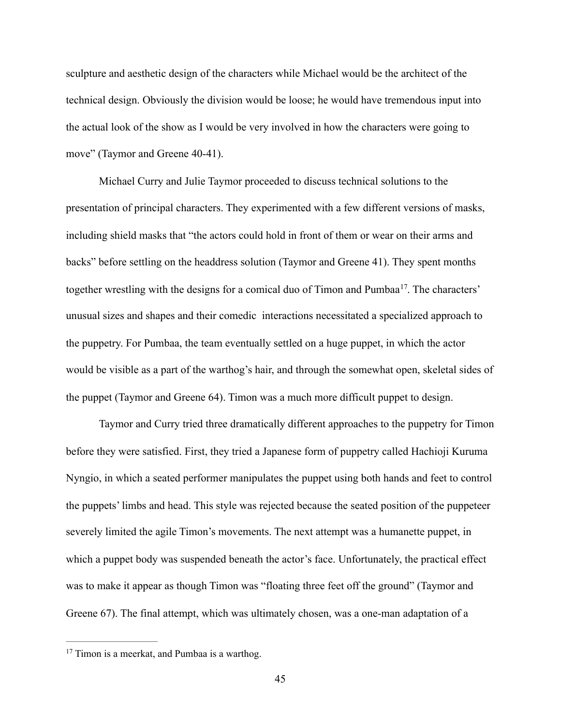sculpture and aesthetic design of the characters while Michael would be the architect of the technical design. Obviously the division would be loose; he would have tremendous input into the actual look of the show as I would be very involved in how the characters were going to move" (Taymor and Greene 40-41).

<span id="page-52-1"></span> Michael Curry and Julie Taymor proceeded to discuss technical solutions to the presentation of principal characters. They experimented with a few different versions of masks, including shield masks that "the actors could hold in front of them or wear on their arms and backs" before settling on the headdress solution (Taymor and Greene 41). They spent months together wrestling with the designs for a comical duo of Timon and Pumbaa<sup>17</sup>[.](#page-52-0) The characters' unusual sizes and shapes and their comedic interactions necessitated a specialized approach to the puppetry. For Pumbaa, the team eventually settled on a huge puppet, in which the actor would be visible as a part of the warthog's hair, and through the somewhat open, skeletal sides of the puppet (Taymor and Greene 64). Timon was a much more difficult puppet to design.

 Taymor and Curry tried three dramatically different approaches to the puppetry for Timon before they were satisfied. First, they tried a Japanese form of puppetry called Hachioji Kuruma Nyngio, in which a seated performer manipulates the puppet using both hands and feet to control the puppets' limbs and head. This style was rejected because the seated position of the puppeteer severely limited the agile Timon's movements. The next attempt was a humanette puppet, in which a puppet body was suspended beneath the actor's face. Unfortunately, the practical effect was to make it appear as though Timon was "floating three feet off the ground" (Taymor and Greene 67). The final attempt, which was ultimately chosen, was a one-man adaptation of a

<span id="page-52-0"></span> $17$  Timon is a meerkat, and Pumbaa is a warthog.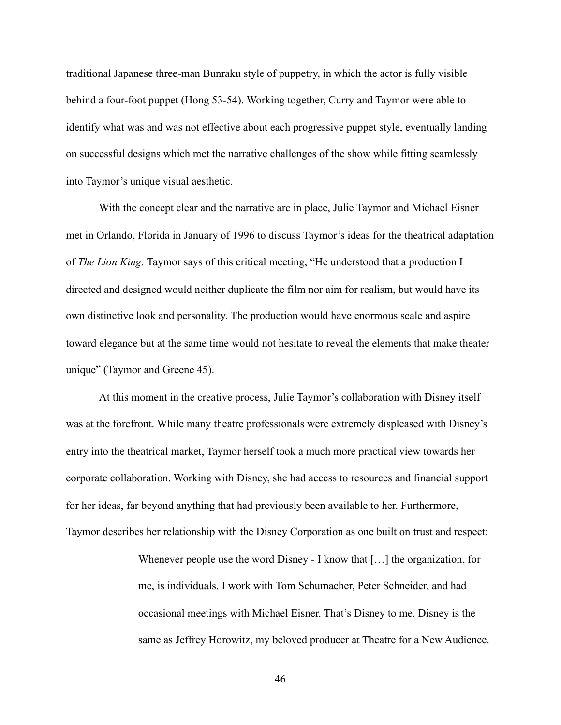traditional Japanese three-man Bunraku style of puppetry, in which the actor is fully visible behind a four-foot puppet (Hong 53-54). Working together, Curry and Taymor were able to identify what was and was not effective about each progressive puppet style, eventually landing on successful designs which met the narrative challenges of the show while fitting seamlessly into Taymor's unique visual aesthetic.

 With the concept clear and the narrative arc in place, Julie Taymor and Michael Eisner met in Orlando, Florida in January of 1996 to discuss Taymor's ideas for the theatrical adaptation of *The Lion King.* Taymor says of this critical meeting, "He understood that a production I directed and designed would neither duplicate the film nor aim for realism, but would have its own distinctive look and personality. The production would have enormous scale and aspire toward elegance but at the same time would not hesitate to reveal the elements that make theater unique" (Taymor and Greene 45).

 At this moment in the creative process, Julie Taymor's collaboration with Disney itself was at the forefront. While many theatre professionals were extremely displeased with Disney's entry into the theatrical market, Taymor herself took a much more practical view towards her corporate collaboration. Working with Disney, she had access to resources and financial support for her ideas, far beyond anything that had previously been available to her. Furthermore, Taymor describes her relationship with the Disney Corporation as one built on trust and respect:

> Whenever people use the word Disney - I know that [...] the organization, for me, is individuals. I work with Tom Schumacher, Peter Schneider, and had occasional meetings with Michael Eisner. That's Disney to me. Disney is the same as Jeffrey Horowitz, my beloved producer at Theatre for a New Audience.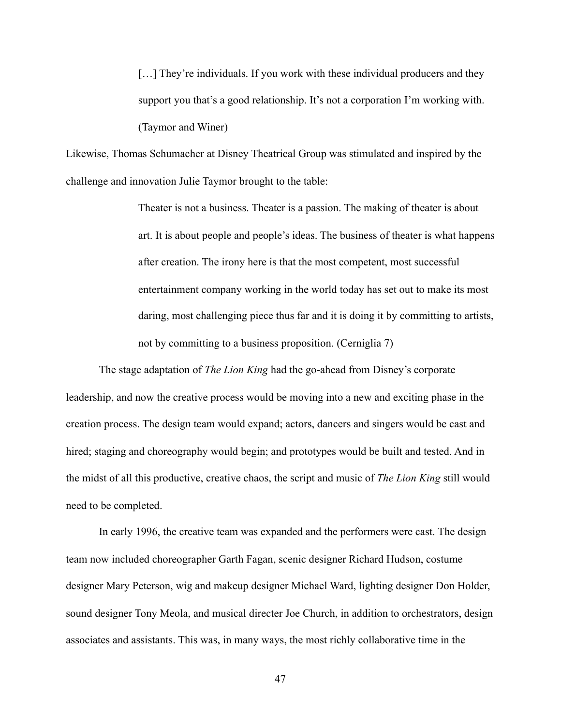[...] They're individuals. If you work with these individual producers and they support you that's a good relationship. It's not a corporation I'm working with. (Taymor and Winer)

Likewise, Thomas Schumacher at Disney Theatrical Group was stimulated and inspired by the challenge and innovation Julie Taymor brought to the table:

> Theater is not a business. Theater is a passion. The making of theater is about art. It is about people and people's ideas. The business of theater is what happens after creation. The irony here is that the most competent, most successful entertainment company working in the world today has set out to make its most daring, most challenging piece thus far and it is doing it by committing to artists, not by committing to a business proposition. (Cerniglia 7)

 The stage adaptation of *The Lion King* had the go-ahead from Disney's corporate leadership, and now the creative process would be moving into a new and exciting phase in the creation process. The design team would expand; actors, dancers and singers would be cast and hired; staging and choreography would begin; and prototypes would be built and tested. And in the midst of all this productive, creative chaos, the script and music of *The Lion King* still would need to be completed.

 In early 1996, the creative team was expanded and the performers were cast. The design team now included choreographer Garth Fagan, scenic designer Richard Hudson, costume designer Mary Peterson, wig and makeup designer Michael Ward, lighting designer Don Holder, sound designer Tony Meola, and musical directer Joe Church, in addition to orchestrators, design associates and assistants. This was, in many ways, the most richly collaborative time in the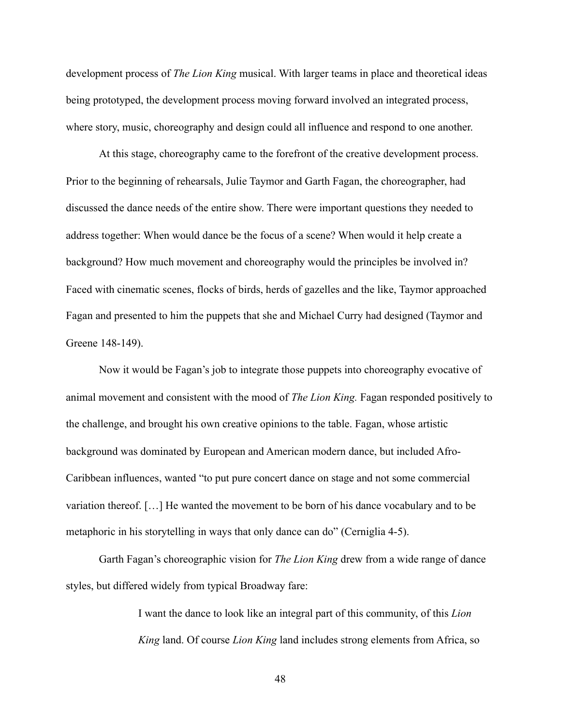development process of *The Lion King* musical. With larger teams in place and theoretical ideas being prototyped, the development process moving forward involved an integrated process, where story, music, choreography and design could all influence and respond to one another.

 At this stage, choreography came to the forefront of the creative development process. Prior to the beginning of rehearsals, Julie Taymor and Garth Fagan, the choreographer, had discussed the dance needs of the entire show. There were important questions they needed to address together: When would dance be the focus of a scene? When would it help create a background? How much movement and choreography would the principles be involved in? Faced with cinematic scenes, flocks of birds, herds of gazelles and the like, Taymor approached Fagan and presented to him the puppets that she and Michael Curry had designed (Taymor and Greene 148-149).

 Now it would be Fagan's job to integrate those puppets into choreography evocative of animal movement and consistent with the mood of *The Lion King.* Fagan responded positively to the challenge, and brought his own creative opinions to the table. Fagan, whose artistic background was dominated by European and American modern dance, but included Afro-Caribbean influences, wanted "to put pure concert dance on stage and not some commercial variation thereof. […] He wanted the movement to be born of his dance vocabulary and to be metaphoric in his storytelling in ways that only dance can do" (Cerniglia 4-5).

 Garth Fagan's choreographic vision for *The Lion King* drew from a wide range of dance styles, but differed widely from typical Broadway fare:

> I want the dance to look like an integral part of this community, of this *Lion King* land. Of course *Lion King* land includes strong elements from Africa, so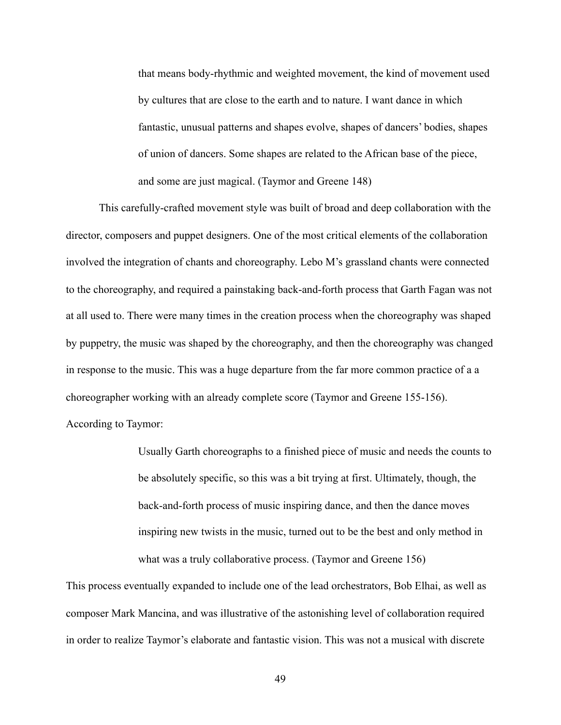that means body-rhythmic and weighted movement, the kind of movement used by cultures that are close to the earth and to nature. I want dance in which fantastic, unusual patterns and shapes evolve, shapes of dancers' bodies, shapes of union of dancers. Some shapes are related to the African base of the piece, and some are just magical. (Taymor and Greene 148)

 This carefully-crafted movement style was built of broad and deep collaboration with the director, composers and puppet designers. One of the most critical elements of the collaboration involved the integration of chants and choreography. Lebo M's grassland chants were connected to the choreography, and required a painstaking back-and-forth process that Garth Fagan was not at all used to. There were many times in the creation process when the choreography was shaped by puppetry, the music was shaped by the choreography, and then the choreography was changed in response to the music. This was a huge departure from the far more common practice of a a choreographer working with an already complete score (Taymor and Greene 155-156). According to Taymor:

> Usually Garth choreographs to a finished piece of music and needs the counts to be absolutely specific, so this was a bit trying at first. Ultimately, though, the back-and-forth process of music inspiring dance, and then the dance moves inspiring new twists in the music, turned out to be the best and only method in what was a truly collaborative process. (Taymor and Greene 156)

This process eventually expanded to include one of the lead orchestrators, Bob Elhai, as well as composer Mark Mancina, and was illustrative of the astonishing level of collaboration required in order to realize Taymor's elaborate and fantastic vision. This was not a musical with discrete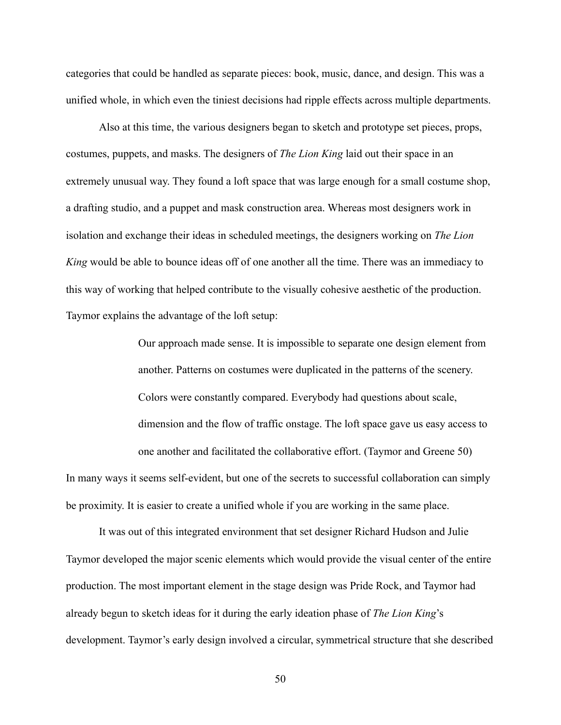categories that could be handled as separate pieces: book, music, dance, and design. This was a unified whole, in which even the tiniest decisions had ripple effects across multiple departments.

 Also at this time, the various designers began to sketch and prototype set pieces, props, costumes, puppets, and masks. The designers of *The Lion King* laid out their space in an extremely unusual way. They found a loft space that was large enough for a small costume shop, a drafting studio, and a puppet and mask construction area. Whereas most designers work in isolation and exchange their ideas in scheduled meetings, the designers working on *The Lion King* would be able to bounce ideas off of one another all the time. There was an immediacy to this way of working that helped contribute to the visually cohesive aesthetic of the production. Taymor explains the advantage of the loft setup:

> Our approach made sense. It is impossible to separate one design element from another. Patterns on costumes were duplicated in the patterns of the scenery. Colors were constantly compared. Everybody had questions about scale, dimension and the flow of traffic onstage. The loft space gave us easy access to one another and facilitated the collaborative effort. (Taymor and Greene 50)

In many ways it seems self-evident, but one of the secrets to successful collaboration can simply be proximity. It is easier to create a unified whole if you are working in the same place.

 It was out of this integrated environment that set designer Richard Hudson and Julie Taymor developed the major scenic elements which would provide the visual center of the entire production. The most important element in the stage design was Pride Rock, and Taymor had already begun to sketch ideas for it during the early ideation phase of *The Lion King*'s development. Taymor's early design involved a circular, symmetrical structure that she described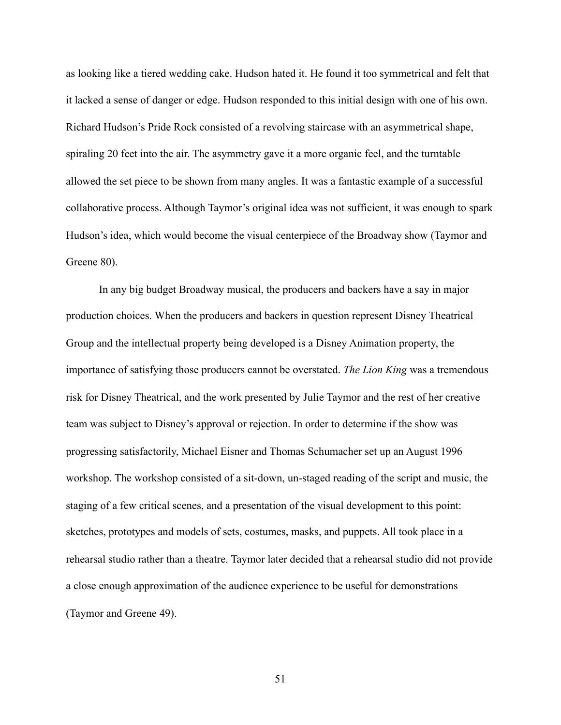as looking like a tiered wedding cake. Hudson hated it. He found it too symmetrical and felt that it lacked a sense of danger or edge. Hudson responded to this initial design with one of his own. Richard Hudson's Pride Rock consisted of a revolving staircase with an asymmetrical shape, spiraling 20 feet into the air. The asymmetry gave it a more organic feel, and the turntable allowed the set piece to be shown from many angles. It was a fantastic example of a successful collaborative process. Although Taymor's original idea was not sufficient, it was enough to spark Hudson's idea, which would become the visual centerpiece of the Broadway show (Taymor and Greene 80).

 In any big budget Broadway musical, the producers and backers have a say in major production choices. When the producers and backers in question represent Disney Theatrical Group and the intellectual property being developed is a Disney Animation property, the importance of satisfying those producers cannot be overstated. *The Lion King* was a tremendous risk for Disney Theatrical, and the work presented by Julie Taymor and the rest of her creative team was subject to Disney's approval or rejection. In order to determine if the show was progressing satisfactorily, Michael Eisner and Thomas Schumacher set up an August 1996 workshop. The workshop consisted of a sit-down, un-staged reading of the script and music, the staging of a few critical scenes, and a presentation of the visual development to this point: sketches, prototypes and models of sets, costumes, masks, and puppets. All took place in a rehearsal studio rather than a theatre. Taymor later decided that a rehearsal studio did not provide a close enough approximation of the audience experience to be useful for demonstrations (Taymor and Greene 49).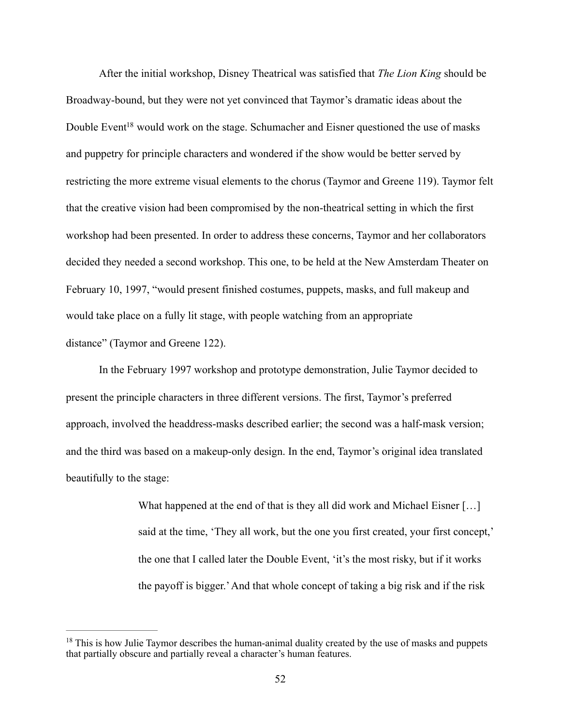<span id="page-59-1"></span> After the initial workshop, Disney Theatrical was satisfied that *The Lion King* should be Broadway-bound, but they were not yet convinced that Taymor's dramatic ideas about the Double Even[t](#page-59-0)<sup>[18](#page-59-0)</sup> would work on the stage. Schumacher and Eisner questioned the use of masks and puppetry for principle characters and wondered if the show would be better served by restricting the more extreme visual elements to the chorus (Taymor and Greene 119). Taymor felt that the creative vision had been compromised by the non-theatrical setting in which the first workshop had been presented. In order to address these concerns, Taymor and her collaborators decided they needed a second workshop. This one, to be held at the New Amsterdam Theater on February 10, 1997, "would present finished costumes, puppets, masks, and full makeup and would take place on a fully lit stage, with people watching from an appropriate distance" (Taymor and Greene 122).

 In the February 1997 workshop and prototype demonstration, Julie Taymor decided to present the principle characters in three different versions. The first, Taymor's preferred approach, involved the headdress-masks described earlier; the second was a half-mask version; and the third was based on a makeup-only design. In the end, Taymor's original idea translated beautifully to the stage:

> What happened at the end of that is they all did work and Michael Eisner [...] said at the time, 'They all work, but the one you first created, your first concept,' the one that I called later the Double Event, 'it's the most risky, but if it works the payoff is bigger.' And that whole concept of taking a big risk and if the risk

<span id="page-59-0"></span> $18$  This is how Julie Taymor describes the human-animal duality created by the use of masks and puppets that partially obscure and partially reveal a character's human features.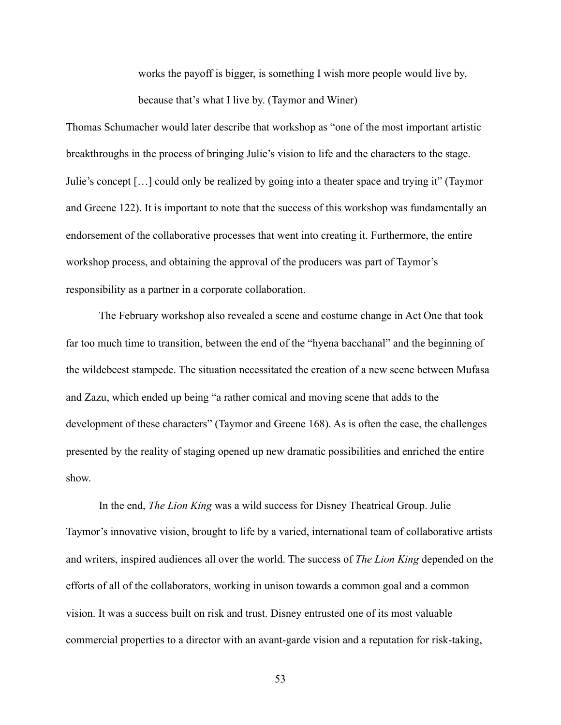works the payoff is bigger, is something I wish more people would live by,

because that's what I live by. (Taymor and Winer)

Thomas Schumacher would later describe that workshop as "one of the most important artistic breakthroughs in the process of bringing Julie's vision to life and the characters to the stage. Julie's concept […] could only be realized by going into a theater space and trying it" (Taymor and Greene 122). It is important to note that the success of this workshop was fundamentally an endorsement of the collaborative processes that went into creating it. Furthermore, the entire workshop process, and obtaining the approval of the producers was part of Taymor's responsibility as a partner in a corporate collaboration.

 The February workshop also revealed a scene and costume change in Act One that took far too much time to transition, between the end of the "hyena bacchanal" and the beginning of the wildebeest stampede. The situation necessitated the creation of a new scene between Mufasa and Zazu, which ended up being "a rather comical and moving scene that adds to the development of these characters" (Taymor and Greene 168). As is often the case, the challenges presented by the reality of staging opened up new dramatic possibilities and enriched the entire show.

 In the end, *The Lion King* was a wild success for Disney Theatrical Group. Julie Taymor's innovative vision, brought to life by a varied, international team of collaborative artists and writers, inspired audiences all over the world. The success of *The Lion King* depended on the efforts of all of the collaborators, working in unison towards a common goal and a common vision. It was a success built on risk and trust. Disney entrusted one of its most valuable commercial properties to a director with an avant-garde vision and a reputation for risk-taking,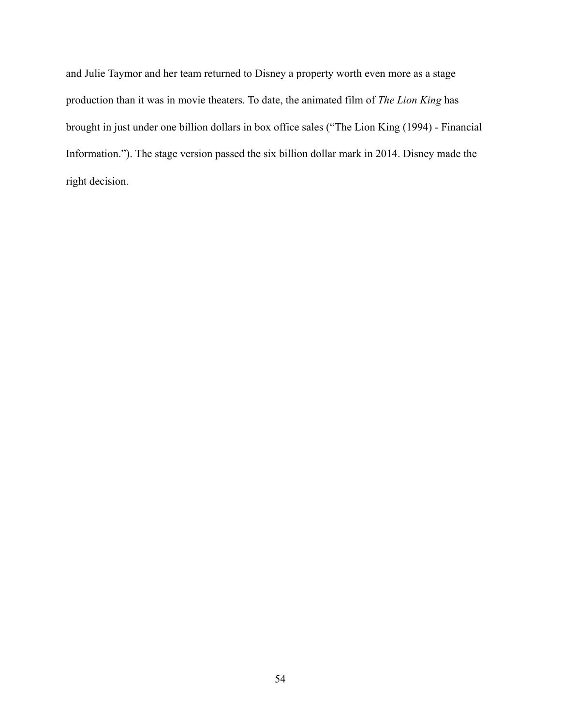and Julie Taymor and her team returned to Disney a property worth even more as a stage production than it was in movie theaters. To date, the animated film of *The Lion King* has brought in just under one billion dollars in box office sales ("The Lion King (1994) - Financial Information."). The stage version passed the six billion dollar mark in 2014. Disney made the right decision.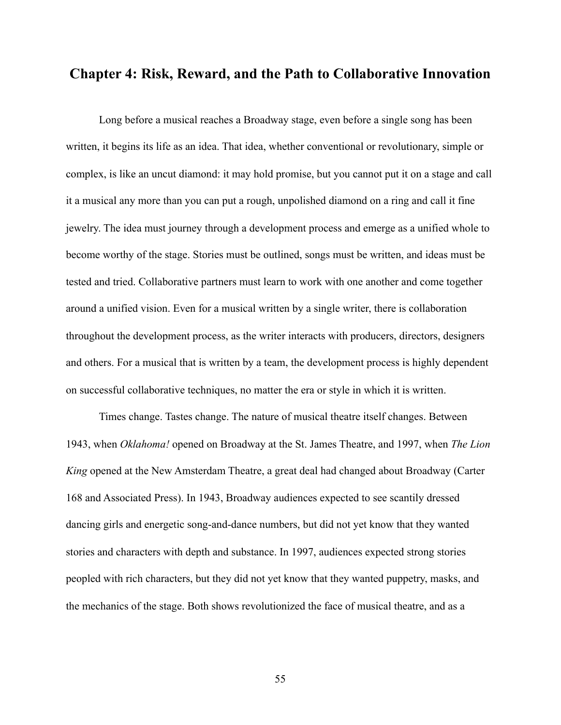## **Chapter 4: Risk, Reward, and the Path to Collaborative Innovation**

 Long before a musical reaches a Broadway stage, even before a single song has been written, it begins its life as an idea. That idea, whether conventional or revolutionary, simple or complex, is like an uncut diamond: it may hold promise, but you cannot put it on a stage and call it a musical any more than you can put a rough, unpolished diamond on a ring and call it fine jewelry. The idea must journey through a development process and emerge as a unified whole to become worthy of the stage. Stories must be outlined, songs must be written, and ideas must be tested and tried. Collaborative partners must learn to work with one another and come together around a unified vision. Even for a musical written by a single writer, there is collaboration throughout the development process, as the writer interacts with producers, directors, designers and others. For a musical that is written by a team, the development process is highly dependent on successful collaborative techniques, no matter the era or style in which it is written.

 Times change. Tastes change. The nature of musical theatre itself changes. Between 1943, when *Oklahoma!* opened on Broadway at the St. James Theatre, and 1997, when *The Lion King* opened at the New Amsterdam Theatre, a great deal had changed about Broadway (Carter 168 and Associated Press). In 1943, Broadway audiences expected to see scantily dressed dancing girls and energetic song-and-dance numbers, but did not yet know that they wanted stories and characters with depth and substance. In 1997, audiences expected strong stories peopled with rich characters, but they did not yet know that they wanted puppetry, masks, and the mechanics of the stage. Both shows revolutionized the face of musical theatre, and as a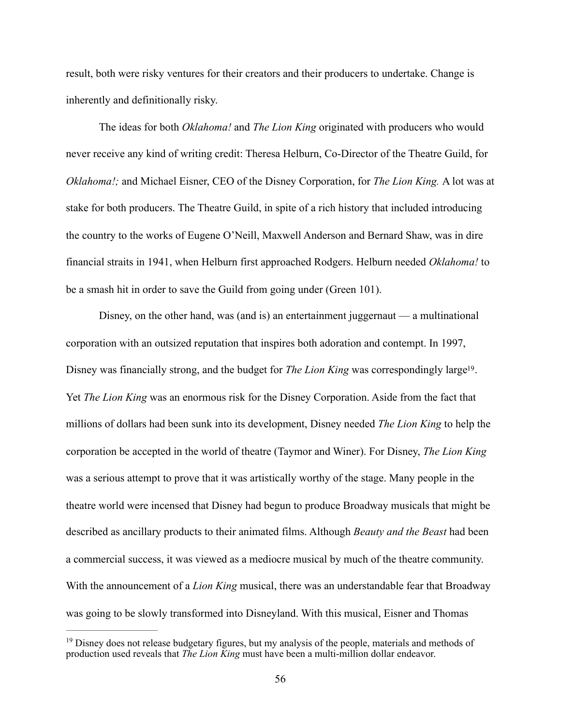result, both were risky ventures for their creators and their producers to undertake. Change is inherently and definitionally risky.

 The ideas for both *Oklahoma!* and *The Lion King* originated with producers who would never receive any kind of writing credit: Theresa Helburn, Co-Director of the Theatre Guild, for *Oklahoma!;* and Michael Eisner, CEO of the Disney Corporation, for *The Lion King.* A lot was at stake for both producers. The Theatre Guild, in spite of a rich history that included introducing the country to the works of Eugene O'Neill, Maxwell Anderson and Bernard Shaw, was in dire financial straits in 1941, when Helburn first approached Rodgers. Helburn needed *Oklahoma!* to be a smash hit in order to save the Guild from going under (Green 101).

<span id="page-63-1"></span> Disney, on the other hand, was (and is) an entertainment juggernaut — a multinational corporation with an outsized reputation that inspires both adoration and contempt. In 1997, Disney was financially strong, and the budget for *The Lion King* was correspondingly large<sup>[19](#page-63-0)</sup>. Yet *The Lion King* was an enormous risk for the Disney Corporation. Aside from the fact that millions of dollars had been sunk into its development, Disney needed *The Lion King* to help the corporation be accepted in the world of theatre (Taymor and Winer). For Disney, *The Lion King*  was a serious attempt to prove that it was artistically worthy of the stage. Many people in the theatre world were incensed that Disney had begun to produce Broadway musicals that might be described as ancillary products to their animated films. Although *Beauty and the Beast* had been a commercial success, it was viewed as a mediocre musical by much of the theatre community. With the announcement of a *Lion King* musical, there was an understandable fear that Broadway was going to be slowly transformed into Disneyland. With this musical, Eisner and Thomas

<span id="page-63-0"></span> $19$  Disney does not release budgetary figures, but my analysis of the people, materials and methods of production used reveals that *The Lion King* must have been a multi-million dollar endeavor.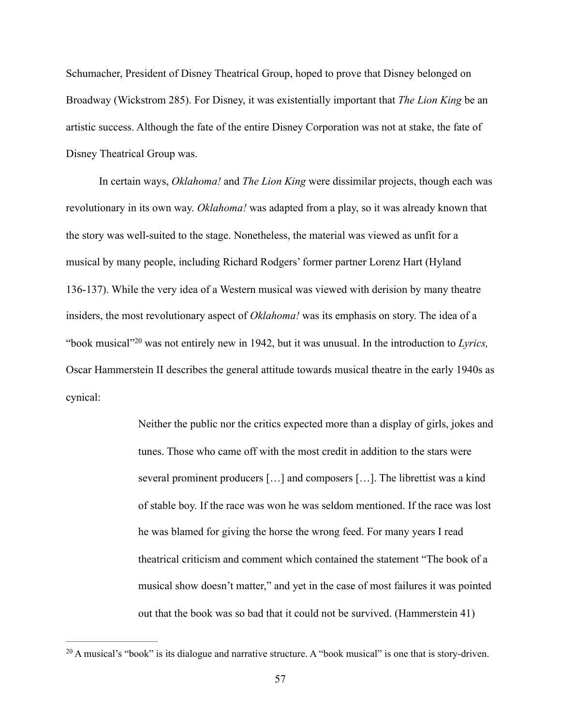Schumacher, President of Disney Theatrical Group, hoped to prove that Disney belonged on Broadway (Wickstrom 285). For Disney, it was existentially important that *The Lion King* be an artistic success. Although the fate of the entire Disney Corporation was not at stake, the fate of Disney Theatrical Group was.

 In certain ways, *Oklahoma!* and *The Lion King* were dissimilar projects, though each was revolutionary in its own way. *Oklahoma!* was adapted from a play, so it was already known that the story was well-suited to the stage. Nonetheless, the material was viewed as unfit for a musical by many people, including Richard Rodgers' former partner Lorenz Hart (Hyland 136-137). While the very idea of a Western musical was viewed with derision by many theatre insiders, the most revolutionary aspect of *Oklahoma!* was its emphasis on story. The idea of a "bookmusical"<sup>20</sup> was not entirely new in 1942, but it was unusual. In the introduction to *Lyrics*, Oscar Hammerstein II describes the general attitude towards musical theatre in the early 1940s as cynical:

> <span id="page-64-1"></span>Neither the public nor the critics expected more than a display of girls, jokes and tunes. Those who came off with the most credit in addition to the stars were several prominent producers […] and composers […]. The librettist was a kind of stable boy. If the race was won he was seldom mentioned. If the race was lost he was blamed for giving the horse the wrong feed. For many years I read theatrical criticism and comment which contained the statement "The book of a musical show doesn't matter," and yet in the case of most failures it was pointed out that the book was so bad that it could not be survived. (Hammerstein 41)

<span id="page-64-0"></span> $20$  A musical's "book" is its dialogue and narrative structure. A "book musical" is one that is story-driven.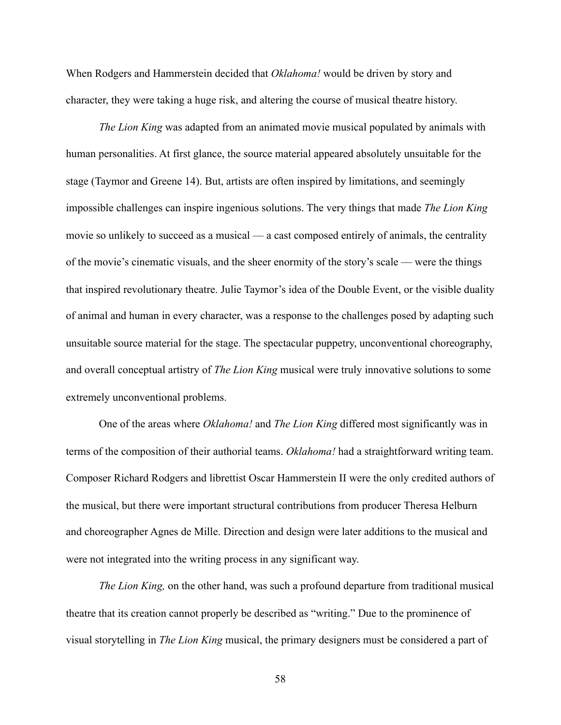When Rodgers and Hammerstein decided that *Oklahoma!* would be driven by story and character, they were taking a huge risk, and altering the course of musical theatre history.

*The Lion King* was adapted from an animated movie musical populated by animals with human personalities. At first glance, the source material appeared absolutely unsuitable for the stage (Taymor and Greene 14). But, artists are often inspired by limitations, and seemingly impossible challenges can inspire ingenious solutions. The very things that made *The Lion King*  movie so unlikely to succeed as a musical — a cast composed entirely of animals, the centrality of the movie's cinematic visuals, and the sheer enormity of the story's scale — were the things that inspired revolutionary theatre. Julie Taymor's idea of the Double Event, or the visible duality of animal and human in every character, was a response to the challenges posed by adapting such unsuitable source material for the stage. The spectacular puppetry, unconventional choreography, and overall conceptual artistry of *The Lion King* musical were truly innovative solutions to some extremely unconventional problems.

 One of the areas where *Oklahoma!* and *The Lion King* differed most significantly was in terms of the composition of their authorial teams. *Oklahoma!* had a straightforward writing team. Composer Richard Rodgers and librettist Oscar Hammerstein II were the only credited authors of the musical, but there were important structural contributions from producer Theresa Helburn and choreographer Agnes de Mille. Direction and design were later additions to the musical and were not integrated into the writing process in any significant way.

*The Lion King,* on the other hand, was such a profound departure from traditional musical theatre that its creation cannot properly be described as "writing." Due to the prominence of visual storytelling in *The Lion King* musical, the primary designers must be considered a part of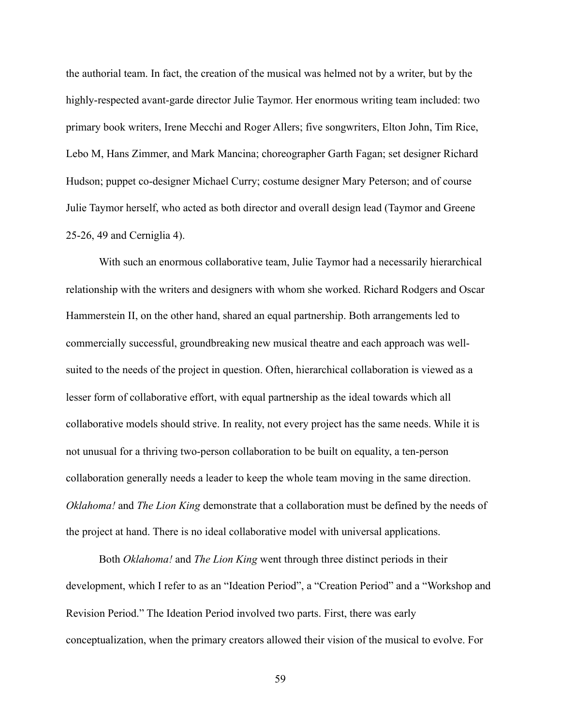the authorial team. In fact, the creation of the musical was helmed not by a writer, but by the highly-respected avant-garde director Julie Taymor. Her enormous writing team included: two primary book writers, Irene Mecchi and Roger Allers; five songwriters, Elton John, Tim Rice, Lebo M, Hans Zimmer, and Mark Mancina; choreographer Garth Fagan; set designer Richard Hudson; puppet co-designer Michael Curry; costume designer Mary Peterson; and of course Julie Taymor herself, who acted as both director and overall design lead (Taymor and Greene 25-26, 49 and Cerniglia 4).

 With such an enormous collaborative team, Julie Taymor had a necessarily hierarchical relationship with the writers and designers with whom she worked. Richard Rodgers and Oscar Hammerstein II, on the other hand, shared an equal partnership. Both arrangements led to commercially successful, groundbreaking new musical theatre and each approach was wellsuited to the needs of the project in question. Often, hierarchical collaboration is viewed as a lesser form of collaborative effort, with equal partnership as the ideal towards which all collaborative models should strive. In reality, not every project has the same needs. While it is not unusual for a thriving two-person collaboration to be built on equality, a ten-person collaboration generally needs a leader to keep the whole team moving in the same direction. *Oklahoma!* and *The Lion King* demonstrate that a collaboration must be defined by the needs of the project at hand. There is no ideal collaborative model with universal applications.

 Both *Oklahoma!* and *The Lion King* went through three distinct periods in their development, which I refer to as an "Ideation Period", a "Creation Period" and a "Workshop and Revision Period." The Ideation Period involved two parts. First, there was early conceptualization, when the primary creators allowed their vision of the musical to evolve. For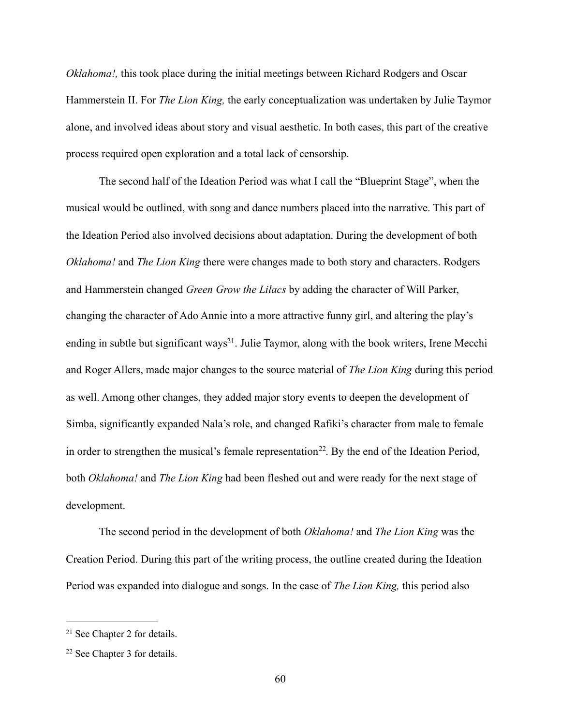*Oklahoma!*, this took place during the initial meetings between Richard Rodgers and Oscar Hammerstein II. For *The Lion King,* the early conceptualization was undertaken by Julie Taymor alone, and involved ideas about story and visual aesthetic. In both cases, this part of the creative process required open exploration and a total lack of censorship.

<span id="page-67-2"></span> The second half of the Ideation Period was what I call the "Blueprint Stage", when the musical would be outlined, with song and dance numbers placed into the narrative. This part of the Ideation Period also involved decisions about adaptation. During the development of both *Oklahoma!* and *The Lion King* there were changes made to both story and characters. Rodgers and Hammerstein changed *Green Grow the Lilacs* by adding the character of Will Parker, changing the character of Ado Annie into a more attractive funny girl, and altering the play's ending in subtle but significant ways<sup>[21](#page-67-0)</sup>. Julie Taymor, along with the book writers, Irene Mecchi and Roger Allers, made major changes to the source material of *The Lion King* during this period as well. Among other changes, they added major story events to deepen the development of Simba, significantly expanded Nala's role, and changed Rafiki's character from male to female in order to strengthen the musical's female representation<sup>22</sup>[.](#page-67-1) By the end of the Ideation Period, both *Oklahoma!* and *The Lion King* had been fleshed out and were ready for the next stage of development.

<span id="page-67-3"></span> The second period in the development of both *Oklahoma!* and *The Lion King* was the Creation Period. During this part of the writing process, the outline created during the Ideation Period was expanded into dialogue and songs. In the case of *The Lion King,* this period also

<span id="page-67-0"></span> $21$  See Chapter 2 for details.

<span id="page-67-1"></span> $22$  See Chapter 3 for details.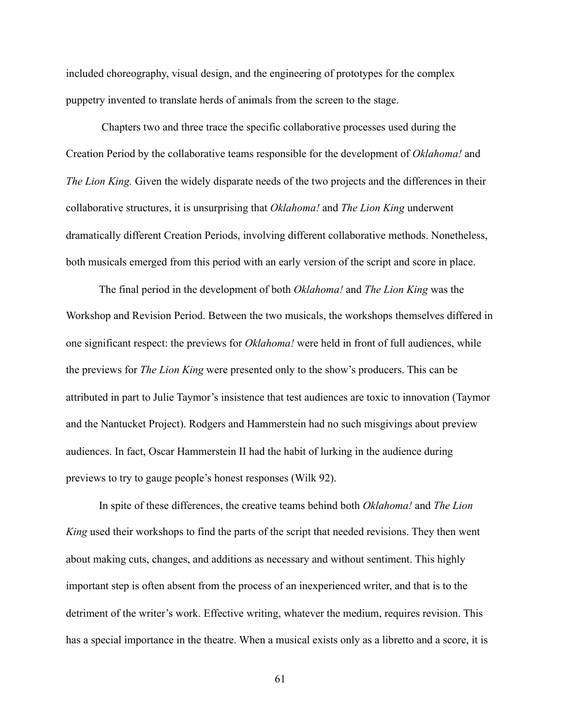included choreography, visual design, and the engineering of prototypes for the complex puppetry invented to translate herds of animals from the screen to the stage.

 Chapters two and three trace the specific collaborative processes used during the Creation Period by the collaborative teams responsible for the development of *Oklahoma!* and *The Lion King.* Given the widely disparate needs of the two projects and the differences in their collaborative structures, it is unsurprising that *Oklahoma!* and *The Lion King* underwent dramatically different Creation Periods, involving different collaborative methods. Nonetheless, both musicals emerged from this period with an early version of the script and score in place.

 The final period in the development of both *Oklahoma!* and *The Lion King* was the Workshop and Revision Period. Between the two musicals, the workshops themselves differed in one significant respect: the previews for *Oklahoma!* were held in front of full audiences, while the previews for *The Lion King* were presented only to the show's producers. This can be attributed in part to Julie Taymor's insistence that test audiences are toxic to innovation (Taymor and the Nantucket Project). Rodgers and Hammerstein had no such misgivings about preview audiences. In fact, Oscar Hammerstein II had the habit of lurking in the audience during previews to try to gauge people's honest responses (Wilk 92).

 In spite of these differences, the creative teams behind both *Oklahoma!* and *The Lion King* used their workshops to find the parts of the script that needed revisions. They then went about making cuts, changes, and additions as necessary and without sentiment. This highly important step is often absent from the process of an inexperienced writer, and that is to the detriment of the writer's work. Effective writing, whatever the medium, requires revision. This has a special importance in the theatre. When a musical exists only as a libretto and a score, it is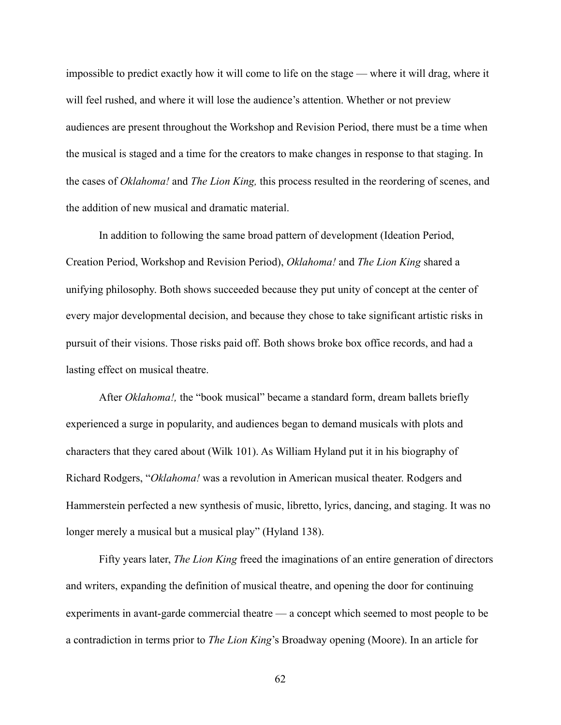impossible to predict exactly how it will come to life on the stage — where it will drag, where it will feel rushed, and where it will lose the audience's attention. Whether or not preview audiences are present throughout the Workshop and Revision Period, there must be a time when the musical is staged and a time for the creators to make changes in response to that staging. In the cases of *Oklahoma!* and *The Lion King,* this process resulted in the reordering of scenes, and the addition of new musical and dramatic material.

 In addition to following the same broad pattern of development (Ideation Period, Creation Period, Workshop and Revision Period), *Oklahoma!* and *The Lion King* shared a unifying philosophy. Both shows succeeded because they put unity of concept at the center of every major developmental decision, and because they chose to take significant artistic risks in pursuit of their visions. Those risks paid off. Both shows broke box office records, and had a lasting effect on musical theatre.

 After *Oklahoma!,* the "book musical" became a standard form, dream ballets briefly experienced a surge in popularity, and audiences began to demand musicals with plots and characters that they cared about (Wilk 101). As William Hyland put it in his biography of Richard Rodgers, "*Oklahoma!* was a revolution in American musical theater. Rodgers and Hammerstein perfected a new synthesis of music, libretto, lyrics, dancing, and staging. It was no longer merely a musical but a musical play" (Hyland 138).

 Fifty years later, *The Lion King* freed the imaginations of an entire generation of directors and writers, expanding the definition of musical theatre, and opening the door for continuing experiments in avant-garde commercial theatre — a concept which seemed to most people to be a contradiction in terms prior to *The Lion King*'s Broadway opening (Moore). In an article for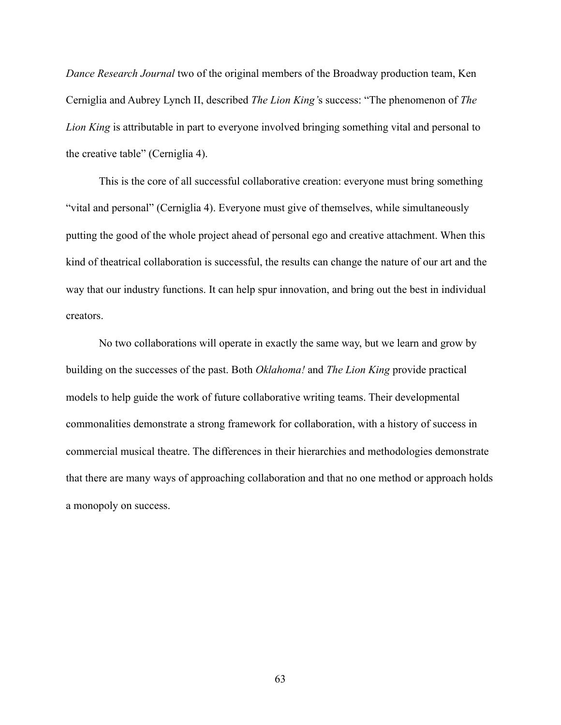*Dance Research Journal* two of the original members of the Broadway production team, Ken Cerniglia and Aubrey Lynch II, described *The Lion King'*s success: "The phenomenon of *The Lion King* is attributable in part to everyone involved bringing something vital and personal to the creative table" (Cerniglia 4).

 This is the core of all successful collaborative creation: everyone must bring something "vital and personal" (Cerniglia 4). Everyone must give of themselves, while simultaneously putting the good of the whole project ahead of personal ego and creative attachment. When this kind of theatrical collaboration is successful, the results can change the nature of our art and the way that our industry functions. It can help spur innovation, and bring out the best in individual creators.

 No two collaborations will operate in exactly the same way, but we learn and grow by building on the successes of the past. Both *Oklahoma!* and *The Lion King* provide practical models to help guide the work of future collaborative writing teams. Their developmental commonalities demonstrate a strong framework for collaboration, with a history of success in commercial musical theatre. The differences in their hierarchies and methodologies demonstrate that there are many ways of approaching collaboration and that no one method or approach holds a monopoly on success.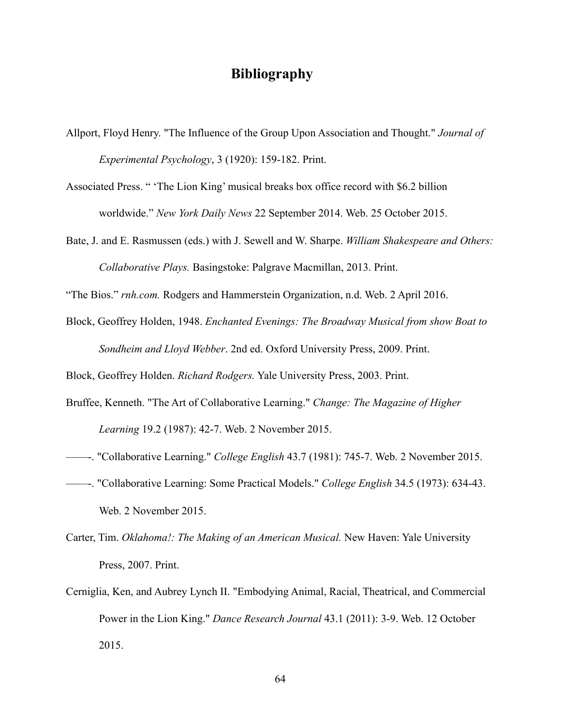## **Bibliography**

Allport, Floyd Henry. "The Influence of the Group Upon Association and Thought." *Journal of Experimental Psychology*, 3 (1920): 159-182. Print.

Associated Press. " 'The Lion King' musical breaks box office record with \$6.2 billion worldwide." *New York Daily News* 22 September 2014. Web. 25 October 2015.

Bate, J. and E. Rasmussen (eds.) with J. Sewell and W. Sharpe. *William Shakespeare and Others: Collaborative Plays.* Basingstoke: Palgrave Macmillan, 2013. Print.

"The Bios." *[rnh.com.](http://rnh.com)* Rodgers and Hammerstein Organization, n.d. Web. 2 April 2016.

Block, Geoffrey Holden, 1948. *Enchanted Evenings: The Broadway Musical from show Boat to Sondheim and Lloyd Webber*. 2nd ed. Oxford University Press, 2009. Print.

Block, Geoffrey Holden. *Richard Rodgers.* Yale University Press, 2003. Print.

- Bruffee, Kenneth. "The Art of Collaborative Learning." *Change: The Magazine of Higher Learning* 19.2 (1987): 42-7. Web. 2 November 2015.
- ——-. "Collaborative Learning." *College English* 43.7 (1981): 745-7. Web. 2 November 2015.
- ——-. "Collaborative Learning: Some Practical Models." *College English* 34.5 (1973): 634-43. Web. 2 November 2015.
- Carter, Tim. *Oklahoma!: The Making of an American Musical.* New Haven: Yale University Press, 2007. Print.
- Cerniglia, Ken, and Aubrey Lynch II. "Embodying Animal, Racial, Theatrical, and Commercial Power in the Lion King." *Dance Research Journal* 43.1 (2011): 3-9. Web. 12 October 2015.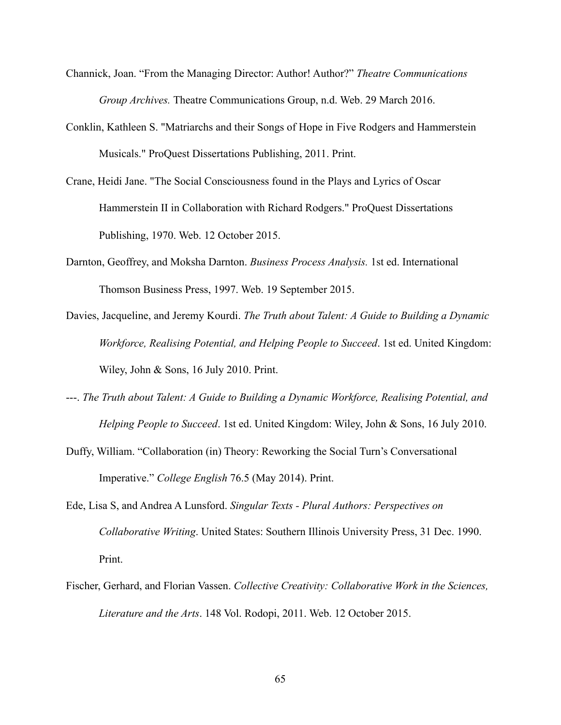- Channick, Joan. "From the Managing Director: Author! Author?" *Theatre Communications Group Archives.* Theatre Communications Group, n.d. Web. 29 March 2016.
- Conklin, Kathleen S. "Matriarchs and their Songs of Hope in Five Rodgers and Hammerstein Musicals." ProQuest Dissertations Publishing, 2011. Print.
- Crane, Heidi Jane. "The Social Consciousness found in the Plays and Lyrics of Oscar Hammerstein II in Collaboration with Richard Rodgers." ProQuest Dissertations Publishing, 1970. Web. 12 October 2015.
- Darnton, Geoffrey, and Moksha Darnton. *Business Process Analysis.* 1st ed. International Thomson Business Press, 1997. Web. 19 September 2015.
- Davies, Jacqueline, and Jeremy Kourdi. *The Truth about Talent: A Guide to Building a Dynamic Workforce, Realising Potential, and Helping People to Succeed*. 1st ed. United Kingdom: Wiley, John & Sons, 16 July 2010. Print.
- ---. *The Truth about Talent: A Guide to Building a Dynamic Workforce, Realising Potential, and Helping People to Succeed*. 1st ed. United Kingdom: Wiley, John & Sons, 16 July 2010.
- Duffy, William. "Collaboration (in) Theory: Reworking the Social Turn's Conversational Imperative." *College English* 76.5 (May 2014). Print.
- Ede, Lisa S, and Andrea A Lunsford. *Singular Texts Plural Authors: Perspectives on Collaborative Writing*. United States: Southern Illinois University Press, 31 Dec. 1990. Print.
- Fischer, Gerhard, and Florian Vassen. *Collective Creativity: Collaborative Work in the Sciences, Literature and the Arts*. 148 Vol. Rodopi, 2011. Web. 12 October 2015.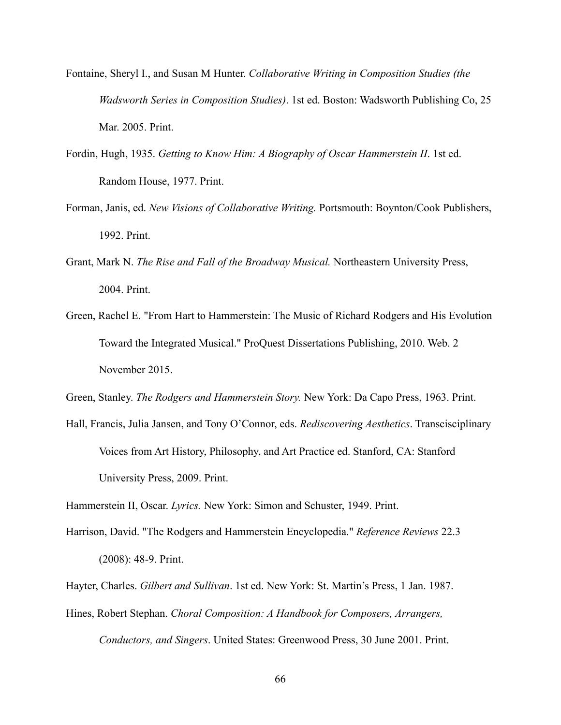- Fontaine, Sheryl I., and Susan M Hunter. *Collaborative Writing in Composition Studies (the Wadsworth Series in Composition Studies)*. 1st ed. Boston: Wadsworth Publishing Co, 25 Mar. 2005. Print.
- Fordin, Hugh, 1935. *Getting to Know Him: A Biography of Oscar Hammerstein II*. 1st ed. Random House, 1977. Print.
- Forman, Janis, ed. *New Visions of Collaborative Writing.* Portsmouth: Boynton/Cook Publishers, 1992. Print.
- Grant, Mark N. *The Rise and Fall of the Broadway Musical.* Northeastern University Press, 2004. Print.
- Green, Rachel E. "From Hart to Hammerstein: The Music of Richard Rodgers and His Evolution Toward the Integrated Musical." ProQuest Dissertations Publishing, 2010. Web. 2 November 2015.

Green, Stanley. *The Rodgers and Hammerstein Story.* New York: Da Capo Press, 1963. Print.

Hall, Francis, Julia Jansen, and Tony O'Connor, eds. *Rediscovering Aesthetics*. Transcisciplinary Voices from Art History, Philosophy, and Art Practice ed. Stanford, CA: Stanford University Press, 2009. Print.

Hammerstein II, Oscar. *Lyrics.* New York: Simon and Schuster, 1949. Print.

Harrison, David. "The Rodgers and Hammerstein Encyclopedia." *Reference Reviews* 22.3 (2008): 48-9. Print.

Hayter, Charles. *Gilbert and Sullivan*. 1st ed. New York: St. Martin's Press, 1 Jan. 1987.

Hines, Robert Stephan. *Choral Composition: A Handbook for Composers, Arrangers, Conductors, and Singers*. United States: Greenwood Press, 30 June 2001. Print.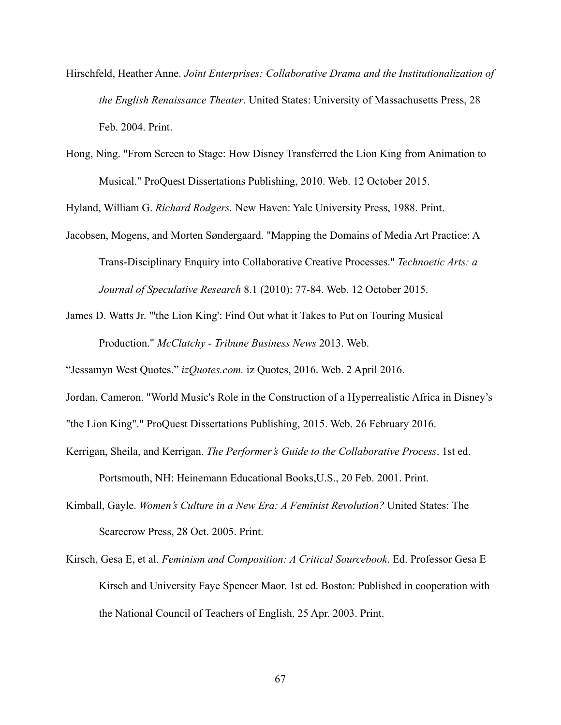- Hirschfeld, Heather Anne. *Joint Enterprises: Collaborative Drama and the Institutionalization of the English Renaissance Theater*. United States: University of Massachusetts Press, 28 Feb. 2004. Print.
- Hong, Ning. "From Screen to Stage: How Disney Transferred the Lion King from Animation to Musical." ProQuest Dissertations Publishing, 2010. Web. 12 October 2015.

Hyland, William G. *Richard Rodgers.* New Haven: Yale University Press, 1988. Print.

- Jacobsen, Mogens, and Morten Søndergaard. "Mapping the Domains of Media Art Practice: A Trans-Disciplinary Enquiry into Collaborative Creative Processes." *Technoetic Arts: a Journal of Speculative Research* 8.1 (2010): 77-84. Web. 12 October 2015.
- James D. Watts Jr. "'the Lion King': Find Out what it Takes to Put on Touring Musical Production." *McClatchy - Tribune Business News* 2013. Web.

"Jessamyn West Quotes." *[izQuotes.com](http://izQuotes.com).* iz Quotes, 2016. Web. 2 April 2016.

Jordan, Cameron. "World Music's Role in the Construction of a Hyperrealistic Africa in Disney's

"the Lion King"." ProQuest Dissertations Publishing, 2015. Web. 26 February 2016.

Kerrigan, Sheila, and Kerrigan. *The Performer's Guide to the Collaborative Process*. 1st ed.

Portsmouth, NH: Heinemann Educational Books,U.S., 20 Feb. 2001. Print.

- Kimball, Gayle. *Women's Culture in a New Era: A Feminist Revolution?* United States: The Scarecrow Press, 28 Oct. 2005. Print.
- Kirsch, Gesa E, et al. *Feminism and Composition: A Critical Sourcebook*. Ed. Professor Gesa E Kirsch and University Faye Spencer Maor. 1st ed. Boston: Published in cooperation with the National Council of Teachers of English, 25 Apr. 2003. Print.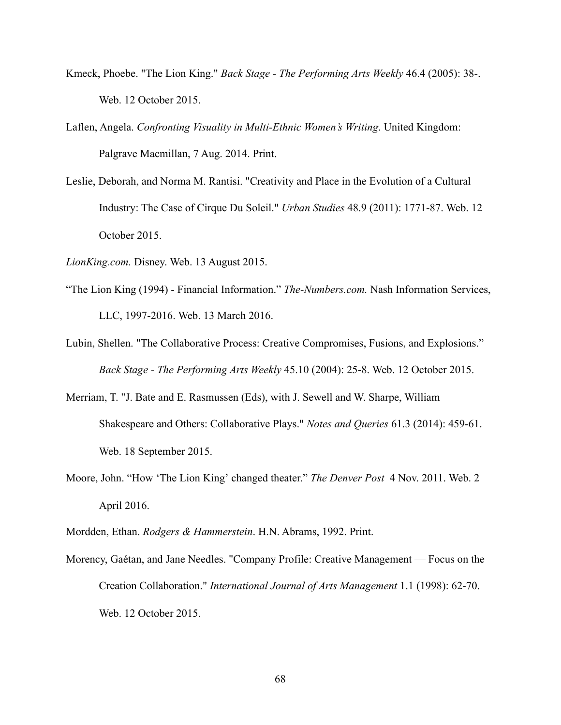- Kmeck, Phoebe. "The Lion King." *Back Stage The Performing Arts Weekly* 46.4 (2005): 38-. Web. 12 October 2015.
- Laflen, Angela. *Confronting Visuality in Multi-Ethnic Women's Writing*. United Kingdom: Palgrave Macmillan, 7 Aug. 2014. Print.
- Leslie, Deborah, and Norma M. Rantisi. "Creativity and Place in the Evolution of a Cultural Industry: The Case of Cirque Du Soleil." *Urban Studies* 48.9 (2011): 1771-87. Web. 12 October 2015.
- *[LionKing.com](http://LionKing.com).* Disney. Web. 13 August 2015.
- "The Lion King (1994) Financial Information." *[The-Numbers.com](http://The-Numbers.com).* Nash Information Services, LLC, 1997-2016. Web. 13 March 2016.
- Lubin, Shellen. "The Collaborative Process: Creative Compromises, Fusions, and Explosions." *Back Stage - The Performing Arts Weekly* 45.10 (2004): 25-8. Web. 12 October 2015.
- Merriam, T. "J. Bate and E. Rasmussen (Eds), with J. Sewell and W. Sharpe, William Shakespeare and Others: Collaborative Plays." *Notes and Queries* 61.3 (2014): 459-61. Web. 18 September 2015.
- Moore, John. "How 'The Lion King' changed theater." *The Denver Post* 4 Nov. 2011. Web. 2 April 2016.
- Mordden, Ethan. *Rodgers & Hammerstein*. H.N. Abrams, 1992. Print.
- Morency, Gaétan, and Jane Needles. "Company Profile: Creative Management Focus on the Creation Collaboration." *International Journal of Arts Management* 1.1 (1998): 62-70. Web. 12 October 2015.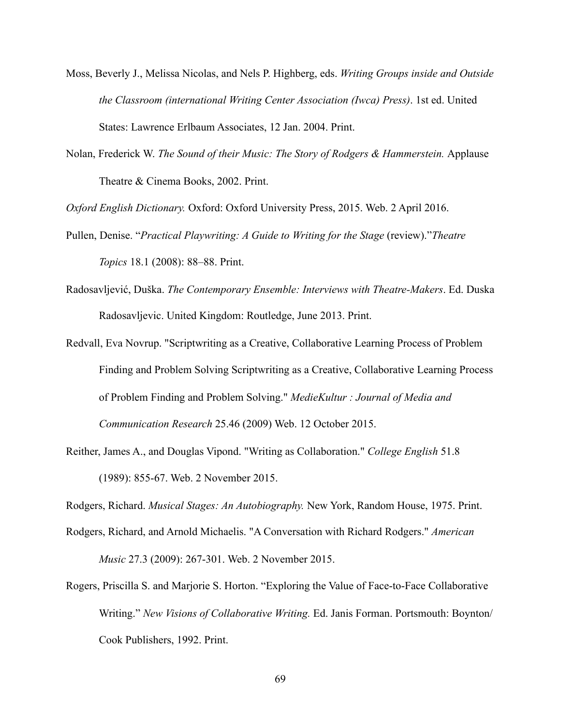- Moss, Beverly J., Melissa Nicolas, and Nels P. Highberg, eds. *Writing Groups inside and Outside the Classroom (international Writing Center Association (Iwca) Press)*. 1st ed. United States: Lawrence Erlbaum Associates, 12 Jan. 2004. Print.
- Nolan, Frederick W. *The Sound of their Music: The Story of Rodgers & Hammerstein.* Applause Theatre & Cinema Books, 2002. Print.

*Oxford English Dictionary.* Oxford: Oxford University Press, 2015. Web. 2 April 2016.

- Pullen, Denise. "*Practical Playwriting: A Guide to Writing for the Stage* (review)."*Theatre Topics* 18.1 (2008): 88–88. Print.
- Radosavljević, Duška. *The Contemporary Ensemble: Interviews with Theatre-Makers*. Ed. Duska Radosavljevic. United Kingdom: Routledge, June 2013. Print.
- Redvall, Eva Novrup. "Scriptwriting as a Creative, Collaborative Learning Process of Problem Finding and Problem Solving Scriptwriting as a Creative, Collaborative Learning Process of Problem Finding and Problem Solving." *MedieKultur : Journal of Media and Communication Research* 25.46 (2009) Web. 12 October 2015.
- Reither, James A., and Douglas Vipond. "Writing as Collaboration." *College English* 51.8 (1989): 855-67. Web. 2 November 2015.

Rodgers, Richard. *Musical Stages: An Autobiography.* New York, Random House, 1975. Print.

- Rodgers, Richard, and Arnold Michaelis. "A Conversation with Richard Rodgers." *American Music* 27.3 (2009): 267-301. Web. 2 November 2015.
- Rogers, Priscilla S. and Marjorie S. Horton. "Exploring the Value of Face-to-Face Collaborative Writing." *New Visions of Collaborative Writing.* Ed. Janis Forman. Portsmouth: Boynton/ Cook Publishers, 1992. Print.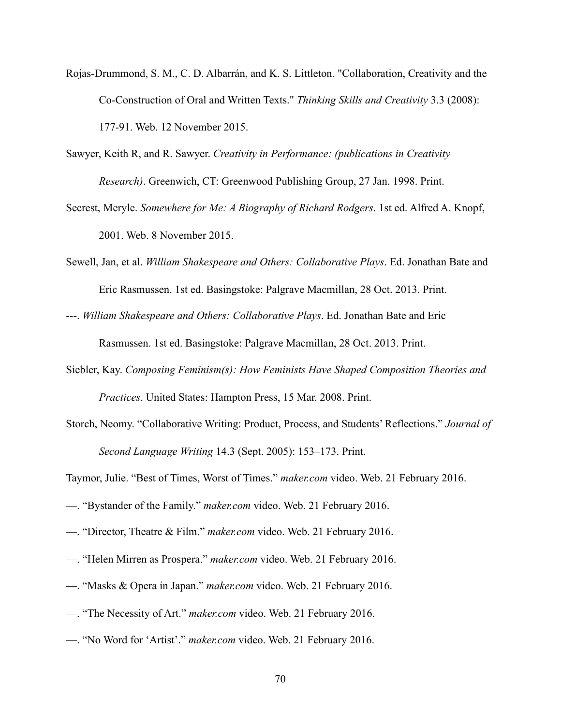- Rojas-Drummond, S. M., C. D. Albarrán, and K. S. Littleton. "Collaboration, Creativity and the Co-Construction of Oral and Written Texts." *Thinking Skills and Creativity* 3.3 (2008): 177-91. Web. 12 November 2015.
- Sawyer, Keith R, and R. Sawyer. *Creativity in Performance: (publications in Creativity Research)*. Greenwich, CT: Greenwood Publishing Group, 27 Jan. 1998. Print.
- Secrest, Meryle. *Somewhere for Me: A Biography of Richard Rodgers*. 1st ed. Alfred A. Knopf, 2001. Web. 8 November 2015.
- Sewell, Jan, et al. *William Shakespeare and Others: Collaborative Plays*. Ed. Jonathan Bate and Eric Rasmussen. 1st ed. Basingstoke: Palgrave Macmillan, 28 Oct. 2013. Print.
- ---. *William Shakespeare and Others: Collaborative Plays*. Ed. Jonathan Bate and Eric Rasmussen. 1st ed. Basingstoke: Palgrave Macmillan, 28 Oct. 2013. Print.
- Siebler, Kay. *Composing Feminism(s): How Feminists Have Shaped Composition Theories and Practices*. United States: Hampton Press, 15 Mar. 2008. Print.
- Storch, Neomy. "Collaborative Writing: Product, Process, and Students' Reflections." *Journal of Second Language Writing* 14.3 (Sept. 2005): 153–173. Print.

Taymor, Julie. "Best of Times, Worst of Times." *[maker.com](http://maker.com)* video. Web. 21 February 2016.

- —. "Bystander of the Family." *[maker.com](http://maker.com)* video. Web. 21 February 2016.
- —. "Director, Theatre & Film." *[maker.com](http://maker.com)* video. Web. 21 February 2016.
- —. "Helen Mirren as Prospera." *[maker.com](http://maker.com)* video. Web. 21 February 2016.
- —. "Masks & Opera in Japan." *[maker.com](http://maker.com)* video. Web. 21 February 2016.
- —. "The Necessity of Art." *[maker.com](http://maker.com)* video. Web. 21 February 2016.
- —. "No Word for 'Artist'." *[maker.com](http://maker.com)* video. Web. 21 February 2016.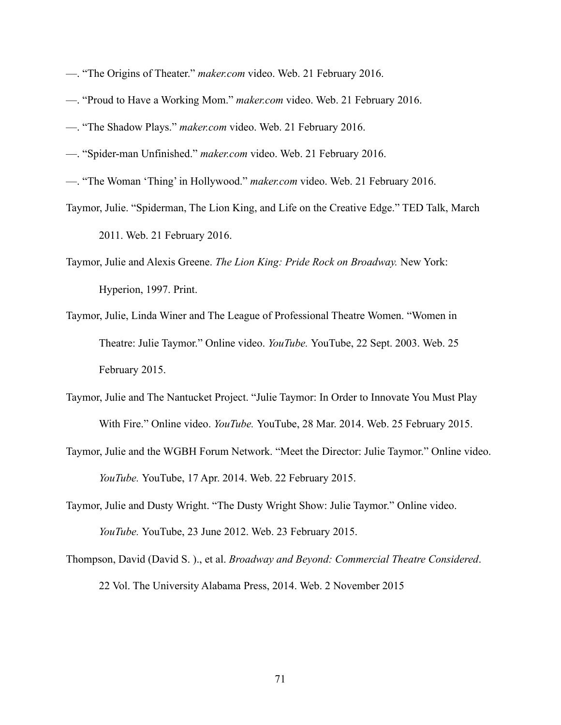- —. "The Origins of Theater." *[maker.com](http://maker.com)* video. Web. 21 February 2016.
- —. "Proud to Have a Working Mom." *[maker.com](http://maker.com)* video. Web. 21 February 2016.
- —. "The Shadow Plays." *[maker.com](http://maker.com)* video. Web. 21 February 2016.
- —. "Spider-man Unfinished." *[maker.com](http://maker.com)* video. Web. 21 February 2016.
- —. "The Woman 'Thing' in Hollywood." *[maker.com](http://maker.com)* video. Web. 21 February 2016.
- Taymor, Julie. "Spiderman, The Lion King, and Life on the Creative Edge." TED Talk, March 2011. Web. 21 February 2016.
- Taymor, Julie and Alexis Greene. *The Lion King: Pride Rock on Broadway.* New York: Hyperion, 1997. Print.
- Taymor, Julie, Linda Winer and The League of Professional Theatre Women. "Women in Theatre: Julie Taymor." Online video. *YouTube.* YouTube, 22 Sept. 2003. Web. 25 February 2015.
- Taymor, Julie and The Nantucket Project. "Julie Taymor: In Order to Innovate You Must Play With Fire." Online video. *YouTube.* YouTube, 28 Mar. 2014. Web. 25 February 2015.
- Taymor, Julie and the WGBH Forum Network. "Meet the Director: Julie Taymor." Online video. *YouTube.* YouTube, 17 Apr. 2014. Web. 22 February 2015.
- Taymor, Julie and Dusty Wright. "The Dusty Wright Show: Julie Taymor." Online video. *YouTube.* YouTube, 23 June 2012. Web. 23 February 2015.
- Thompson, David (David S. )., et al. *Broadway and Beyond: Commercial Theatre Considered*. 22 Vol. The University Alabama Press, 2014. Web. 2 November 2015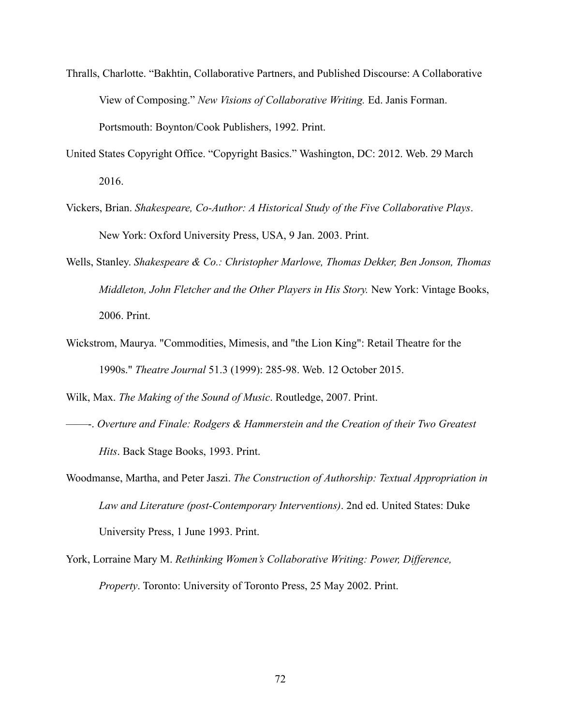- Thralls, Charlotte. "Bakhtin, Collaborative Partners, and Published Discourse: A Collaborative View of Composing." *New Visions of Collaborative Writing.* Ed. Janis Forman. Portsmouth: Boynton/Cook Publishers, 1992. Print.
- United States Copyright Office. "Copyright Basics." Washington, DC: 2012. Web. 29 March 2016.
- Vickers, Brian. *Shakespeare, Co-Author: A Historical Study of the Five Collaborative Plays*. New York: Oxford University Press, USA, 9 Jan. 2003. Print.
- Wells, Stanley. *Shakespeare & Co.: Christopher Marlowe, Thomas Dekker, Ben Jonson, Thomas Middleton, John Fletcher and the Other Players in His Story.* New York: Vintage Books, 2006. Print.
- Wickstrom, Maurya. "Commodities, Mimesis, and "the Lion King": Retail Theatre for the 1990s." *Theatre Journal* 51.3 (1999): 285-98. Web. 12 October 2015.

Wilk, Max. *The Making of the Sound of Music*. Routledge, 2007. Print.

- ——-. *Overture and Finale: Rodgers & Hammerstein and the Creation of their Two Greatest Hits*. Back Stage Books, 1993. Print.
- Woodmanse, Martha, and Peter Jaszi. *The Construction of Authorship: Textual Appropriation in Law and Literature (post-Contemporary Interventions)*. 2nd ed. United States: Duke University Press, 1 June 1993. Print.
- York, Lorraine Mary M. *Rethinking Women's Collaborative Writing: Power, Difference, Property*. Toronto: University of Toronto Press, 25 May 2002. Print.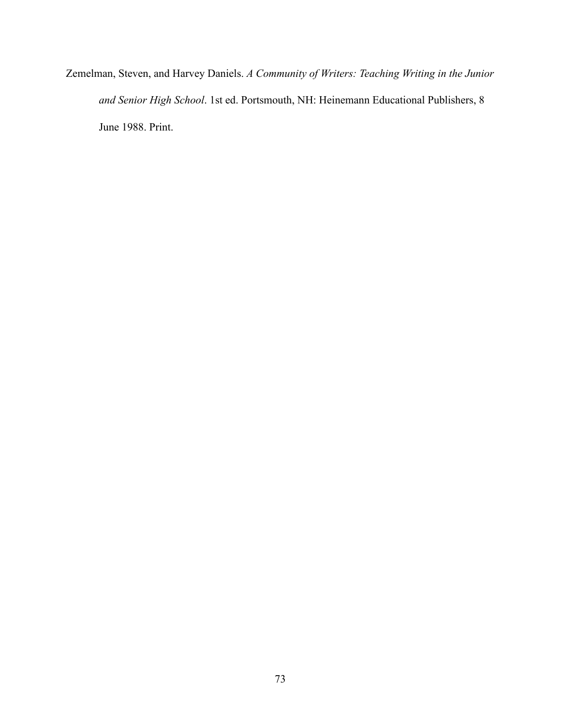Zemelman, Steven, and Harvey Daniels. *A Community of Writers: Teaching Writing in the Junior and Senior High School*. 1st ed. Portsmouth, NH: Heinemann Educational Publishers, 8 June 1988. Print.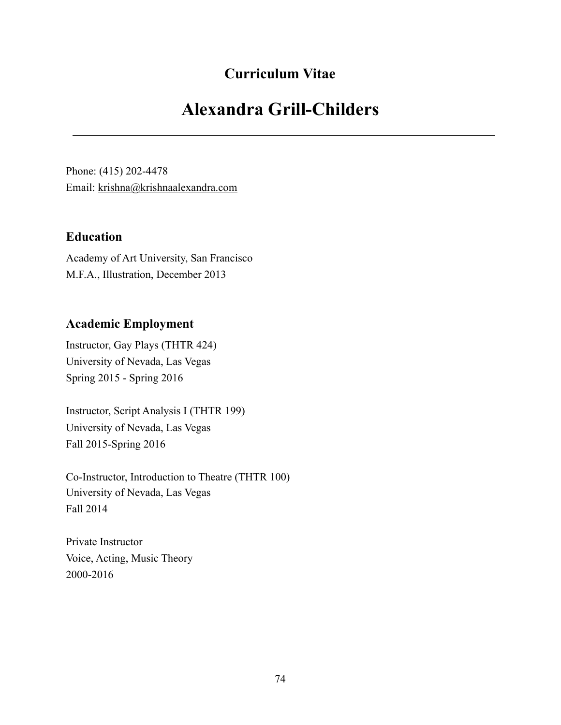## **Curriculum Vitae**

# **Alexandra Grill-Childers**

Phone: (415) 202-4478 Email: [krishna@krishnaalexandra.com](mailto:krishna@krishnaalexandra.com)

#### **Education**

Academy of Art University, San Francisco M.F.A., Illustration, December 2013

### **Academic Employment**

Instructor, Gay Plays (THTR 424) University of Nevada, Las Vegas Spring 2015 - Spring 2016

Instructor, Script Analysis I (THTR 199) University of Nevada, Las Vegas Fall 2015-Spring 2016

Co-Instructor, Introduction to Theatre (THTR 100) University of Nevada, Las Vegas Fall 2014

Private Instructor Voice, Acting, Music Theory 2000-2016